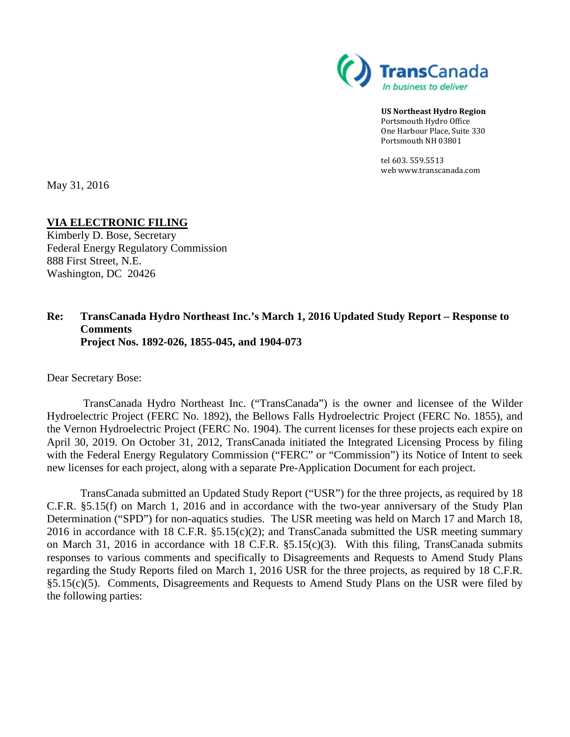

**US Northeast Hydro Region** Portsmouth Hydro Office One Harbour Place, Suite 330 Portsmouth NH 03801

tel 603. 559.5513 web www.transcanada.com

May 31, 2016

#### **VIA ELECTRONIC FILING**

Kimberly D. Bose, Secretary Federal Energy Regulatory Commission 888 First Street, N.E. Washington, DC 20426

#### **Re: TransCanada Hydro Northeast Inc.'s March 1, 2016 Updated Study Report – Response to Comments Project Nos. 1892-026, 1855-045, and 1904-073**

Dear Secretary Bose:

TransCanada Hydro Northeast Inc. ("TransCanada") is the owner and licensee of the Wilder Hydroelectric Project (FERC No. 1892), the Bellows Falls Hydroelectric Project (FERC No. 1855), and the Vernon Hydroelectric Project (FERC No. 1904). The current licenses for these projects each expire on April 30, 2019. On October 31, 2012, TransCanada initiated the Integrated Licensing Process by filing with the Federal Energy Regulatory Commission ("FERC" or "Commission") its Notice of Intent to seek new licenses for each project, along with a separate Pre-Application Document for each project.

TransCanada submitted an Updated Study Report ("USR") for the three projects, as required by 18 C.F.R. §5.15(f) on March 1, 2016 and in accordance with the two-year anniversary of the Study Plan Determination ("SPD") for non-aquatics studies. The USR meeting was held on March 17 and March 18, 2016 in accordance with 18 C.F.R. §5.15(c)(2); and TransCanada submitted the USR meeting summary on March 31, 2016 in accordance with 18 C.F.R. §5.15(c)(3). With this filing, TransCanada submits responses to various comments and specifically to Disagreements and Requests to Amend Study Plans regarding the Study Reports filed on March 1, 2016 USR for the three projects, as required by 18 C.F.R. §5.15(c)(5). Comments, Disagreements and Requests to Amend Study Plans on the USR were filed by the following parties: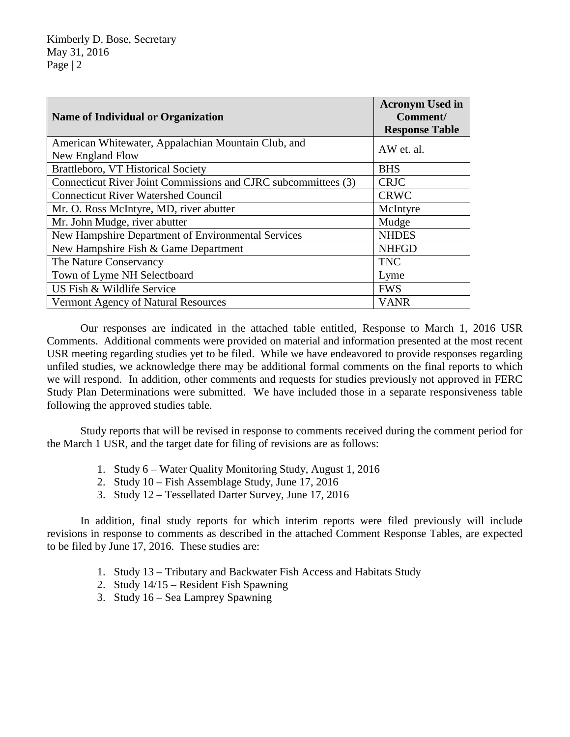| <b>Name of Individual or Organization</b>                      | <b>Acronym Used in</b><br>Comment/<br><b>Response Table</b> |
|----------------------------------------------------------------|-------------------------------------------------------------|
| American Whitewater, Appalachian Mountain Club, and            | AW et. al.                                                  |
| New England Flow<br>Brattleboro, VT Historical Society         | <b>BHS</b>                                                  |
| Connecticut River Joint Commissions and CJRC subcommittees (3) | <b>CRJC</b>                                                 |
| <b>Connecticut River Watershed Council</b>                     | <b>CRWC</b>                                                 |
| Mr. O. Ross McIntyre, MD, river abutter                        | McIntyre                                                    |
| Mr. John Mudge, river abutter                                  | Mudge                                                       |
| New Hampshire Department of Environmental Services             | <b>NHDES</b>                                                |
| New Hampshire Fish & Game Department                           | <b>NHFGD</b>                                                |
| The Nature Conservancy                                         | <b>TNC</b>                                                  |
| Town of Lyme NH Selectboard                                    | Lyme                                                        |
| US Fish & Wildlife Service                                     | <b>FWS</b>                                                  |
| Vermont Agency of Natural Resources                            | <b>VANR</b>                                                 |

Our responses are indicated in the attached table entitled, Response to March 1, 2016 USR Comments. Additional comments were provided on material and information presented at the most recent USR meeting regarding studies yet to be filed. While we have endeavored to provide responses regarding unfiled studies, we acknowledge there may be additional formal comments on the final reports to which we will respond. In addition, other comments and requests for studies previously not approved in FERC Study Plan Determinations were submitted. We have included those in a separate responsiveness table following the approved studies table.

Study reports that will be revised in response to comments received during the comment period for the March 1 USR, and the target date for filing of revisions are as follows:

- 1. Study 6 Water Quality Monitoring Study, August 1, 2016
- 2. Study 10 Fish Assemblage Study, June 17, 2016
- 3. Study 12 Tessellated Darter Survey, June 17, 2016

In addition, final study reports for which interim reports were filed previously will include revisions in response to comments as described in the attached Comment Response Tables, are expected to be filed by June 17, 2016. These studies are:

- 1. Study 13 Tributary and Backwater Fish Access and Habitats Study
- 2. Study 14/15 Resident Fish Spawning
- 3. Study 16 Sea Lamprey Spawning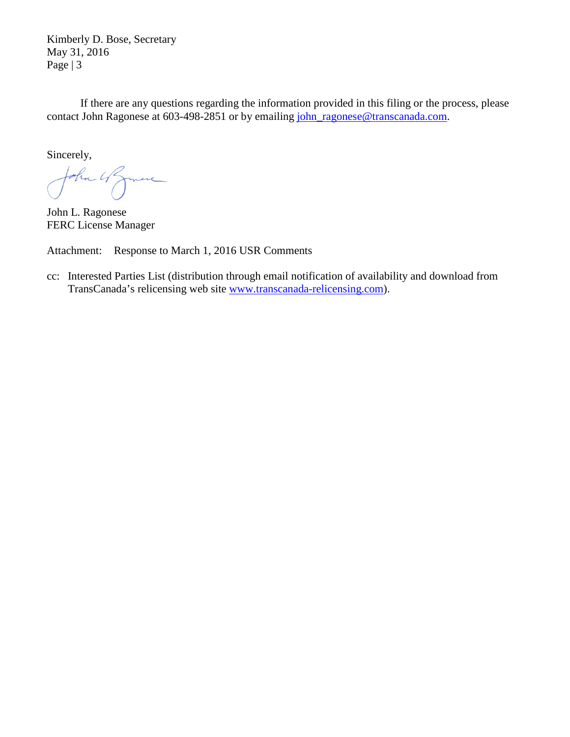Kimberly D. Bose, Secretary May 31, 2016 Page | 3

If there are any questions regarding the information provided in this filing or the process, please contact John Ragonese at 603-498-2851 or by emailing [john\\_ragonese@transcanada.com.](mailto:john_ragonese@transcanada.com)

Sincerely,

John 4 Sprinc

John L. Ragonese FERC License Manager

Attachment: Response to March 1, 2016 USR Comments

cc: Interested Parties List (distribution through email notification of availability and download from TransCanada's relicensing web site [www.transcanada-relicensing.com\)](http://www.transcanada-relicensing.com/).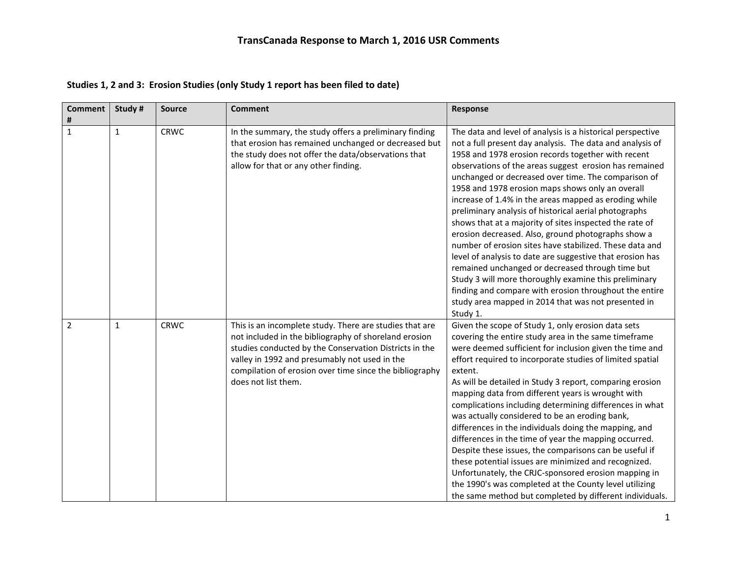| <b>Comment</b><br># | Study #      | <b>Source</b> | <b>Comment</b>                                                                                                                                                                                                                                                                                                | Response                                                                                                                                                                                                                                                                                                                                                                                                                                                                                                                                                                                                                                                                                                                                                                                                                                                                                                                                                |
|---------------------|--------------|---------------|---------------------------------------------------------------------------------------------------------------------------------------------------------------------------------------------------------------------------------------------------------------------------------------------------------------|---------------------------------------------------------------------------------------------------------------------------------------------------------------------------------------------------------------------------------------------------------------------------------------------------------------------------------------------------------------------------------------------------------------------------------------------------------------------------------------------------------------------------------------------------------------------------------------------------------------------------------------------------------------------------------------------------------------------------------------------------------------------------------------------------------------------------------------------------------------------------------------------------------------------------------------------------------|
| $\mathbf{1}$        | $\mathbf{1}$ | <b>CRWC</b>   | In the summary, the study offers a preliminary finding<br>that erosion has remained unchanged or decreased but<br>the study does not offer the data/observations that<br>allow for that or any other finding.                                                                                                 | The data and level of analysis is a historical perspective<br>not a full present day analysis. The data and analysis of<br>1958 and 1978 erosion records together with recent<br>observations of the areas suggest erosion has remained<br>unchanged or decreased over time. The comparison of<br>1958 and 1978 erosion maps shows only an overall<br>increase of 1.4% in the areas mapped as eroding while<br>preliminary analysis of historical aerial photographs<br>shows that at a majority of sites inspected the rate of<br>erosion decreased. Also, ground photographs show a<br>number of erosion sites have stabilized. These data and<br>level of analysis to date are suggestive that erosion has<br>remained unchanged or decreased through time but<br>Study 3 will more thoroughly examine this preliminary<br>finding and compare with erosion throughout the entire<br>study area mapped in 2014 that was not presented in<br>Study 1. |
| $\overline{2}$      | $\mathbf{1}$ | <b>CRWC</b>   | This is an incomplete study. There are studies that are<br>not included in the bibliography of shoreland erosion<br>studies conducted by the Conservation Districts in the<br>valley in 1992 and presumably not used in the<br>compilation of erosion over time since the bibliography<br>does not list them. | Given the scope of Study 1, only erosion data sets<br>covering the entire study area in the same timeframe<br>were deemed sufficient for inclusion given the time and<br>effort required to incorporate studies of limited spatial<br>extent.<br>As will be detailed in Study 3 report, comparing erosion<br>mapping data from different years is wrought with<br>complications including determining differences in what<br>was actually considered to be an eroding bank,<br>differences in the individuals doing the mapping, and<br>differences in the time of year the mapping occurred.<br>Despite these issues, the comparisons can be useful if<br>these potential issues are minimized and recognized.<br>Unfortunately, the CRJC-sponsored erosion mapping in<br>the 1990's was completed at the County level utilizing<br>the same method but completed by different individuals.                                                            |

**Studies 1, 2 and 3: Erosion Studies (only Study 1 report has been filed to date)**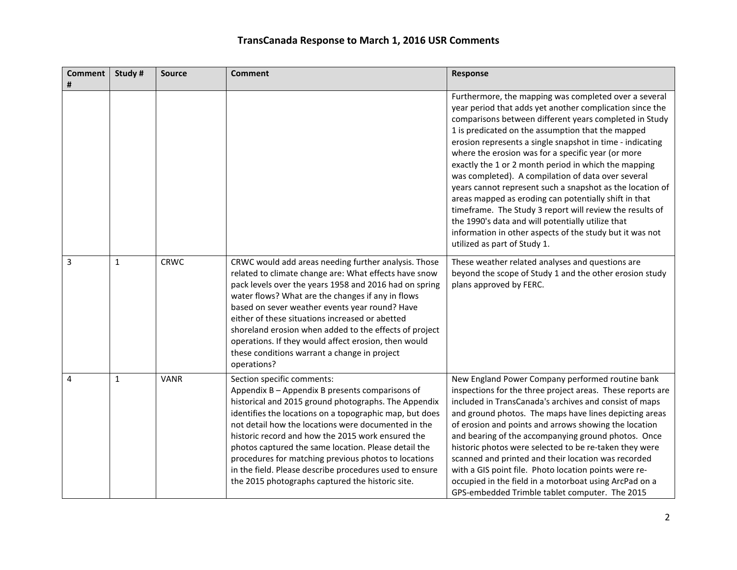| <b>Comment</b> | Study #      | <b>Source</b> | <b>Comment</b>                                                                                                                                                                                                                                                                                                                                                                                                                                                                                                                              | <b>Response</b>                                                                                                                                                                                                                                                                                                                                                                                                                                                                                                                                                                                                                                                                                                                                                                                      |
|----------------|--------------|---------------|---------------------------------------------------------------------------------------------------------------------------------------------------------------------------------------------------------------------------------------------------------------------------------------------------------------------------------------------------------------------------------------------------------------------------------------------------------------------------------------------------------------------------------------------|------------------------------------------------------------------------------------------------------------------------------------------------------------------------------------------------------------------------------------------------------------------------------------------------------------------------------------------------------------------------------------------------------------------------------------------------------------------------------------------------------------------------------------------------------------------------------------------------------------------------------------------------------------------------------------------------------------------------------------------------------------------------------------------------------|
| #              |              |               |                                                                                                                                                                                                                                                                                                                                                                                                                                                                                                                                             |                                                                                                                                                                                                                                                                                                                                                                                                                                                                                                                                                                                                                                                                                                                                                                                                      |
|                |              |               |                                                                                                                                                                                                                                                                                                                                                                                                                                                                                                                                             | Furthermore, the mapping was completed over a several<br>year period that adds yet another complication since the<br>comparisons between different years completed in Study<br>1 is predicated on the assumption that the mapped<br>erosion represents a single snapshot in time - indicating<br>where the erosion was for a specific year (or more<br>exactly the 1 or 2 month period in which the mapping<br>was completed). A compilation of data over several<br>years cannot represent such a snapshot as the location of<br>areas mapped as eroding can potentially shift in that<br>timeframe. The Study 3 report will review the results of<br>the 1990's data and will potentially utilize that<br>information in other aspects of the study but it was not<br>utilized as part of Study 1. |
| 3              | $\mathbf{1}$ | <b>CRWC</b>   | CRWC would add areas needing further analysis. Those<br>related to climate change are: What effects have snow<br>pack levels over the years 1958 and 2016 had on spring<br>water flows? What are the changes if any in flows<br>based on sever weather events year round? Have<br>either of these situations increased or abetted<br>shoreland erosion when added to the effects of project<br>operations. If they would affect erosion, then would<br>these conditions warrant a change in project<br>operations?                          | These weather related analyses and questions are<br>beyond the scope of Study 1 and the other erosion study<br>plans approved by FERC.                                                                                                                                                                                                                                                                                                                                                                                                                                                                                                                                                                                                                                                               |
| 4              | $\mathbf{1}$ | <b>VANR</b>   | Section specific comments:<br>Appendix B - Appendix B presents comparisons of<br>historical and 2015 ground photographs. The Appendix<br>identifies the locations on a topographic map, but does<br>not detail how the locations were documented in the<br>historic record and how the 2015 work ensured the<br>photos captured the same location. Please detail the<br>procedures for matching previous photos to locations<br>in the field. Please describe procedures used to ensure<br>the 2015 photographs captured the historic site. | New England Power Company performed routine bank<br>inspections for the three project areas. These reports are<br>included in TransCanada's archives and consist of maps<br>and ground photos. The maps have lines depicting areas<br>of erosion and points and arrows showing the location<br>and bearing of the accompanying ground photos. Once<br>historic photos were selected to be re-taken they were<br>scanned and printed and their location was recorded<br>with a GIS point file. Photo location points were re-<br>occupied in the field in a motorboat using ArcPad on a<br>GPS-embedded Trimble tablet computer. The 2015                                                                                                                                                             |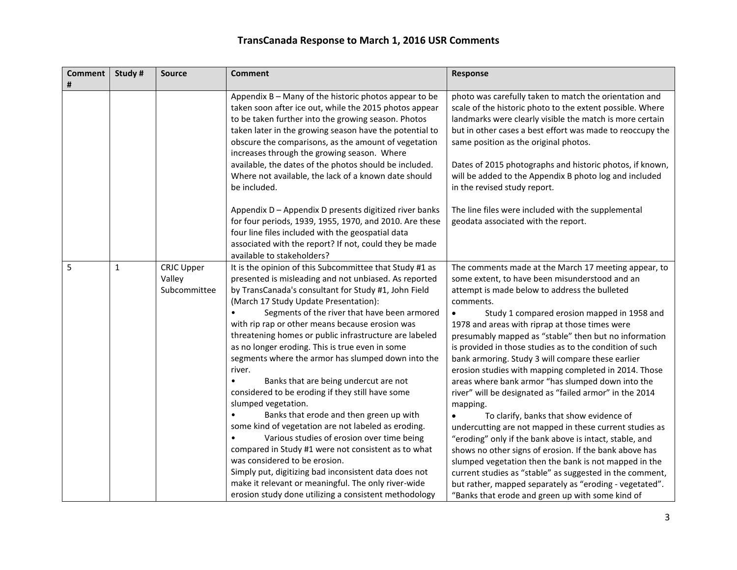| <b>Comment</b><br># | Study #      | <b>Source</b>                               | <b>Comment</b>                                                                                                                                                                                                                                                                                                                                                                                                                                                                                                                                                                                                                                                                                                                                                                                                                                                                                                                                                                                                                         | Response                                                                                                                                                                                                                                                                                                                                                                                                                                                                                                                                                                                                                                                                                                                                                                                                                                                                                                                                                                                                                                                                                                         |
|---------------------|--------------|---------------------------------------------|----------------------------------------------------------------------------------------------------------------------------------------------------------------------------------------------------------------------------------------------------------------------------------------------------------------------------------------------------------------------------------------------------------------------------------------------------------------------------------------------------------------------------------------------------------------------------------------------------------------------------------------------------------------------------------------------------------------------------------------------------------------------------------------------------------------------------------------------------------------------------------------------------------------------------------------------------------------------------------------------------------------------------------------|------------------------------------------------------------------------------------------------------------------------------------------------------------------------------------------------------------------------------------------------------------------------------------------------------------------------------------------------------------------------------------------------------------------------------------------------------------------------------------------------------------------------------------------------------------------------------------------------------------------------------------------------------------------------------------------------------------------------------------------------------------------------------------------------------------------------------------------------------------------------------------------------------------------------------------------------------------------------------------------------------------------------------------------------------------------------------------------------------------------|
|                     |              |                                             | Appendix B - Many of the historic photos appear to be<br>taken soon after ice out, while the 2015 photos appear<br>to be taken further into the growing season. Photos<br>taken later in the growing season have the potential to<br>obscure the comparisons, as the amount of vegetation<br>increases through the growing season. Where<br>available, the dates of the photos should be included.<br>Where not available, the lack of a known date should<br>be included.                                                                                                                                                                                                                                                                                                                                                                                                                                                                                                                                                             | photo was carefully taken to match the orientation and<br>scale of the historic photo to the extent possible. Where<br>landmarks were clearly visible the match is more certain<br>but in other cases a best effort was made to reoccupy the<br>same position as the original photos.<br>Dates of 2015 photographs and historic photos, if known,<br>will be added to the Appendix B photo log and included<br>in the revised study report.                                                                                                                                                                                                                                                                                                                                                                                                                                                                                                                                                                                                                                                                      |
|                     |              |                                             | Appendix D - Appendix D presents digitized river banks<br>for four periods, 1939, 1955, 1970, and 2010. Are these<br>four line files included with the geospatial data<br>associated with the report? If not, could they be made<br>available to stakeholders?                                                                                                                                                                                                                                                                                                                                                                                                                                                                                                                                                                                                                                                                                                                                                                         | The line files were included with the supplemental<br>geodata associated with the report.                                                                                                                                                                                                                                                                                                                                                                                                                                                                                                                                                                                                                                                                                                                                                                                                                                                                                                                                                                                                                        |
| 5                   | $\mathbf{1}$ | <b>CRJC Upper</b><br>Valley<br>Subcommittee | It is the opinion of this Subcommittee that Study #1 as<br>presented is misleading and not unbiased. As reported<br>by TransCanada's consultant for Study #1, John Field<br>(March 17 Study Update Presentation):<br>Segments of the river that have been armored<br>with rip rap or other means because erosion was<br>threatening homes or public infrastructure are labeled<br>as no longer eroding. This is true even in some<br>segments where the armor has slumped down into the<br>river.<br>Banks that are being undercut are not<br>considered to be eroding if they still have some<br>slumped vegetation.<br>Banks that erode and then green up with<br>some kind of vegetation are not labeled as eroding.<br>Various studies of erosion over time being<br>compared in Study #1 were not consistent as to what<br>was considered to be erosion.<br>Simply put, digitizing bad inconsistent data does not<br>make it relevant or meaningful. The only river-wide<br>erosion study done utilizing a consistent methodology | The comments made at the March 17 meeting appear, to<br>some extent, to have been misunderstood and an<br>attempt is made below to address the bulleted<br>comments.<br>Study 1 compared erosion mapped in 1958 and<br>$\bullet$<br>1978 and areas with riprap at those times were<br>presumably mapped as "stable" then but no information<br>is provided in those studies as to the condition of such<br>bank armoring. Study 3 will compare these earlier<br>erosion studies with mapping completed in 2014. Those<br>areas where bank armor "has slumped down into the<br>river" will be designated as "failed armor" in the 2014<br>mapping.<br>To clarify, banks that show evidence of<br>undercutting are not mapped in these current studies as<br>"eroding" only if the bank above is intact, stable, and<br>shows no other signs of erosion. If the bank above has<br>slumped vegetation then the bank is not mapped in the<br>current studies as "stable" as suggested in the comment,<br>but rather, mapped separately as "eroding - vegetated".<br>"Banks that erode and green up with some kind of |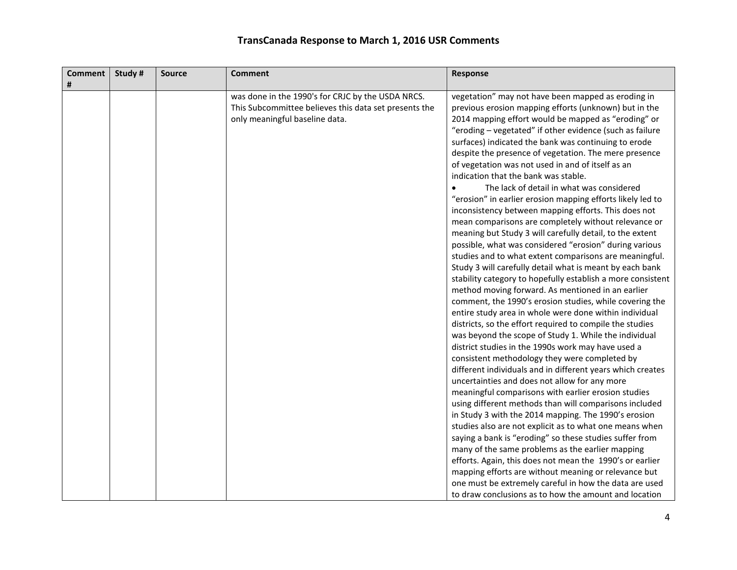| <b>Comment</b> | Study # | <b>Source</b> | <b>Comment</b>                                        | Response                                                    |
|----------------|---------|---------------|-------------------------------------------------------|-------------------------------------------------------------|
| #              |         |               |                                                       |                                                             |
|                |         |               | was done in the 1990's for CRJC by the USDA NRCS.     | vegetation" may not have been mapped as eroding in          |
|                |         |               | This Subcommittee believes this data set presents the | previous erosion mapping efforts (unknown) but in the       |
|                |         |               | only meaningful baseline data.                        | 2014 mapping effort would be mapped as "eroding" or         |
|                |         |               |                                                       | "eroding - vegetated" if other evidence (such as failure    |
|                |         |               |                                                       | surfaces) indicated the bank was continuing to erode        |
|                |         |               |                                                       | despite the presence of vegetation. The mere presence       |
|                |         |               |                                                       | of vegetation was not used in and of itself as an           |
|                |         |               |                                                       | indication that the bank was stable.                        |
|                |         |               |                                                       | The lack of detail in what was considered                   |
|                |         |               |                                                       | "erosion" in earlier erosion mapping efforts likely led to  |
|                |         |               |                                                       | inconsistency between mapping efforts. This does not        |
|                |         |               |                                                       | mean comparisons are completely without relevance or        |
|                |         |               |                                                       | meaning but Study 3 will carefully detail, to the extent    |
|                |         |               |                                                       | possible, what was considered "erosion" during various      |
|                |         |               |                                                       | studies and to what extent comparisons are meaningful.      |
|                |         |               |                                                       | Study 3 will carefully detail what is meant by each bank    |
|                |         |               |                                                       | stability category to hopefully establish a more consistent |
|                |         |               |                                                       | method moving forward. As mentioned in an earlier           |
|                |         |               |                                                       | comment, the 1990's erosion studies, while covering the     |
|                |         |               |                                                       | entire study area in whole were done within individual      |
|                |         |               |                                                       | districts, so the effort required to compile the studies    |
|                |         |               |                                                       | was beyond the scope of Study 1. While the individual       |
|                |         |               |                                                       | district studies in the 1990s work may have used a          |
|                |         |               |                                                       | consistent methodology they were completed by               |
|                |         |               |                                                       | different individuals and in different years which creates  |
|                |         |               |                                                       | uncertainties and does not allow for any more               |
|                |         |               |                                                       | meaningful comparisons with earlier erosion studies         |
|                |         |               |                                                       | using different methods than will comparisons included      |
|                |         |               |                                                       | in Study 3 with the 2014 mapping. The 1990's erosion        |
|                |         |               |                                                       | studies also are not explicit as to what one means when     |
|                |         |               |                                                       | saying a bank is "eroding" so these studies suffer from     |
|                |         |               |                                                       | many of the same problems as the earlier mapping            |
|                |         |               |                                                       | efforts. Again, this does not mean the 1990's or earlier    |
|                |         |               |                                                       | mapping efforts are without meaning or relevance but        |
|                |         |               |                                                       | one must be extremely careful in how the data are used      |
|                |         |               |                                                       | to draw conclusions as to how the amount and location       |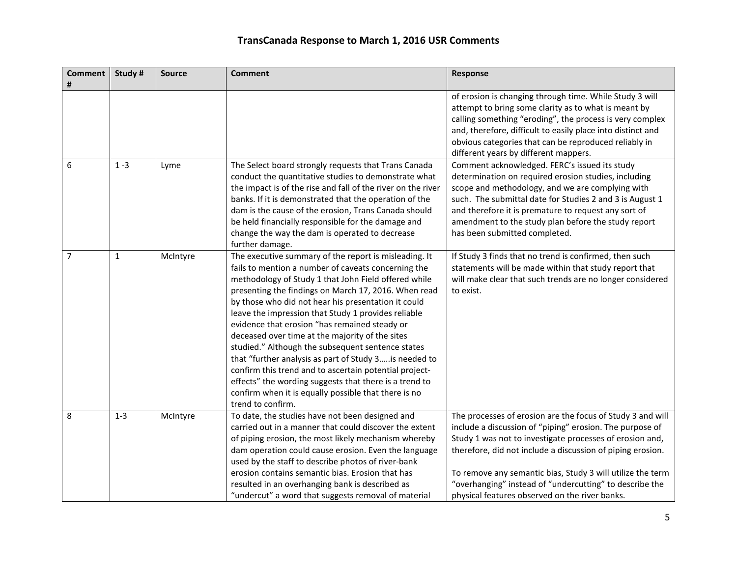| <b>Comment</b><br># | Study #      | <b>Source</b> | <b>Comment</b>                                                                                                                                                                                                                                                                                                                                                                                                                                                                                                                                                                                                                                                                                                                                                 | Response                                                                                                                                                                                                                                                                                                                                                                                                                    |
|---------------------|--------------|---------------|----------------------------------------------------------------------------------------------------------------------------------------------------------------------------------------------------------------------------------------------------------------------------------------------------------------------------------------------------------------------------------------------------------------------------------------------------------------------------------------------------------------------------------------------------------------------------------------------------------------------------------------------------------------------------------------------------------------------------------------------------------------|-----------------------------------------------------------------------------------------------------------------------------------------------------------------------------------------------------------------------------------------------------------------------------------------------------------------------------------------------------------------------------------------------------------------------------|
|                     |              |               |                                                                                                                                                                                                                                                                                                                                                                                                                                                                                                                                                                                                                                                                                                                                                                | of erosion is changing through time. While Study 3 will<br>attempt to bring some clarity as to what is meant by<br>calling something "eroding", the process is very complex<br>and, therefore, difficult to easily place into distinct and<br>obvious categories that can be reproduced reliably in<br>different years by different mappers.                                                                                |
| 6                   | $1 - 3$      | Lyme          | The Select board strongly requests that Trans Canada<br>conduct the quantitative studies to demonstrate what<br>the impact is of the rise and fall of the river on the river<br>banks. If it is demonstrated that the operation of the<br>dam is the cause of the erosion, Trans Canada should<br>be held financially responsible for the damage and<br>change the way the dam is operated to decrease<br>further damage.                                                                                                                                                                                                                                                                                                                                      | Comment acknowledged. FERC's issued its study<br>determination on required erosion studies, including<br>scope and methodology, and we are complying with<br>such. The submittal date for Studies 2 and 3 is August 1<br>and therefore it is premature to request any sort of<br>amendment to the study plan before the study report<br>has been submitted completed.                                                       |
| $\overline{7}$      | $\mathbf{1}$ | McIntyre      | The executive summary of the report is misleading. It<br>fails to mention a number of caveats concerning the<br>methodology of Study 1 that John Field offered while<br>presenting the findings on March 17, 2016. When read<br>by those who did not hear his presentation it could<br>leave the impression that Study 1 provides reliable<br>evidence that erosion "has remained steady or<br>deceased over time at the majority of the sites<br>studied." Although the subsequent sentence states<br>that "further analysis as part of Study 3 is needed to<br>confirm this trend and to ascertain potential project-<br>effects" the wording suggests that there is a trend to<br>confirm when it is equally possible that there is no<br>trend to confirm. | If Study 3 finds that no trend is confirmed, then such<br>statements will be made within that study report that<br>will make clear that such trends are no longer considered<br>to exist.                                                                                                                                                                                                                                   |
| 8                   | $1 - 3$      | McIntyre      | To date, the studies have not been designed and<br>carried out in a manner that could discover the extent<br>of piping erosion, the most likely mechanism whereby<br>dam operation could cause erosion. Even the language<br>used by the staff to describe photos of river-bank<br>erosion contains semantic bias. Erosion that has<br>resulted in an overhanging bank is described as<br>"undercut" a word that suggests removal of material                                                                                                                                                                                                                                                                                                                  | The processes of erosion are the focus of Study 3 and will<br>include a discussion of "piping" erosion. The purpose of<br>Study 1 was not to investigate processes of erosion and,<br>therefore, did not include a discussion of piping erosion.<br>To remove any semantic bias, Study 3 will utilize the term<br>"overhanging" instead of "undercutting" to describe the<br>physical features observed on the river banks. |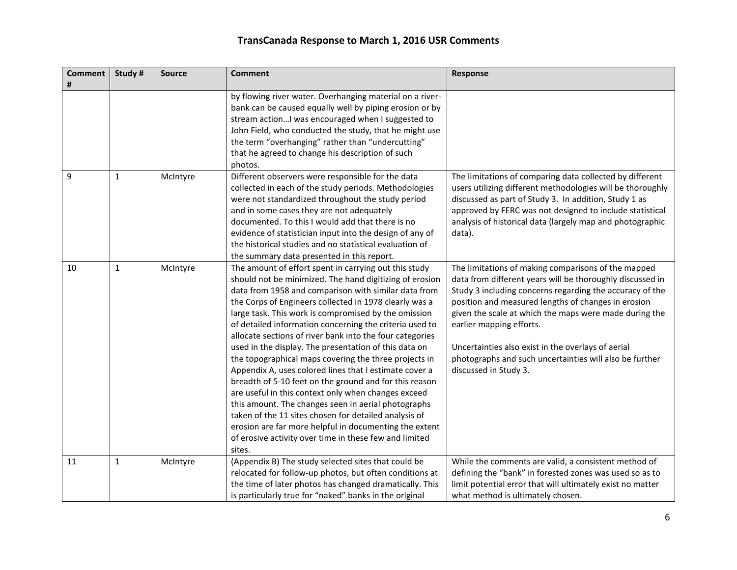| <b>Comment</b><br># | Study #      | <b>Source</b> | <b>Comment</b>                                                                                                                                                                                                                                                                                                                                                                                                                                                                                                                                                                                                                                                                                                                                                                                                                                                                                                                                               | Response                                                                                                                                                                                                                                                                                                                                                                                                                                                            |
|---------------------|--------------|---------------|--------------------------------------------------------------------------------------------------------------------------------------------------------------------------------------------------------------------------------------------------------------------------------------------------------------------------------------------------------------------------------------------------------------------------------------------------------------------------------------------------------------------------------------------------------------------------------------------------------------------------------------------------------------------------------------------------------------------------------------------------------------------------------------------------------------------------------------------------------------------------------------------------------------------------------------------------------------|---------------------------------------------------------------------------------------------------------------------------------------------------------------------------------------------------------------------------------------------------------------------------------------------------------------------------------------------------------------------------------------------------------------------------------------------------------------------|
|                     |              |               | by flowing river water. Overhanging material on a river-<br>bank can be caused equally well by piping erosion or by<br>stream action I was encouraged when I suggested to<br>John Field, who conducted the study, that he might use<br>the term "overhanging" rather than "undercutting"<br>that he agreed to change his description of such<br>photos.                                                                                                                                                                                                                                                                                                                                                                                                                                                                                                                                                                                                      |                                                                                                                                                                                                                                                                                                                                                                                                                                                                     |
| 9                   | 1            | McIntyre      | Different observers were responsible for the data<br>collected in each of the study periods. Methodologies<br>were not standardized throughout the study period<br>and in some cases they are not adequately<br>documented. To this I would add that there is no<br>evidence of statistician input into the design of any of<br>the historical studies and no statistical evaluation of<br>the summary data presented in this report.                                                                                                                                                                                                                                                                                                                                                                                                                                                                                                                        | The limitations of comparing data collected by different<br>users utilizing different methodologies will be thoroughly<br>discussed as part of Study 3. In addition, Study 1 as<br>approved by FERC was not designed to include statistical<br>analysis of historical data (largely map and photographic<br>data).                                                                                                                                                  |
| 10                  | $\mathbf{1}$ | McIntyre      | The amount of effort spent in carrying out this study<br>should not be minimized. The hand digitizing of erosion<br>data from 1958 and comparison with similar data from<br>the Corps of Engineers collected in 1978 clearly was a<br>large task. This work is compromised by the omission<br>of detailed information concerning the criteria used to<br>allocate sections of river bank into the four categories<br>used in the display. The presentation of this data on<br>the topographical maps covering the three projects in<br>Appendix A, uses colored lines that I estimate cover a<br>breadth of 5-10 feet on the ground and for this reason<br>are useful in this context only when changes exceed<br>this amount. The changes seen in aerial photographs<br>taken of the 11 sites chosen for detailed analysis of<br>erosion are far more helpful in documenting the extent<br>of erosive activity over time in these few and limited<br>sites. | The limitations of making comparisons of the mapped<br>data from different years will be thoroughly discussed in<br>Study 3 including concerns regarding the accuracy of the<br>position and measured lengths of changes in erosion<br>given the scale at which the maps were made during the<br>earlier mapping efforts.<br>Uncertainties also exist in the overlays of aerial<br>photographs and such uncertainties will also be further<br>discussed in Study 3. |
| 11                  | 1            | McIntyre      | (Appendix B) The study selected sites that could be<br>relocated for follow-up photos, but often conditions at<br>the time of later photos has changed dramatically. This<br>is particularly true for "naked" banks in the original                                                                                                                                                                                                                                                                                                                                                                                                                                                                                                                                                                                                                                                                                                                          | While the comments are valid, a consistent method of<br>defining the "bank" in forested zones was used so as to<br>limit potential error that will ultimately exist no matter<br>what method is ultimately chosen.                                                                                                                                                                                                                                                  |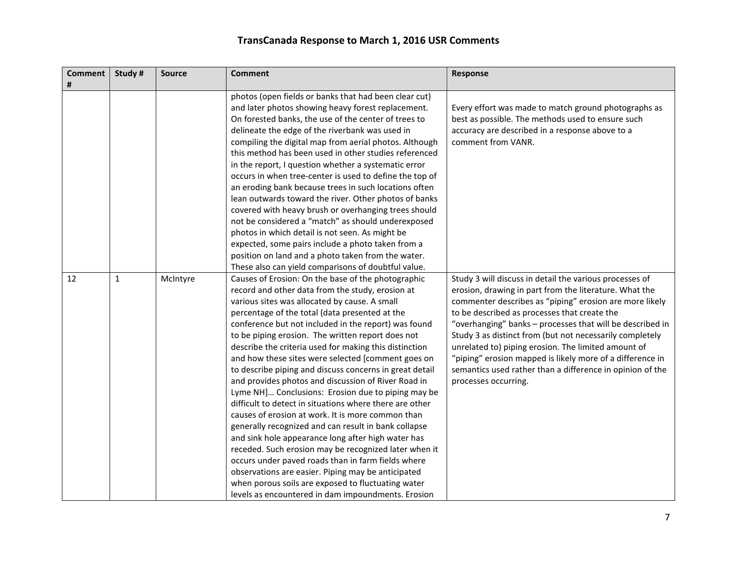| <b>Comment</b><br># | Study #      | <b>Source</b> | <b>Comment</b>                                                                                                                                                                                                                                                                                                                                                                                                                                                                                                                                                                                                                                                                                                                                                                                                                                                                                                                                                                                                                                                                                                                                                                       | <b>Response</b>                                                                                                                                                                                                                                                                                                                                                                                                                                                                                                                                                |
|---------------------|--------------|---------------|--------------------------------------------------------------------------------------------------------------------------------------------------------------------------------------------------------------------------------------------------------------------------------------------------------------------------------------------------------------------------------------------------------------------------------------------------------------------------------------------------------------------------------------------------------------------------------------------------------------------------------------------------------------------------------------------------------------------------------------------------------------------------------------------------------------------------------------------------------------------------------------------------------------------------------------------------------------------------------------------------------------------------------------------------------------------------------------------------------------------------------------------------------------------------------------|----------------------------------------------------------------------------------------------------------------------------------------------------------------------------------------------------------------------------------------------------------------------------------------------------------------------------------------------------------------------------------------------------------------------------------------------------------------------------------------------------------------------------------------------------------------|
|                     |              |               | photos (open fields or banks that had been clear cut)<br>and later photos showing heavy forest replacement.<br>On forested banks, the use of the center of trees to<br>delineate the edge of the riverbank was used in<br>compiling the digital map from aerial photos. Although<br>this method has been used in other studies referenced<br>in the report, I question whether a systematic error<br>occurs in when tree-center is used to define the top of<br>an eroding bank because trees in such locations often<br>lean outwards toward the river. Other photos of banks<br>covered with heavy brush or overhanging trees should<br>not be considered a "match" as should underexposed<br>photos in which detail is not seen. As might be<br>expected, some pairs include a photo taken from a<br>position on land and a photo taken from the water.                                                                                                                                                                                                                                                                                                                           | Every effort was made to match ground photographs as<br>best as possible. The methods used to ensure such<br>accuracy are described in a response above to a<br>comment from VANR.                                                                                                                                                                                                                                                                                                                                                                             |
| 12                  | $\mathbf{1}$ | McIntyre      | These also can yield comparisons of doubtful value.<br>Causes of Erosion: On the base of the photographic<br>record and other data from the study, erosion at<br>various sites was allocated by cause. A small<br>percentage of the total (data presented at the<br>conference but not included in the report) was found<br>to be piping erosion. The written report does not<br>describe the criteria used for making this distinction<br>and how these sites were selected [comment goes on<br>to describe piping and discuss concerns in great detail<br>and provides photos and discussion of River Road in<br>Lyme NH] Conclusions: Erosion due to piping may be<br>difficult to detect in situations where there are other<br>causes of erosion at work. It is more common than<br>generally recognized and can result in bank collapse<br>and sink hole appearance long after high water has<br>receded. Such erosion may be recognized later when it<br>occurs under paved roads than in farm fields where<br>observations are easier. Piping may be anticipated<br>when porous soils are exposed to fluctuating water<br>levels as encountered in dam impoundments. Erosion | Study 3 will discuss in detail the various processes of<br>erosion, drawing in part from the literature. What the<br>commenter describes as "piping" erosion are more likely<br>to be described as processes that create the<br>"overhanging" banks - processes that will be described in<br>Study 3 as distinct from (but not necessarily completely<br>unrelated to) piping erosion. The limited amount of<br>"piping" erosion mapped is likely more of a difference in<br>semantics used rather than a difference in opinion of the<br>processes occurring. |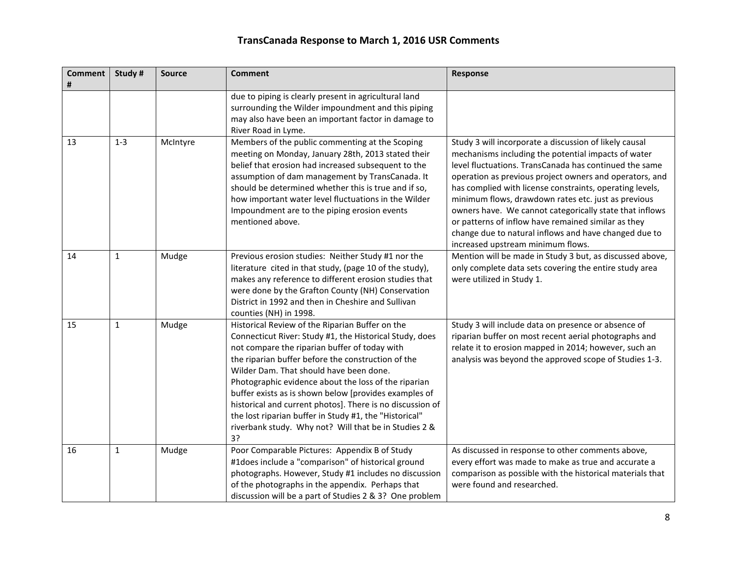| <b>Comment</b><br># | Study #      | <b>Source</b> | <b>Comment</b>                                                                                                                                                                                                                                                                                                                                                                                                                                                                                                                                                      | Response                                                                                                                                                                                                                                                                                                                                                                                                                                                                                                                                                              |
|---------------------|--------------|---------------|---------------------------------------------------------------------------------------------------------------------------------------------------------------------------------------------------------------------------------------------------------------------------------------------------------------------------------------------------------------------------------------------------------------------------------------------------------------------------------------------------------------------------------------------------------------------|-----------------------------------------------------------------------------------------------------------------------------------------------------------------------------------------------------------------------------------------------------------------------------------------------------------------------------------------------------------------------------------------------------------------------------------------------------------------------------------------------------------------------------------------------------------------------|
|                     |              |               | due to piping is clearly present in agricultural land<br>surrounding the Wilder impoundment and this piping<br>may also have been an important factor in damage to<br>River Road in Lyme.                                                                                                                                                                                                                                                                                                                                                                           |                                                                                                                                                                                                                                                                                                                                                                                                                                                                                                                                                                       |
| 13                  | $1 - 3$      | McIntyre      | Members of the public commenting at the Scoping<br>meeting on Monday, January 28th, 2013 stated their<br>belief that erosion had increased subsequent to the<br>assumption of dam management by TransCanada. It<br>should be determined whether this is true and if so,<br>how important water level fluctuations in the Wilder<br>Impoundment are to the piping erosion events<br>mentioned above.                                                                                                                                                                 | Study 3 will incorporate a discussion of likely causal<br>mechanisms including the potential impacts of water<br>level fluctuations. TransCanada has continued the same<br>operation as previous project owners and operators, and<br>has complied with license constraints, operating levels,<br>minimum flows, drawdown rates etc. just as previous<br>owners have. We cannot categorically state that inflows<br>or patterns of inflow have remained similar as they<br>change due to natural inflows and have changed due to<br>increased upstream minimum flows. |
| 14                  | $\mathbf{1}$ | Mudge         | Previous erosion studies: Neither Study #1 nor the<br>literature cited in that study, (page 10 of the study),<br>makes any reference to different erosion studies that<br>were done by the Grafton County (NH) Conservation<br>District in 1992 and then in Cheshire and Sullivan<br>counties (NH) in 1998.                                                                                                                                                                                                                                                         | Mention will be made in Study 3 but, as discussed above,<br>only complete data sets covering the entire study area<br>were utilized in Study 1.                                                                                                                                                                                                                                                                                                                                                                                                                       |
| 15                  | $\mathbf{1}$ | Mudge         | Historical Review of the Riparian Buffer on the<br>Connecticut River: Study #1, the Historical Study, does<br>not compare the riparian buffer of today with<br>the riparian buffer before the construction of the<br>Wilder Dam. That should have been done.<br>Photographic evidence about the loss of the riparian<br>buffer exists as is shown below [provides examples of<br>historical and current photos]. There is no discussion of<br>the lost riparian buffer in Study #1, the "Historical"<br>riverbank study. Why not? Will that be in Studies 2 &<br>3? | Study 3 will include data on presence or absence of<br>riparian buffer on most recent aerial photographs and<br>relate it to erosion mapped in 2014; however, such an<br>analysis was beyond the approved scope of Studies 1-3.                                                                                                                                                                                                                                                                                                                                       |
| 16                  | $\mathbf{1}$ | Mudge         | Poor Comparable Pictures: Appendix B of Study<br>#1does include a "comparison" of historical ground<br>photographs. However, Study #1 includes no discussion<br>of the photographs in the appendix. Perhaps that<br>discussion will be a part of Studies 2 & 3? One problem                                                                                                                                                                                                                                                                                         | As discussed in response to other comments above,<br>every effort was made to make as true and accurate a<br>comparison as possible with the historical materials that<br>were found and researched.                                                                                                                                                                                                                                                                                                                                                                  |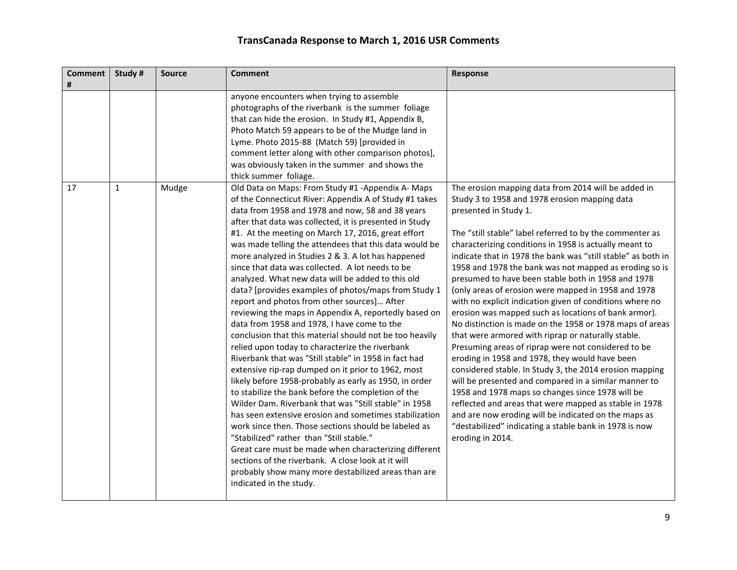| <b>Comment</b><br># | Study#       | <b>Source</b> | <b>Comment</b>                                                                                                                                                                                                                                                                                                                                                                                                                                                                                                                                                                                                                                                                                                                                                                                                                                                                                                                                                                                                                                                                                                                                                                                                                                                                                                                                                                                                                                                                                | Response                                                                                                                                                                                                                                                                                                                                                                                                                                                                                                                                                                                                                                                                                                                                                                                                                                                                                                                                                                                                                                                                                                                                                                                                          |
|---------------------|--------------|---------------|-----------------------------------------------------------------------------------------------------------------------------------------------------------------------------------------------------------------------------------------------------------------------------------------------------------------------------------------------------------------------------------------------------------------------------------------------------------------------------------------------------------------------------------------------------------------------------------------------------------------------------------------------------------------------------------------------------------------------------------------------------------------------------------------------------------------------------------------------------------------------------------------------------------------------------------------------------------------------------------------------------------------------------------------------------------------------------------------------------------------------------------------------------------------------------------------------------------------------------------------------------------------------------------------------------------------------------------------------------------------------------------------------------------------------------------------------------------------------------------------------|-------------------------------------------------------------------------------------------------------------------------------------------------------------------------------------------------------------------------------------------------------------------------------------------------------------------------------------------------------------------------------------------------------------------------------------------------------------------------------------------------------------------------------------------------------------------------------------------------------------------------------------------------------------------------------------------------------------------------------------------------------------------------------------------------------------------------------------------------------------------------------------------------------------------------------------------------------------------------------------------------------------------------------------------------------------------------------------------------------------------------------------------------------------------------------------------------------------------|
|                     |              |               | anyone encounters when trying to assemble<br>photographs of the riverbank is the summer foliage<br>that can hide the erosion. In Study #1, Appendix B,<br>Photo Match 59 appears to be of the Mudge land in<br>Lyme. Photo 2015-88 (Match 59) [provided in<br>comment letter along with other comparison photos],<br>was obviously taken in the summer and shows the<br>thick summer foliage.                                                                                                                                                                                                                                                                                                                                                                                                                                                                                                                                                                                                                                                                                                                                                                                                                                                                                                                                                                                                                                                                                                 |                                                                                                                                                                                                                                                                                                                                                                                                                                                                                                                                                                                                                                                                                                                                                                                                                                                                                                                                                                                                                                                                                                                                                                                                                   |
| 17                  | $\mathbf{1}$ | Mudge         | Old Data on Maps: From Study #1 -Appendix A- Maps<br>of the Connecticut River: Appendix A of Study #1 takes<br>data from 1958 and 1978 and now, 58 and 38 years<br>after that data was collected, it is presented in Study<br>#1. At the meeting on March 17, 2016, great effort<br>was made telling the attendees that this data would be<br>more analyzed in Studies 2 & 3. A lot has happened<br>since that data was collected. A lot needs to be<br>analyzed. What new data will be added to this old<br>data? [provides examples of photos/maps from Study 1<br>report and photos from other sources] After<br>reviewing the maps in Appendix A, reportedly based on<br>data from 1958 and 1978, I have come to the<br>conclusion that this material should not be too heavily<br>relied upon today to characterize the riverbank<br>Riverbank that was "Still stable" in 1958 in fact had<br>extensive rip-rap dumped on it prior to 1962, most<br>likely before 1958-probably as early as 1950, in order<br>to stabilize the bank before the completion of the<br>Wilder Dam. Riverbank that was "Still stable" in 1958<br>has seen extensive erosion and sometimes stabilization<br>work since then. Those sections should be labeled as<br>"Stabilized" rather than "Still stable."<br>Great care must be made when characterizing different<br>sections of the riverbank. A close look at it will<br>probably show many more destabilized areas than are<br>indicated in the study. | The erosion mapping data from 2014 will be added in<br>Study 3 to 1958 and 1978 erosion mapping data<br>presented in Study 1.<br>The "still stable" label referred to by the commenter as<br>characterizing conditions in 1958 is actually meant to<br>indicate that in 1978 the bank was "still stable" as both in<br>1958 and 1978 the bank was not mapped as eroding so is<br>presumed to have been stable both in 1958 and 1978<br>(only areas of erosion were mapped in 1958 and 1978<br>with no explicit indication given of conditions where no<br>erosion was mapped such as locations of bank armor).<br>No distinction is made on the 1958 or 1978 maps of areas<br>that were armored with riprap or naturally stable.<br>Presuming areas of riprap were not considered to be<br>eroding in 1958 and 1978, they would have been<br>considered stable. In Study 3, the 2014 erosion mapping<br>will be presented and compared in a similar manner to<br>1958 and 1978 maps so changes since 1978 will be<br>reflected and areas that were mapped as stable in 1978<br>and are now eroding will be indicated on the maps as<br>"destabilized" indicating a stable bank in 1978 is now<br>eroding in 2014. |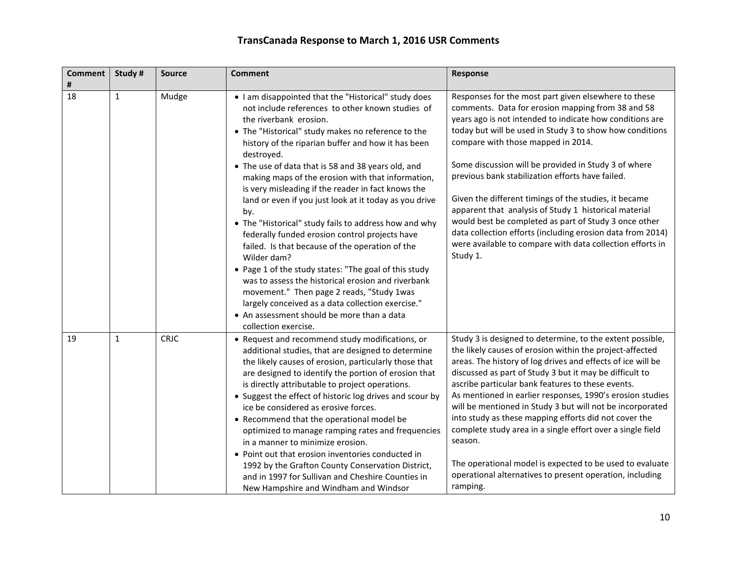| <b>Comment</b><br># | Study #      | <b>Source</b> | <b>Comment</b>                                                                                                                                                                                                                                                                                                                                                                                                                                                                                                                                                                                                                                                                                                                                                                                                                                                                                                                                                     | Response                                                                                                                                                                                                                                                                                                                                                                                                                                                                                                                                                                                                                                                                                              |
|---------------------|--------------|---------------|--------------------------------------------------------------------------------------------------------------------------------------------------------------------------------------------------------------------------------------------------------------------------------------------------------------------------------------------------------------------------------------------------------------------------------------------------------------------------------------------------------------------------------------------------------------------------------------------------------------------------------------------------------------------------------------------------------------------------------------------------------------------------------------------------------------------------------------------------------------------------------------------------------------------------------------------------------------------|-------------------------------------------------------------------------------------------------------------------------------------------------------------------------------------------------------------------------------------------------------------------------------------------------------------------------------------------------------------------------------------------------------------------------------------------------------------------------------------------------------------------------------------------------------------------------------------------------------------------------------------------------------------------------------------------------------|
| 18                  | $\mathbf{1}$ | Mudge         | • I am disappointed that the "Historical" study does<br>not include references to other known studies of<br>the riverbank erosion.<br>• The "Historical" study makes no reference to the<br>history of the riparian buffer and how it has been<br>destroyed.<br>• The use of data that is 58 and 38 years old, and<br>making maps of the erosion with that information,<br>is very misleading if the reader in fact knows the<br>land or even if you just look at it today as you drive<br>by.<br>• The "Historical" study fails to address how and why<br>federally funded erosion control projects have<br>failed. Is that because of the operation of the<br>Wilder dam?<br>• Page 1 of the study states: "The goal of this study<br>was to assess the historical erosion and riverbank<br>movement." Then page 2 reads, "Study 1was<br>largely conceived as a data collection exercise."<br>• An assessment should be more than a data<br>collection exercise. | Responses for the most part given elsewhere to these<br>comments. Data for erosion mapping from 38 and 58<br>years ago is not intended to indicate how conditions are<br>today but will be used in Study 3 to show how conditions<br>compare with those mapped in 2014.<br>Some discussion will be provided in Study 3 of where<br>previous bank stabilization efforts have failed.<br>Given the different timings of the studies, it became<br>apparent that analysis of Study 1 historical material<br>would best be completed as part of Study 3 once other<br>data collection efforts (including erosion data from 2014)<br>were available to compare with data collection efforts in<br>Study 1. |
| 19                  | $\mathbf{1}$ | <b>CRJC</b>   | • Request and recommend study modifications, or<br>additional studies, that are designed to determine<br>the likely causes of erosion, particularly those that<br>are designed to identify the portion of erosion that<br>is directly attributable to project operations.<br>• Suggest the effect of historic log drives and scour by<br>ice be considered as erosive forces.<br>• Recommend that the operational model be<br>optimized to manage ramping rates and frequencies<br>in a manner to minimize erosion.<br>• Point out that erosion inventories conducted in<br>1992 by the Grafton County Conservation District,<br>and in 1997 for Sullivan and Cheshire Counties in<br>New Hampshire and Windham and Windsor                                                                                                                                                                                                                                        | Study 3 is designed to determine, to the extent possible,<br>the likely causes of erosion within the project-affected<br>areas. The history of log drives and effects of ice will be<br>discussed as part of Study 3 but it may be difficult to<br>ascribe particular bank features to these events.<br>As mentioned in earlier responses, 1990's erosion studies<br>will be mentioned in Study 3 but will not be incorporated<br>into study as these mapping efforts did not cover the<br>complete study area in a single effort over a single field<br>season.<br>The operational model is expected to be used to evaluate<br>operational alternatives to present operation, including<br>ramping.  |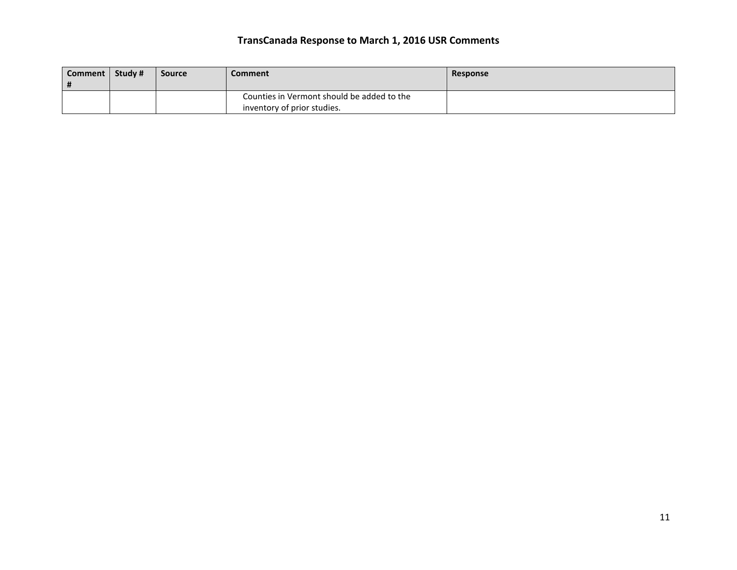| Comment   Study #<br># | <b>Source</b> | Comment                                                                   | <b>Response</b> |
|------------------------|---------------|---------------------------------------------------------------------------|-----------------|
|                        |               | Counties in Vermont should be added to the<br>inventory of prior studies. |                 |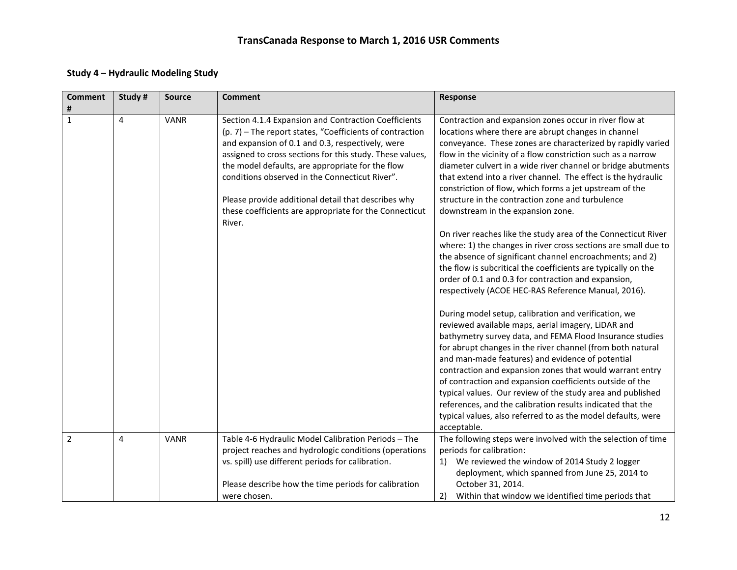### **Study 4 – Hydraulic Modeling Study**

| <b>Comment</b><br># | Study#         | <b>Source</b> | <b>Comment</b>                                                                                                                                                                                                                                                                                                                                                                                                                                                    | Response                                                                                                                                                                                                                                                                                                                                                                                                                                                                                                                                                                                                                    |
|---------------------|----------------|---------------|-------------------------------------------------------------------------------------------------------------------------------------------------------------------------------------------------------------------------------------------------------------------------------------------------------------------------------------------------------------------------------------------------------------------------------------------------------------------|-----------------------------------------------------------------------------------------------------------------------------------------------------------------------------------------------------------------------------------------------------------------------------------------------------------------------------------------------------------------------------------------------------------------------------------------------------------------------------------------------------------------------------------------------------------------------------------------------------------------------------|
| $\mathbf{1}$        | $\overline{4}$ | <b>VANR</b>   | Section 4.1.4 Expansion and Contraction Coefficients<br>(p. 7) – The report states, "Coefficients of contraction<br>and expansion of 0.1 and 0.3, respectively, were<br>assigned to cross sections for this study. These values,<br>the model defaults, are appropriate for the flow<br>conditions observed in the Connecticut River".<br>Please provide additional detail that describes why<br>these coefficients are appropriate for the Connecticut<br>River. | Contraction and expansion zones occur in river flow at<br>locations where there are abrupt changes in channel<br>conveyance. These zones are characterized by rapidly varied<br>flow in the vicinity of a flow constriction such as a narrow<br>diameter culvert in a wide river channel or bridge abutments<br>that extend into a river channel. The effect is the hydraulic<br>constriction of flow, which forms a jet upstream of the<br>structure in the contraction zone and turbulence<br>downstream in the expansion zone.                                                                                           |
|                     |                |               |                                                                                                                                                                                                                                                                                                                                                                                                                                                                   | On river reaches like the study area of the Connecticut River<br>where: 1) the changes in river cross sections are small due to<br>the absence of significant channel encroachments; and 2)<br>the flow is subcritical the coefficients are typically on the<br>order of 0.1 and 0.3 for contraction and expansion,<br>respectively (ACOE HEC-RAS Reference Manual, 2016).                                                                                                                                                                                                                                                  |
|                     |                |               |                                                                                                                                                                                                                                                                                                                                                                                                                                                                   | During model setup, calibration and verification, we<br>reviewed available maps, aerial imagery, LiDAR and<br>bathymetry survey data, and FEMA Flood Insurance studies<br>for abrupt changes in the river channel (from both natural<br>and man-made features) and evidence of potential<br>contraction and expansion zones that would warrant entry<br>of contraction and expansion coefficients outside of the<br>typical values. Our review of the study area and published<br>references, and the calibration results indicated that the<br>typical values, also referred to as the model defaults, were<br>acceptable. |
| $\overline{2}$      | $\overline{4}$ | <b>VANR</b>   | Table 4-6 Hydraulic Model Calibration Periods - The<br>project reaches and hydrologic conditions (operations<br>vs. spill) use different periods for calibration.<br>Please describe how the time periods for calibration<br>were chosen.                                                                                                                                                                                                                         | The following steps were involved with the selection of time<br>periods for calibration:<br>We reviewed the window of 2014 Study 2 logger<br>1)<br>deployment, which spanned from June 25, 2014 to<br>October 31, 2014.<br>2)<br>Within that window we identified time periods that                                                                                                                                                                                                                                                                                                                                         |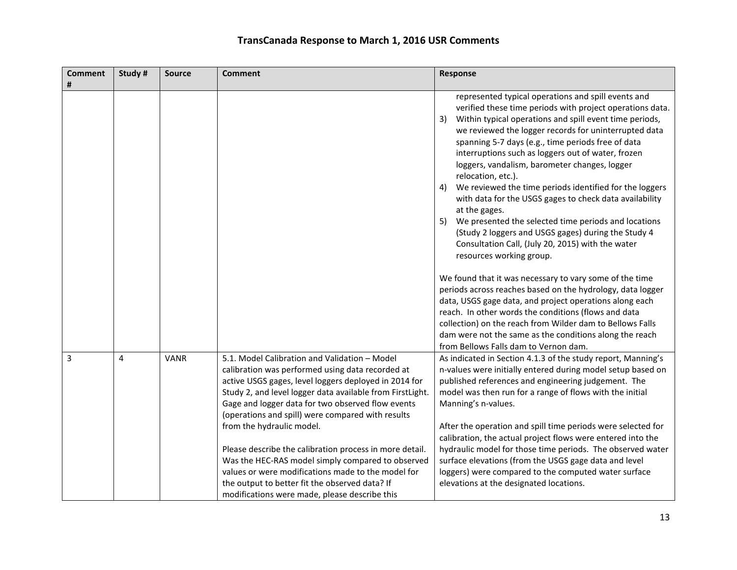| <b>Comment</b> | Study# | <b>Source</b> | <b>Comment</b>                                                                                                                                                                                                                                                                                                                                                                                                                                                                                                                                                                         | Response                                                                                                                                                                                                                                                                                                                                                                                                                                                                                                                                                                                                                                                                                                                                                                         |
|----------------|--------|---------------|----------------------------------------------------------------------------------------------------------------------------------------------------------------------------------------------------------------------------------------------------------------------------------------------------------------------------------------------------------------------------------------------------------------------------------------------------------------------------------------------------------------------------------------------------------------------------------------|----------------------------------------------------------------------------------------------------------------------------------------------------------------------------------------------------------------------------------------------------------------------------------------------------------------------------------------------------------------------------------------------------------------------------------------------------------------------------------------------------------------------------------------------------------------------------------------------------------------------------------------------------------------------------------------------------------------------------------------------------------------------------------|
| #              |        |               |                                                                                                                                                                                                                                                                                                                                                                                                                                                                                                                                                                                        |                                                                                                                                                                                                                                                                                                                                                                                                                                                                                                                                                                                                                                                                                                                                                                                  |
|                |        |               |                                                                                                                                                                                                                                                                                                                                                                                                                                                                                                                                                                                        | represented typical operations and spill events and<br>verified these time periods with project operations data.<br>3)<br>Within typical operations and spill event time periods,<br>we reviewed the logger records for uninterrupted data<br>spanning 5-7 days (e.g., time periods free of data<br>interruptions such as loggers out of water, frozen<br>loggers, vandalism, barometer changes, logger<br>relocation, etc.).<br>We reviewed the time periods identified for the loggers<br>4)<br>with data for the USGS gages to check data availability<br>at the gages.<br>We presented the selected time periods and locations<br>5)<br>(Study 2 loggers and USGS gages) during the Study 4<br>Consultation Call, (July 20, 2015) with the water<br>resources working group. |
|                |        |               |                                                                                                                                                                                                                                                                                                                                                                                                                                                                                                                                                                                        | We found that it was necessary to vary some of the time<br>periods across reaches based on the hydrology, data logger<br>data, USGS gage data, and project operations along each<br>reach. In other words the conditions (flows and data<br>collection) on the reach from Wilder dam to Bellows Falls<br>dam were not the same as the conditions along the reach<br>from Bellows Falls dam to Vernon dam.                                                                                                                                                                                                                                                                                                                                                                        |
| 3              | 4      | <b>VANR</b>   | 5.1. Model Calibration and Validation - Model<br>calibration was performed using data recorded at<br>active USGS gages, level loggers deployed in 2014 for<br>Study 2, and level logger data available from FirstLight.<br>Gage and logger data for two observed flow events<br>(operations and spill) were compared with results<br>from the hydraulic model.<br>Please describe the calibration process in more detail.<br>Was the HEC-RAS model simply compared to observed<br>values or were modifications made to the model for<br>the output to better fit the observed data? If | As indicated in Section 4.1.3 of the study report, Manning's<br>n-values were initially entered during model setup based on<br>published references and engineering judgement. The<br>model was then run for a range of flows with the initial<br>Manning's n-values.<br>After the operation and spill time periods were selected for<br>calibration, the actual project flows were entered into the<br>hydraulic model for those time periods. The observed water<br>surface elevations (from the USGS gage data and level<br>loggers) were compared to the computed water surface<br>elevations at the designated locations.                                                                                                                                                   |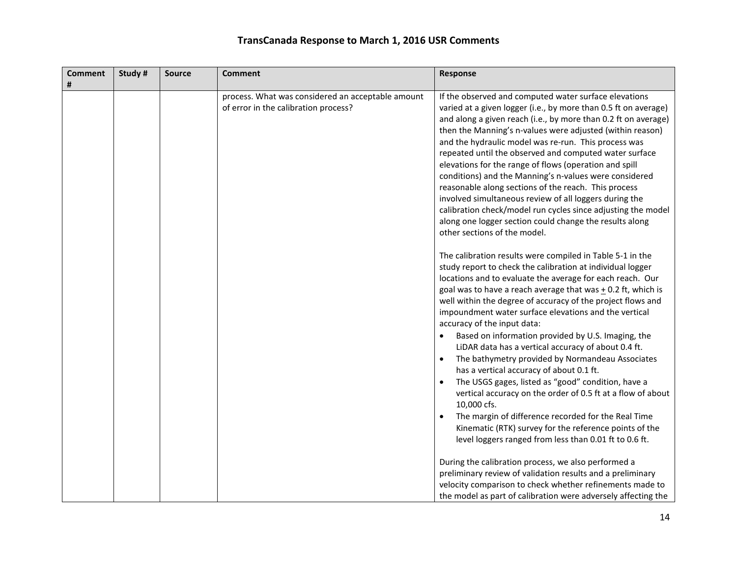| <b>Comment</b><br># | Study# | <b>Source</b> | <b>Comment</b>                                                                            | Response                                                                                                                                                                                                                                                                                                                                                                                                                                                                                                                                                                                                                                                                                                                                                                                                                                                                                                                           |
|---------------------|--------|---------------|-------------------------------------------------------------------------------------------|------------------------------------------------------------------------------------------------------------------------------------------------------------------------------------------------------------------------------------------------------------------------------------------------------------------------------------------------------------------------------------------------------------------------------------------------------------------------------------------------------------------------------------------------------------------------------------------------------------------------------------------------------------------------------------------------------------------------------------------------------------------------------------------------------------------------------------------------------------------------------------------------------------------------------------|
|                     |        |               | process. What was considered an acceptable amount<br>of error in the calibration process? | If the observed and computed water surface elevations<br>varied at a given logger (i.e., by more than 0.5 ft on average)<br>and along a given reach (i.e., by more than 0.2 ft on average)<br>then the Manning's n-values were adjusted (within reason)<br>and the hydraulic model was re-run. This process was<br>repeated until the observed and computed water surface<br>elevations for the range of flows (operation and spill<br>conditions) and the Manning's n-values were considered<br>reasonable along sections of the reach. This process<br>involved simultaneous review of all loggers during the<br>calibration check/model run cycles since adjusting the model<br>along one logger section could change the results along<br>other sections of the model.<br>The calibration results were compiled in Table 5-1 in the                                                                                            |
|                     |        |               |                                                                                           | study report to check the calibration at individual logger<br>locations and to evaluate the average for each reach. Our<br>goal was to have a reach average that was $\pm$ 0.2 ft, which is<br>well within the degree of accuracy of the project flows and<br>impoundment water surface elevations and the vertical<br>accuracy of the input data:<br>Based on information provided by U.S. Imaging, the<br>$\bullet$<br>LiDAR data has a vertical accuracy of about 0.4 ft.<br>The bathymetry provided by Normandeau Associates<br>$\bullet$<br>has a vertical accuracy of about 0.1 ft.<br>The USGS gages, listed as "good" condition, have a<br>$\bullet$<br>vertical accuracy on the order of 0.5 ft at a flow of about<br>10,000 cfs.<br>The margin of difference recorded for the Real Time<br>$\bullet$<br>Kinematic (RTK) survey for the reference points of the<br>level loggers ranged from less than 0.01 ft to 0.6 ft. |
|                     |        |               |                                                                                           | During the calibration process, we also performed a<br>preliminary review of validation results and a preliminary<br>velocity comparison to check whether refinements made to<br>the model as part of calibration were adversely affecting the                                                                                                                                                                                                                                                                                                                                                                                                                                                                                                                                                                                                                                                                                     |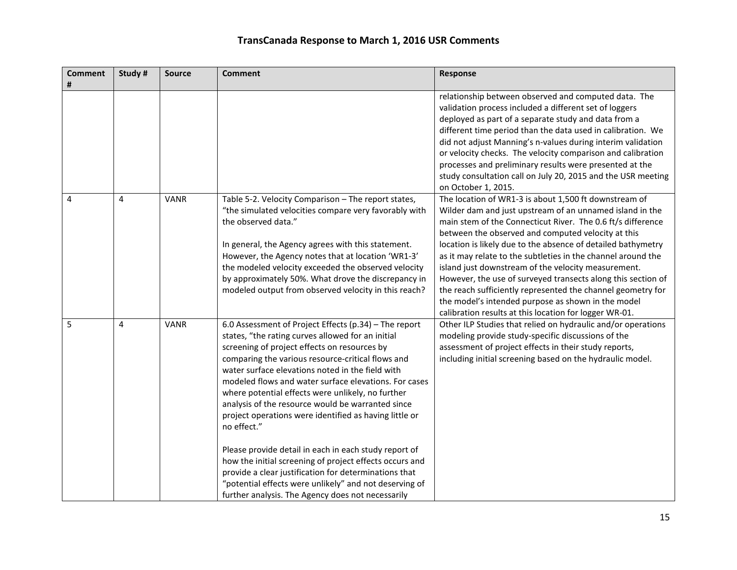| <b>Comment</b> | Study #        | <b>Source</b> | <b>Comment</b>                                                                                                                                                                                                                                                                                                                                                                                                                                                                                                                                                                                                                                                                                                                                                                                              | Response                                                                                                                                                                                                                                                                                                                                                                                                                                                                                                                                                                                                                                                                     |
|----------------|----------------|---------------|-------------------------------------------------------------------------------------------------------------------------------------------------------------------------------------------------------------------------------------------------------------------------------------------------------------------------------------------------------------------------------------------------------------------------------------------------------------------------------------------------------------------------------------------------------------------------------------------------------------------------------------------------------------------------------------------------------------------------------------------------------------------------------------------------------------|------------------------------------------------------------------------------------------------------------------------------------------------------------------------------------------------------------------------------------------------------------------------------------------------------------------------------------------------------------------------------------------------------------------------------------------------------------------------------------------------------------------------------------------------------------------------------------------------------------------------------------------------------------------------------|
|                |                |               |                                                                                                                                                                                                                                                                                                                                                                                                                                                                                                                                                                                                                                                                                                                                                                                                             | relationship between observed and computed data. The<br>validation process included a different set of loggers<br>deployed as part of a separate study and data from a<br>different time period than the data used in calibration. We<br>did not adjust Manning's n-values during interim validation<br>or velocity checks. The velocity comparison and calibration<br>processes and preliminary results were presented at the<br>study consultation call on July 20, 2015 and the USR meeting<br>on October 1, 2015.                                                                                                                                                        |
| 4              | $\overline{4}$ | <b>VANR</b>   | Table 5-2. Velocity Comparison - The report states,<br>"the simulated velocities compare very favorably with<br>the observed data."<br>In general, the Agency agrees with this statement.<br>However, the Agency notes that at location 'WR1-3'<br>the modeled velocity exceeded the observed velocity<br>by approximately 50%. What drove the discrepancy in<br>modeled output from observed velocity in this reach?                                                                                                                                                                                                                                                                                                                                                                                       | The location of WR1-3 is about 1,500 ft downstream of<br>Wilder dam and just upstream of an unnamed island in the<br>main stem of the Connecticut River. The 0.6 ft/s difference<br>between the observed and computed velocity at this<br>location is likely due to the absence of detailed bathymetry<br>as it may relate to the subtleties in the channel around the<br>island just downstream of the velocity measurement.<br>However, the use of surveyed transects along this section of<br>the reach sufficiently represented the channel geometry for<br>the model's intended purpose as shown in the model<br>calibration results at this location for logger WR-01. |
| 5              | $\overline{4}$ | <b>VANR</b>   | 6.0 Assessment of Project Effects (p.34) - The report<br>states, "the rating curves allowed for an initial<br>screening of project effects on resources by<br>comparing the various resource-critical flows and<br>water surface elevations noted in the field with<br>modeled flows and water surface elevations. For cases<br>where potential effects were unlikely, no further<br>analysis of the resource would be warranted since<br>project operations were identified as having little or<br>no effect."<br>Please provide detail in each in each study report of<br>how the initial screening of project effects occurs and<br>provide a clear justification for determinations that<br>"potential effects were unlikely" and not deserving of<br>further analysis. The Agency does not necessarily | Other ILP Studies that relied on hydraulic and/or operations<br>modeling provide study-specific discussions of the<br>assessment of project effects in their study reports,<br>including initial screening based on the hydraulic model.                                                                                                                                                                                                                                                                                                                                                                                                                                     |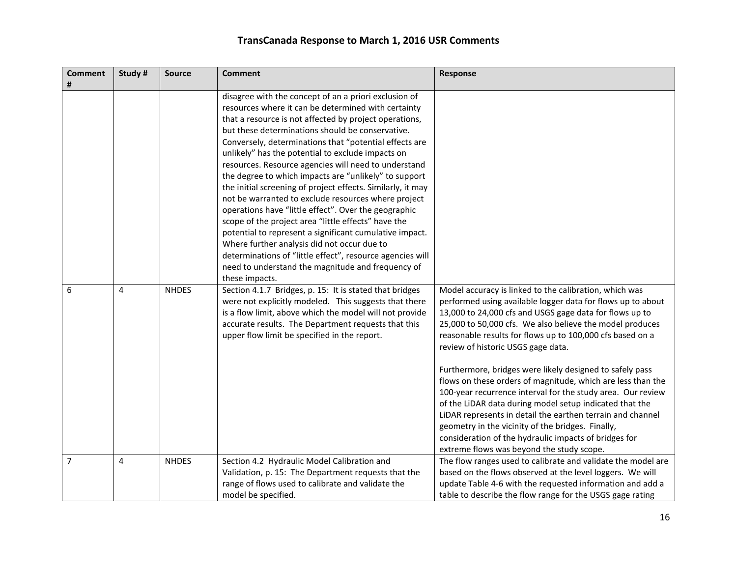| <b>Comment</b><br># | Study#         | <b>Source</b> | <b>Comment</b>                                                                                                                                                                                                                                                                                                                                                                                                                                                                                                                                                                                                                                                                                                                                                                                                                                                                                                                                | <b>Response</b>                                                                                                                                                                                                                                                                                                                                                                                                                                                                                                                                                                                                                                                                                                                                                                                                               |
|---------------------|----------------|---------------|-----------------------------------------------------------------------------------------------------------------------------------------------------------------------------------------------------------------------------------------------------------------------------------------------------------------------------------------------------------------------------------------------------------------------------------------------------------------------------------------------------------------------------------------------------------------------------------------------------------------------------------------------------------------------------------------------------------------------------------------------------------------------------------------------------------------------------------------------------------------------------------------------------------------------------------------------|-------------------------------------------------------------------------------------------------------------------------------------------------------------------------------------------------------------------------------------------------------------------------------------------------------------------------------------------------------------------------------------------------------------------------------------------------------------------------------------------------------------------------------------------------------------------------------------------------------------------------------------------------------------------------------------------------------------------------------------------------------------------------------------------------------------------------------|
|                     |                |               | disagree with the concept of an a priori exclusion of<br>resources where it can be determined with certainty<br>that a resource is not affected by project operations,<br>but these determinations should be conservative.<br>Conversely, determinations that "potential effects are<br>unlikely" has the potential to exclude impacts on<br>resources. Resource agencies will need to understand<br>the degree to which impacts are "unlikely" to support<br>the initial screening of project effects. Similarly, it may<br>not be warranted to exclude resources where project<br>operations have "little effect". Over the geographic<br>scope of the project area "little effects" have the<br>potential to represent a significant cumulative impact.<br>Where further analysis did not occur due to<br>determinations of "little effect", resource agencies will<br>need to understand the magnitude and frequency of<br>these impacts. |                                                                                                                                                                                                                                                                                                                                                                                                                                                                                                                                                                                                                                                                                                                                                                                                                               |
| 6                   | $\overline{4}$ | <b>NHDES</b>  | Section 4.1.7 Bridges, p. 15: It is stated that bridges<br>were not explicitly modeled. This suggests that there<br>is a flow limit, above which the model will not provide<br>accurate results. The Department requests that this<br>upper flow limit be specified in the report.                                                                                                                                                                                                                                                                                                                                                                                                                                                                                                                                                                                                                                                            | Model accuracy is linked to the calibration, which was<br>performed using available logger data for flows up to about<br>13,000 to 24,000 cfs and USGS gage data for flows up to<br>25,000 to 50,000 cfs. We also believe the model produces<br>reasonable results for flows up to 100,000 cfs based on a<br>review of historic USGS gage data.<br>Furthermore, bridges were likely designed to safely pass<br>flows on these orders of magnitude, which are less than the<br>100-year recurrence interval for the study area. Our review<br>of the LiDAR data during model setup indicated that the<br>LiDAR represents in detail the earthen terrain and channel<br>geometry in the vicinity of the bridges. Finally,<br>consideration of the hydraulic impacts of bridges for<br>extreme flows was beyond the study scope. |
| $\overline{7}$      | $\overline{4}$ | <b>NHDES</b>  | Section 4.2 Hydraulic Model Calibration and<br>Validation, p. 15: The Department requests that the<br>range of flows used to calibrate and validate the<br>model be specified.                                                                                                                                                                                                                                                                                                                                                                                                                                                                                                                                                                                                                                                                                                                                                                | The flow ranges used to calibrate and validate the model are<br>based on the flows observed at the level loggers. We will<br>update Table 4-6 with the requested information and add a<br>table to describe the flow range for the USGS gage rating                                                                                                                                                                                                                                                                                                                                                                                                                                                                                                                                                                           |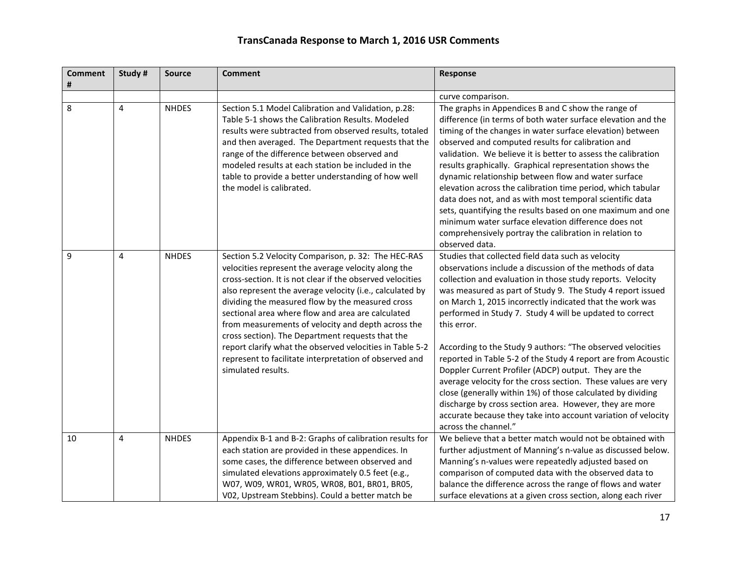| <b>Comment</b> | Study #        | <b>Source</b> | <b>Comment</b>                                                                                                                                                                                                                                                                                                                                                                                                                                                                                                                                                                                     | <b>Response</b>                                                                                                                                                                                                                                                                                                                                                                                                                                                                                                                                                                                                                                                                                                                                                                                                                                              |
|----------------|----------------|---------------|----------------------------------------------------------------------------------------------------------------------------------------------------------------------------------------------------------------------------------------------------------------------------------------------------------------------------------------------------------------------------------------------------------------------------------------------------------------------------------------------------------------------------------------------------------------------------------------------------|--------------------------------------------------------------------------------------------------------------------------------------------------------------------------------------------------------------------------------------------------------------------------------------------------------------------------------------------------------------------------------------------------------------------------------------------------------------------------------------------------------------------------------------------------------------------------------------------------------------------------------------------------------------------------------------------------------------------------------------------------------------------------------------------------------------------------------------------------------------|
| #              |                |               |                                                                                                                                                                                                                                                                                                                                                                                                                                                                                                                                                                                                    | curve comparison.                                                                                                                                                                                                                                                                                                                                                                                                                                                                                                                                                                                                                                                                                                                                                                                                                                            |
| 8              | 4              | <b>NHDES</b>  | Section 5.1 Model Calibration and Validation, p.28:<br>Table 5-1 shows the Calibration Results. Modeled<br>results were subtracted from observed results, totaled<br>and then averaged. The Department requests that the<br>range of the difference between observed and<br>modeled results at each station be included in the<br>table to provide a better understanding of how well<br>the model is calibrated.                                                                                                                                                                                  | The graphs in Appendices B and C show the range of<br>difference (in terms of both water surface elevation and the<br>timing of the changes in water surface elevation) between<br>observed and computed results for calibration and<br>validation. We believe it is better to assess the calibration<br>results graphically. Graphical representation shows the<br>dynamic relationship between flow and water surface<br>elevation across the calibration time period, which tabular<br>data does not, and as with most temporal scientific data<br>sets, quantifying the results based on one maximum and one<br>minimum water surface elevation difference does not<br>comprehensively portray the calibration in relation to<br>observed data.                                                                                                          |
| 9              | 4              | <b>NHDES</b>  | Section 5.2 Velocity Comparison, p. 32: The HEC-RAS<br>velocities represent the average velocity along the<br>cross-section. It is not clear if the observed velocities<br>also represent the average velocity (i.e., calculated by<br>dividing the measured flow by the measured cross<br>sectional area where flow and area are calculated<br>from measurements of velocity and depth across the<br>cross section). The Department requests that the<br>report clarify what the observed velocities in Table 5-2<br>represent to facilitate interpretation of observed and<br>simulated results. | Studies that collected field data such as velocity<br>observations include a discussion of the methods of data<br>collection and evaluation in those study reports. Velocity<br>was measured as part of Study 9. The Study 4 report issued<br>on March 1, 2015 incorrectly indicated that the work was<br>performed in Study 7. Study 4 will be updated to correct<br>this error.<br>According to the Study 9 authors: "The observed velocities<br>reported in Table 5-2 of the Study 4 report are from Acoustic<br>Doppler Current Profiler (ADCP) output. They are the<br>average velocity for the cross section. These values are very<br>close (generally within 1%) of those calculated by dividing<br>discharge by cross section area. However, they are more<br>accurate because they take into account variation of velocity<br>across the channel." |
| 10             | $\overline{4}$ | <b>NHDES</b>  | Appendix B-1 and B-2: Graphs of calibration results for<br>each station are provided in these appendices. In<br>some cases, the difference between observed and<br>simulated elevations approximately 0.5 feet (e.g.,<br>W07, W09, WR01, WR05, WR08, B01, BR01, BR05,<br>V02, Upstream Stebbins). Could a better match be                                                                                                                                                                                                                                                                          | We believe that a better match would not be obtained with<br>further adjustment of Manning's n-value as discussed below.<br>Manning's n-values were repeatedly adjusted based on<br>comparison of computed data with the observed data to<br>balance the difference across the range of flows and water<br>surface elevations at a given cross section, along each river                                                                                                                                                                                                                                                                                                                                                                                                                                                                                     |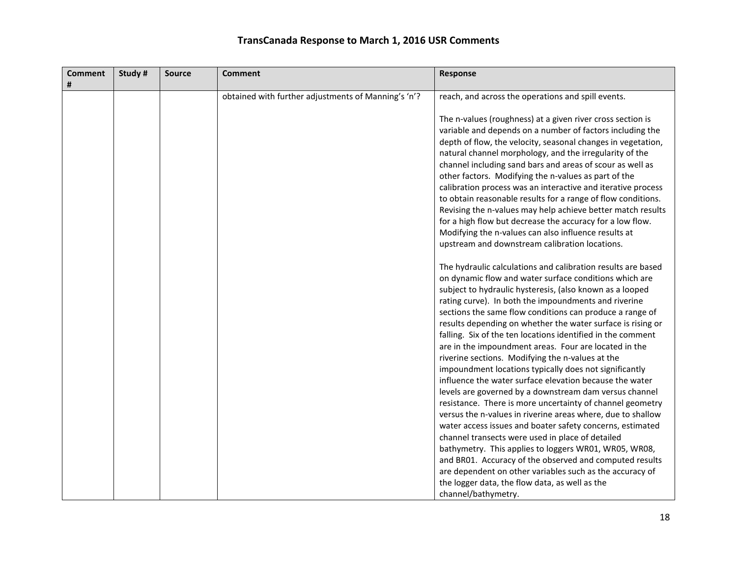| <b>Comment</b><br># | Study# | <b>Source</b> | <b>Comment</b>                                      | Response                                                                                                                                                                                                                                                                                                                                                                                                                                                                                                                                                                                                                                                                                    |
|---------------------|--------|---------------|-----------------------------------------------------|---------------------------------------------------------------------------------------------------------------------------------------------------------------------------------------------------------------------------------------------------------------------------------------------------------------------------------------------------------------------------------------------------------------------------------------------------------------------------------------------------------------------------------------------------------------------------------------------------------------------------------------------------------------------------------------------|
|                     |        |               | obtained with further adjustments of Manning's 'n'? | reach, and across the operations and spill events.                                                                                                                                                                                                                                                                                                                                                                                                                                                                                                                                                                                                                                          |
|                     |        |               |                                                     | The n-values (roughness) at a given river cross section is<br>variable and depends on a number of factors including the<br>depth of flow, the velocity, seasonal changes in vegetation,<br>natural channel morphology, and the irregularity of the<br>channel including sand bars and areas of scour as well as<br>other factors. Modifying the n-values as part of the<br>calibration process was an interactive and iterative process<br>to obtain reasonable results for a range of flow conditions.<br>Revising the n-values may help achieve better match results<br>for a high flow but decrease the accuracy for a low flow.<br>Modifying the n-values can also influence results at |
|                     |        |               |                                                     | upstream and downstream calibration locations.                                                                                                                                                                                                                                                                                                                                                                                                                                                                                                                                                                                                                                              |
|                     |        |               |                                                     | The hydraulic calculations and calibration results are based<br>on dynamic flow and water surface conditions which are<br>subject to hydraulic hysteresis, (also known as a looped<br>rating curve). In both the impoundments and riverine<br>sections the same flow conditions can produce a range of<br>results depending on whether the water surface is rising or<br>falling. Six of the ten locations identified in the comment                                                                                                                                                                                                                                                        |
|                     |        |               |                                                     | are in the impoundment areas. Four are located in the<br>riverine sections. Modifying the n-values at the<br>impoundment locations typically does not significantly                                                                                                                                                                                                                                                                                                                                                                                                                                                                                                                         |
|                     |        |               |                                                     | influence the water surface elevation because the water<br>levels are governed by a downstream dam versus channel<br>resistance. There is more uncertainty of channel geometry                                                                                                                                                                                                                                                                                                                                                                                                                                                                                                              |
|                     |        |               |                                                     | versus the n-values in riverine areas where, due to shallow<br>water access issues and boater safety concerns, estimated                                                                                                                                                                                                                                                                                                                                                                                                                                                                                                                                                                    |
|                     |        |               |                                                     | channel transects were used in place of detailed<br>bathymetry. This applies to loggers WR01, WR05, WR08,                                                                                                                                                                                                                                                                                                                                                                                                                                                                                                                                                                                   |
|                     |        |               |                                                     | and BR01. Accuracy of the observed and computed results<br>are dependent on other variables such as the accuracy of                                                                                                                                                                                                                                                                                                                                                                                                                                                                                                                                                                         |
|                     |        |               |                                                     | the logger data, the flow data, as well as the<br>channel/bathymetry.                                                                                                                                                                                                                                                                                                                                                                                                                                                                                                                                                                                                                       |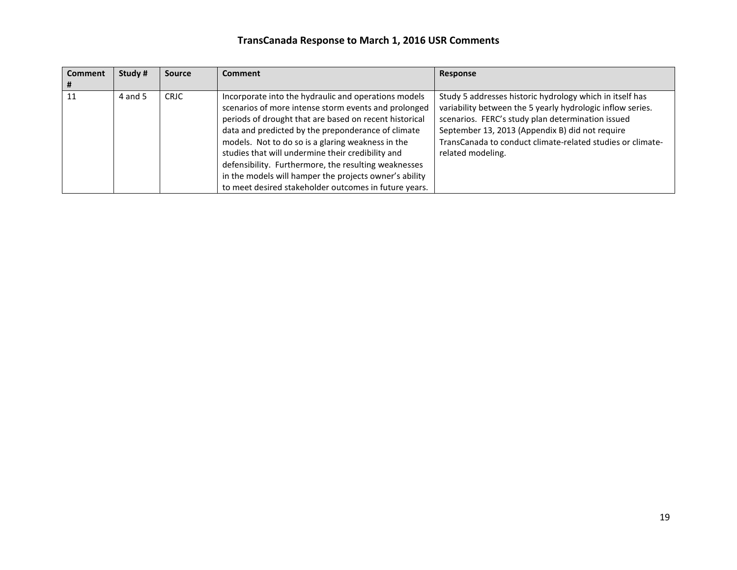| <b>Comment</b> | Study # | <b>Source</b> | <b>Comment</b>                                         | Response                                                   |
|----------------|---------|---------------|--------------------------------------------------------|------------------------------------------------------------|
|                |         |               |                                                        |                                                            |
| 11             | 4 and 5 | <b>CRJC</b>   | Incorporate into the hydraulic and operations models   | Study 5 addresses historic hydrology which in itself has   |
|                |         |               | scenarios of more intense storm events and prolonged   | variability between the 5 yearly hydrologic inflow series. |
|                |         |               | periods of drought that are based on recent historical | scenarios. FERC's study plan determination issued          |
|                |         |               | data and predicted by the preponderance of climate     | September 13, 2013 (Appendix B) did not require            |
|                |         |               | models. Not to do so is a glaring weakness in the      | TransCanada to conduct climate-related studies or climate- |
|                |         |               | studies that will undermine their credibility and      | related modeling.                                          |
|                |         |               | defensibility. Furthermore, the resulting weaknesses   |                                                            |
|                |         |               | in the models will hamper the projects owner's ability |                                                            |
|                |         |               | to meet desired stakeholder outcomes in future years.  |                                                            |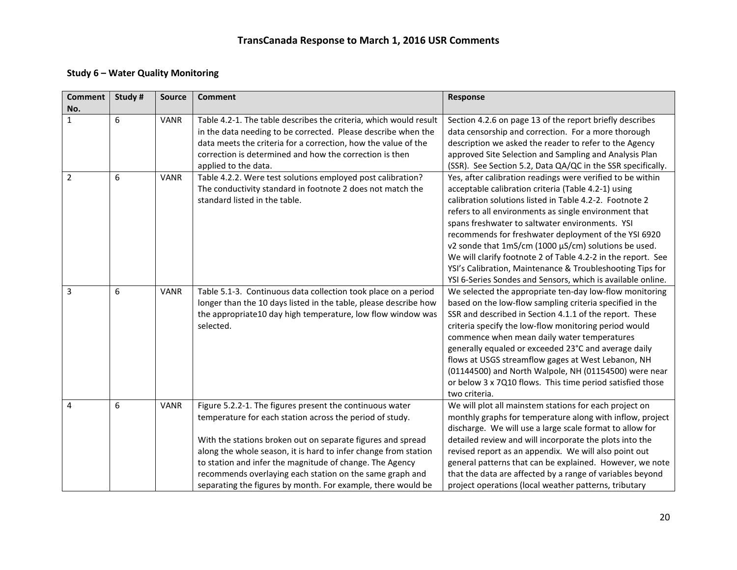#### **Study 6 – Water Quality Monitoring**

| <b>Comment</b><br>No. | Study # | <b>Source</b> | <b>Comment</b>                                                                                                                                                                                                                                                                                                                                                                                                                                 | Response                                                                                                                                                                                                                                                                                                                                                                                                                                                                                                                                                                                             |
|-----------------------|---------|---------------|------------------------------------------------------------------------------------------------------------------------------------------------------------------------------------------------------------------------------------------------------------------------------------------------------------------------------------------------------------------------------------------------------------------------------------------------|------------------------------------------------------------------------------------------------------------------------------------------------------------------------------------------------------------------------------------------------------------------------------------------------------------------------------------------------------------------------------------------------------------------------------------------------------------------------------------------------------------------------------------------------------------------------------------------------------|
| $\mathbf{1}$          | 6       | <b>VANR</b>   | Table 4.2-1. The table describes the criteria, which would result<br>in the data needing to be corrected. Please describe when the<br>data meets the criteria for a correction, how the value of the<br>correction is determined and how the correction is then                                                                                                                                                                                | Section 4.2.6 on page 13 of the report briefly describes<br>data censorship and correction. For a more thorough<br>description we asked the reader to refer to the Agency                                                                                                                                                                                                                                                                                                                                                                                                                            |
|                       |         |               | applied to the data.                                                                                                                                                                                                                                                                                                                                                                                                                           | approved Site Selection and Sampling and Analysis Plan<br>(SSR). See Section 5.2, Data QA/QC in the SSR specifically.                                                                                                                                                                                                                                                                                                                                                                                                                                                                                |
| $\overline{2}$        | 6       | <b>VANR</b>   | Table 4.2.2. Were test solutions employed post calibration?<br>The conductivity standard in footnote 2 does not match the<br>standard listed in the table.                                                                                                                                                                                                                                                                                     | Yes, after calibration readings were verified to be within<br>acceptable calibration criteria (Table 4.2-1) using<br>calibration solutions listed in Table 4.2-2. Footnote 2<br>refers to all environments as single environment that<br>spans freshwater to saltwater environments. YSI<br>recommends for freshwater deployment of the YSI 6920<br>v2 sonde that 1mS/cm (1000 µS/cm) solutions be used.<br>We will clarify footnote 2 of Table 4.2-2 in the report. See<br>YSI's Calibration, Maintenance & Troubleshooting Tips for<br>YSI 6-Series Sondes and Sensors, which is available online. |
| $\overline{3}$        | 6       | <b>VANR</b>   | Table 5.1-3. Continuous data collection took place on a period<br>longer than the 10 days listed in the table, please describe how<br>the appropriate10 day high temperature, low flow window was<br>selected.                                                                                                                                                                                                                                 | We selected the appropriate ten-day low-flow monitoring<br>based on the low-flow sampling criteria specified in the<br>SSR and described in Section 4.1.1 of the report. These<br>criteria specify the low-flow monitoring period would<br>commence when mean daily water temperatures<br>generally equaled or exceeded 23°C and average daily<br>flows at USGS streamflow gages at West Lebanon, NH<br>(01144500) and North Walpole, NH (01154500) were near<br>or below 3 x 7Q10 flows. This time period satisfied those<br>two criteria.                                                          |
| 4                     | 6       | <b>VANR</b>   | Figure 5.2.2-1. The figures present the continuous water<br>temperature for each station across the period of study.<br>With the stations broken out on separate figures and spread<br>along the whole season, it is hard to infer change from station<br>to station and infer the magnitude of change. The Agency<br>recommends overlaying each station on the same graph and<br>separating the figures by month. For example, there would be | We will plot all mainstem stations for each project on<br>monthly graphs for temperature along with inflow, project<br>discharge. We will use a large scale format to allow for<br>detailed review and will incorporate the plots into the<br>revised report as an appendix. We will also point out<br>general patterns that can be explained. However, we note<br>that the data are affected by a range of variables beyond<br>project operations (local weather patterns, tributary                                                                                                                |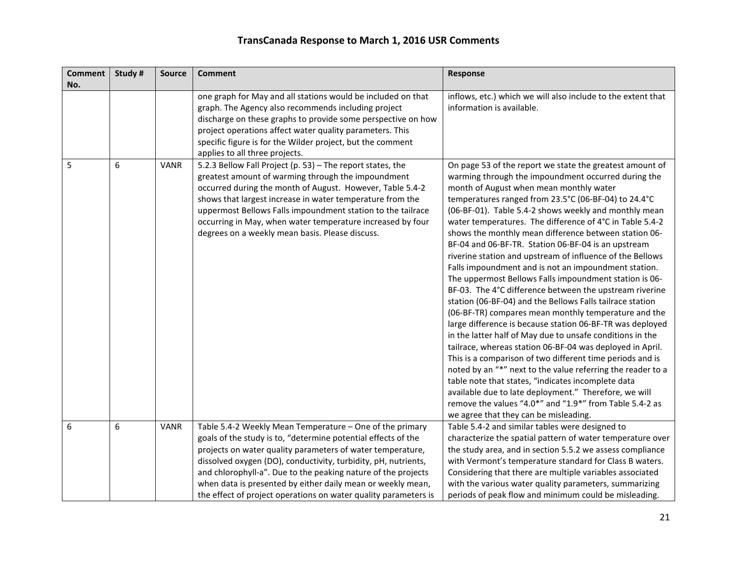| <b>Comment</b> | Study # | <b>Source</b> | <b>Comment</b>                                                                                                                                                                                                                                                                                                                                                                                                                                               | <b>Response</b>                                                                                                                                                                                                                                                                                                                                                                                                                                                                                                                                                                                                                                                                                                                                                                                                                                                                                                                                                                                                                                                                                                                                                                                                                                                                                                                                              |
|----------------|---------|---------------|--------------------------------------------------------------------------------------------------------------------------------------------------------------------------------------------------------------------------------------------------------------------------------------------------------------------------------------------------------------------------------------------------------------------------------------------------------------|--------------------------------------------------------------------------------------------------------------------------------------------------------------------------------------------------------------------------------------------------------------------------------------------------------------------------------------------------------------------------------------------------------------------------------------------------------------------------------------------------------------------------------------------------------------------------------------------------------------------------------------------------------------------------------------------------------------------------------------------------------------------------------------------------------------------------------------------------------------------------------------------------------------------------------------------------------------------------------------------------------------------------------------------------------------------------------------------------------------------------------------------------------------------------------------------------------------------------------------------------------------------------------------------------------------------------------------------------------------|
| No.            |         |               | one graph for May and all stations would be included on that<br>graph. The Agency also recommends including project<br>discharge on these graphs to provide some perspective on how<br>project operations affect water quality parameters. This<br>specific figure is for the Wilder project, but the comment<br>applies to all three projects.                                                                                                              | inflows, etc.) which we will also include to the extent that<br>information is available.                                                                                                                                                                                                                                                                                                                                                                                                                                                                                                                                                                                                                                                                                                                                                                                                                                                                                                                                                                                                                                                                                                                                                                                                                                                                    |
| 5              | 6       | <b>VANR</b>   | 5.2.3 Bellow Fall Project (p. 53) - The report states, the<br>greatest amount of warming through the impoundment<br>occurred during the month of August. However, Table 5.4-2<br>shows that largest increase in water temperature from the<br>uppermost Bellows Falls impoundment station to the tailrace<br>occurring in May, when water temperature increased by four<br>degrees on a weekly mean basis. Please discuss.                                   | On page 53 of the report we state the greatest amount of<br>warming through the impoundment occurred during the<br>month of August when mean monthly water<br>temperatures ranged from 23.5°C (06-BF-04) to 24.4°C<br>(06-BF-01). Table 5.4-2 shows weekly and monthly mean<br>water temperatures. The difference of 4°C in Table 5.4-2<br>shows the monthly mean difference between station 06-<br>BF-04 and 06-BF-TR. Station 06-BF-04 is an upstream<br>riverine station and upstream of influence of the Bellows<br>Falls impoundment and is not an impoundment station.<br>The uppermost Bellows Falls impoundment station is 06-<br>BF-03. The 4°C difference between the upstream riverine<br>station (06-BF-04) and the Bellows Falls tailrace station<br>(06-BF-TR) compares mean monthly temperature and the<br>large difference is because station 06-BF-TR was deployed<br>in the latter half of May due to unsafe conditions in the<br>tailrace, whereas station 06-BF-04 was deployed in April.<br>This is a comparison of two different time periods and is<br>noted by an "*" next to the value referring the reader to a<br>table note that states, "indicates incomplete data<br>available due to late deployment." Therefore, we will<br>remove the values "4.0*" and "1.9*" from Table 5.4-2 as<br>we agree that they can be misleading. |
| 6              | 6       | <b>VANR</b>   | Table 5.4-2 Weekly Mean Temperature - One of the primary<br>goals of the study is to, "determine potential effects of the<br>projects on water quality parameters of water temperature,<br>dissolved oxygen (DO), conductivity, turbidity, pH, nutrients,<br>and chlorophyll-a". Due to the peaking nature of the projects<br>when data is presented by either daily mean or weekly mean,<br>the effect of project operations on water quality parameters is | Table 5.4-2 and similar tables were designed to<br>characterize the spatial pattern of water temperature over<br>the study area, and in section 5.5.2 we assess compliance<br>with Vermont's temperature standard for Class B waters.<br>Considering that there are multiple variables associated<br>with the various water quality parameters, summarizing<br>periods of peak flow and minimum could be misleading.                                                                                                                                                                                                                                                                                                                                                                                                                                                                                                                                                                                                                                                                                                                                                                                                                                                                                                                                         |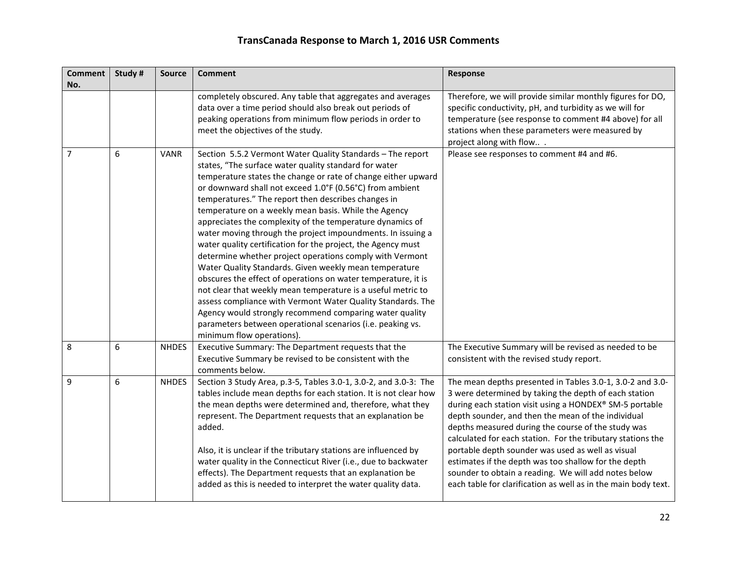| <b>Comment</b><br>No. | Study # | <b>Source</b> | <b>Comment</b>                                                                                                                                                                                                                                                                                                                                                                                                                                                                                                                                                                                                                                                                                                                                                                                                                                                                                                                                                                                                                          | Response                                                                                                                                                                                                                                                                                                                                                                                                                                                                                                                                                                                        |
|-----------------------|---------|---------------|-----------------------------------------------------------------------------------------------------------------------------------------------------------------------------------------------------------------------------------------------------------------------------------------------------------------------------------------------------------------------------------------------------------------------------------------------------------------------------------------------------------------------------------------------------------------------------------------------------------------------------------------------------------------------------------------------------------------------------------------------------------------------------------------------------------------------------------------------------------------------------------------------------------------------------------------------------------------------------------------------------------------------------------------|-------------------------------------------------------------------------------------------------------------------------------------------------------------------------------------------------------------------------------------------------------------------------------------------------------------------------------------------------------------------------------------------------------------------------------------------------------------------------------------------------------------------------------------------------------------------------------------------------|
|                       |         |               | completely obscured. Any table that aggregates and averages<br>data over a time period should also break out periods of<br>peaking operations from minimum flow periods in order to<br>meet the objectives of the study.                                                                                                                                                                                                                                                                                                                                                                                                                                                                                                                                                                                                                                                                                                                                                                                                                | Therefore, we will provide similar monthly figures for DO,<br>specific conductivity, pH, and turbidity as we will for<br>temperature (see response to comment #4 above) for all<br>stations when these parameters were measured by<br>project along with flow                                                                                                                                                                                                                                                                                                                                   |
| $\overline{7}$        | 6       | <b>VANR</b>   | Section 5.5.2 Vermont Water Quality Standards - The report<br>states, "The surface water quality standard for water<br>temperature states the change or rate of change either upward<br>or downward shall not exceed 1.0°F (0.56°C) from ambient<br>temperatures." The report then describes changes in<br>temperature on a weekly mean basis. While the Agency<br>appreciates the complexity of the temperature dynamics of<br>water moving through the project impoundments. In issuing a<br>water quality certification for the project, the Agency must<br>determine whether project operations comply with Vermont<br>Water Quality Standards. Given weekly mean temperature<br>obscures the effect of operations on water temperature, it is<br>not clear that weekly mean temperature is a useful metric to<br>assess compliance with Vermont Water Quality Standards. The<br>Agency would strongly recommend comparing water quality<br>parameters between operational scenarios (i.e. peaking vs.<br>minimum flow operations). | Please see responses to comment #4 and #6.                                                                                                                                                                                                                                                                                                                                                                                                                                                                                                                                                      |
| 8                     | 6       | <b>NHDES</b>  | Executive Summary: The Department requests that the<br>Executive Summary be revised to be consistent with the<br>comments below.                                                                                                                                                                                                                                                                                                                                                                                                                                                                                                                                                                                                                                                                                                                                                                                                                                                                                                        | The Executive Summary will be revised as needed to be<br>consistent with the revised study report.                                                                                                                                                                                                                                                                                                                                                                                                                                                                                              |
| 9                     | 6       | <b>NHDES</b>  | Section 3 Study Area, p.3-5, Tables 3.0-1, 3.0-2, and 3.0-3: The<br>tables include mean depths for each station. It is not clear how<br>the mean depths were determined and, therefore, what they<br>represent. The Department requests that an explanation be<br>added.<br>Also, it is unclear if the tributary stations are influenced by<br>water quality in the Connecticut River (i.e., due to backwater<br>effects). The Department requests that an explanation be<br>added as this is needed to interpret the water quality data.                                                                                                                                                                                                                                                                                                                                                                                                                                                                                               | The mean depths presented in Tables 3.0-1, 3.0-2 and 3.0-<br>3 were determined by taking the depth of each station<br>during each station visit using a HONDEX® SM-5 portable<br>depth sounder, and then the mean of the individual<br>depths measured during the course of the study was<br>calculated for each station. For the tributary stations the<br>portable depth sounder was used as well as visual<br>estimates if the depth was too shallow for the depth<br>sounder to obtain a reading. We will add notes below<br>each table for clarification as well as in the main body text. |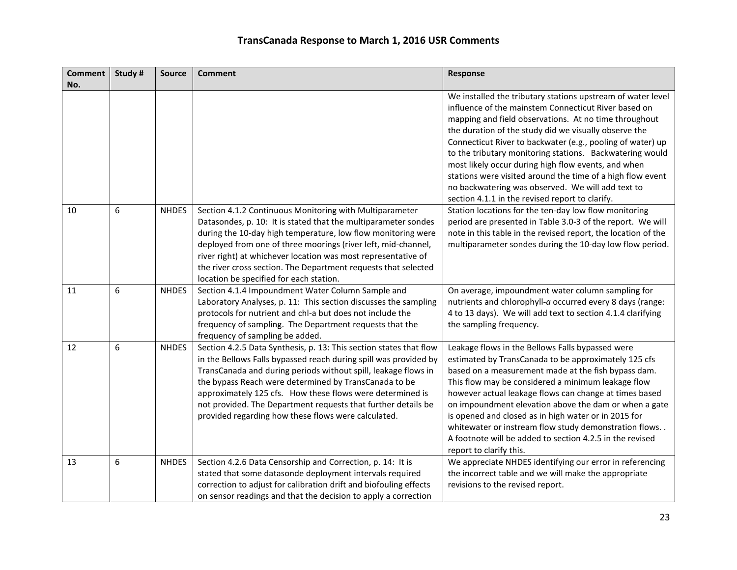| <b>Comment</b> | Study # | <b>Source</b> | <b>Comment</b>                                                                                                                                                                                                                                                                                                                                                                                                                                         | Response                                                                                                                                                                                                                                                                                                                                                                                                                                                                                                                                                                                     |
|----------------|---------|---------------|--------------------------------------------------------------------------------------------------------------------------------------------------------------------------------------------------------------------------------------------------------------------------------------------------------------------------------------------------------------------------------------------------------------------------------------------------------|----------------------------------------------------------------------------------------------------------------------------------------------------------------------------------------------------------------------------------------------------------------------------------------------------------------------------------------------------------------------------------------------------------------------------------------------------------------------------------------------------------------------------------------------------------------------------------------------|
| No.            |         |               |                                                                                                                                                                                                                                                                                                                                                                                                                                                        |                                                                                                                                                                                                                                                                                                                                                                                                                                                                                                                                                                                              |
|                |         |               |                                                                                                                                                                                                                                                                                                                                                                                                                                                        | We installed the tributary stations upstream of water level<br>influence of the mainstem Connecticut River based on<br>mapping and field observations. At no time throughout<br>the duration of the study did we visually observe the<br>Connecticut River to backwater (e.g., pooling of water) up<br>to the tributary monitoring stations. Backwatering would<br>most likely occur during high flow events, and when<br>stations were visited around the time of a high flow event<br>no backwatering was observed. We will add text to<br>section 4.1.1 in the revised report to clarify. |
| 10             | 6       | <b>NHDES</b>  | Section 4.1.2 Continuous Monitoring with Multiparameter<br>Datasondes, p. 10: It is stated that the multiparameter sondes<br>during the 10-day high temperature, low flow monitoring were<br>deployed from one of three moorings (river left, mid-channel,<br>river right) at whichever location was most representative of<br>the river cross section. The Department requests that selected<br>location be specified for each station.               | Station locations for the ten-day low flow monitoring<br>period are presented in Table 3.0-3 of the report. We will<br>note in this table in the revised report, the location of the<br>multiparameter sondes during the 10-day low flow period.                                                                                                                                                                                                                                                                                                                                             |
| 11             | 6       | <b>NHDES</b>  | Section 4.1.4 Impoundment Water Column Sample and<br>Laboratory Analyses, p. 11: This section discusses the sampling<br>protocols for nutrient and chl-a but does not include the<br>frequency of sampling. The Department requests that the<br>frequency of sampling be added.                                                                                                                                                                        | On average, impoundment water column sampling for<br>nutrients and chlorophyll-a occurred every 8 days (range:<br>4 to 13 days). We will add text to section 4.1.4 clarifying<br>the sampling frequency.                                                                                                                                                                                                                                                                                                                                                                                     |
| 12             | 6       | <b>NHDES</b>  | Section 4.2.5 Data Synthesis, p. 13: This section states that flow<br>in the Bellows Falls bypassed reach during spill was provided by<br>TransCanada and during periods without spill, leakage flows in<br>the bypass Reach were determined by TransCanada to be<br>approximately 125 cfs. How these flows were determined is<br>not provided. The Department requests that further details be<br>provided regarding how these flows were calculated. | Leakage flows in the Bellows Falls bypassed were<br>estimated by TransCanada to be approximately 125 cfs<br>based on a measurement made at the fish bypass dam.<br>This flow may be considered a minimum leakage flow<br>however actual leakage flows can change at times based<br>on impoundment elevation above the dam or when a gate<br>is opened and closed as in high water or in 2015 for<br>whitewater or instream flow study demonstration flows. .<br>A footnote will be added to section 4.2.5 in the revised<br>report to clarify this.                                          |
| 13             | 6       | <b>NHDES</b>  | Section 4.2.6 Data Censorship and Correction, p. 14: It is<br>stated that some datasonde deployment intervals required<br>correction to adjust for calibration drift and biofouling effects<br>on sensor readings and that the decision to apply a correction                                                                                                                                                                                          | We appreciate NHDES identifying our error in referencing<br>the incorrect table and we will make the appropriate<br>revisions to the revised report.                                                                                                                                                                                                                                                                                                                                                                                                                                         |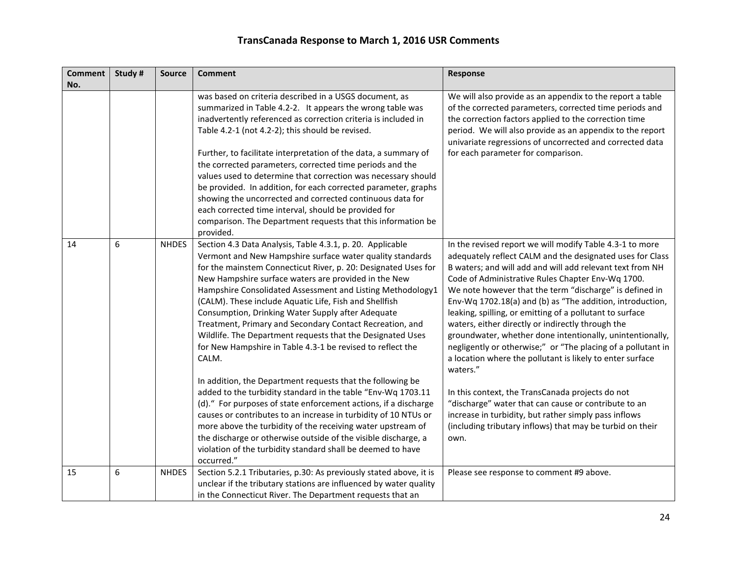| <b>Comment</b> | Study # | <b>Source</b> | <b>Comment</b>                                                                                                                                                                                                                                                                                                                                                                                                                                                                                                                                                                                                                                                                                                                                                                                                                                                                                                                                                    | Response                                                                                                                                                                                                                                                                                                                                                                                                                                                                                                                                                                                                                                                                                                                                                                                                                                                                                                                 |
|----------------|---------|---------------|-------------------------------------------------------------------------------------------------------------------------------------------------------------------------------------------------------------------------------------------------------------------------------------------------------------------------------------------------------------------------------------------------------------------------------------------------------------------------------------------------------------------------------------------------------------------------------------------------------------------------------------------------------------------------------------------------------------------------------------------------------------------------------------------------------------------------------------------------------------------------------------------------------------------------------------------------------------------|--------------------------------------------------------------------------------------------------------------------------------------------------------------------------------------------------------------------------------------------------------------------------------------------------------------------------------------------------------------------------------------------------------------------------------------------------------------------------------------------------------------------------------------------------------------------------------------------------------------------------------------------------------------------------------------------------------------------------------------------------------------------------------------------------------------------------------------------------------------------------------------------------------------------------|
| No.            |         |               |                                                                                                                                                                                                                                                                                                                                                                                                                                                                                                                                                                                                                                                                                                                                                                                                                                                                                                                                                                   |                                                                                                                                                                                                                                                                                                                                                                                                                                                                                                                                                                                                                                                                                                                                                                                                                                                                                                                          |
|                |         |               | was based on criteria described in a USGS document, as<br>summarized in Table 4.2-2. It appears the wrong table was<br>inadvertently referenced as correction criteria is included in<br>Table 4.2-1 (not 4.2-2); this should be revised.                                                                                                                                                                                                                                                                                                                                                                                                                                                                                                                                                                                                                                                                                                                         | We will also provide as an appendix to the report a table<br>of the corrected parameters, corrected time periods and<br>the correction factors applied to the correction time<br>period. We will also provide as an appendix to the report<br>univariate regressions of uncorrected and corrected data                                                                                                                                                                                                                                                                                                                                                                                                                                                                                                                                                                                                                   |
|                |         |               | Further, to facilitate interpretation of the data, a summary of<br>the corrected parameters, corrected time periods and the<br>values used to determine that correction was necessary should<br>be provided. In addition, for each corrected parameter, graphs<br>showing the uncorrected and corrected continuous data for<br>each corrected time interval, should be provided for<br>comparison. The Department requests that this information be<br>provided.                                                                                                                                                                                                                                                                                                                                                                                                                                                                                                  | for each parameter for comparison.                                                                                                                                                                                                                                                                                                                                                                                                                                                                                                                                                                                                                                                                                                                                                                                                                                                                                       |
| 14             | 6       | <b>NHDES</b>  | Section 4.3 Data Analysis, Table 4.3.1, p. 20. Applicable<br>Vermont and New Hampshire surface water quality standards<br>for the mainstem Connecticut River, p. 20: Designated Uses for<br>New Hampshire surface waters are provided in the New<br>Hampshire Consolidated Assessment and Listing Methodology1<br>(CALM). These include Aquatic Life, Fish and Shellfish<br>Consumption, Drinking Water Supply after Adequate<br>Treatment, Primary and Secondary Contact Recreation, and<br>Wildlife. The Department requests that the Designated Uses<br>for New Hampshire in Table 4.3-1 be revised to reflect the<br>CALM.<br>In addition, the Department requests that the following be<br>added to the turbidity standard in the table "Env-Wq 1703.11<br>(d)." For purposes of state enforcement actions, if a discharge<br>causes or contributes to an increase in turbidity of 10 NTUs or<br>more above the turbidity of the receiving water upstream of | In the revised report we will modify Table 4.3-1 to more<br>adequately reflect CALM and the designated uses for Class<br>B waters; and will add and will add relevant text from NH<br>Code of Administrative Rules Chapter Env-Wq 1700.<br>We note however that the term "discharge" is defined in<br>Env-Wq 1702.18(a) and (b) as "The addition, introduction,<br>leaking, spilling, or emitting of a pollutant to surface<br>waters, either directly or indirectly through the<br>groundwater, whether done intentionally, unintentionally,<br>negligently or otherwise;" or "The placing of a pollutant in<br>a location where the pollutant is likely to enter surface<br>waters."<br>In this context, the TransCanada projects do not<br>"discharge" water that can cause or contribute to an<br>increase in turbidity, but rather simply pass inflows<br>(including tributary inflows) that may be turbid on their |
|                |         |               | the discharge or otherwise outside of the visible discharge, a<br>violation of the turbidity standard shall be deemed to have<br>occurred."                                                                                                                                                                                                                                                                                                                                                                                                                                                                                                                                                                                                                                                                                                                                                                                                                       | own.                                                                                                                                                                                                                                                                                                                                                                                                                                                                                                                                                                                                                                                                                                                                                                                                                                                                                                                     |
| 15             | 6       | <b>NHDES</b>  | Section 5.2.1 Tributaries, p.30: As previously stated above, it is<br>unclear if the tributary stations are influenced by water quality<br>in the Connecticut River. The Department requests that an                                                                                                                                                                                                                                                                                                                                                                                                                                                                                                                                                                                                                                                                                                                                                              | Please see response to comment #9 above.                                                                                                                                                                                                                                                                                                                                                                                                                                                                                                                                                                                                                                                                                                                                                                                                                                                                                 |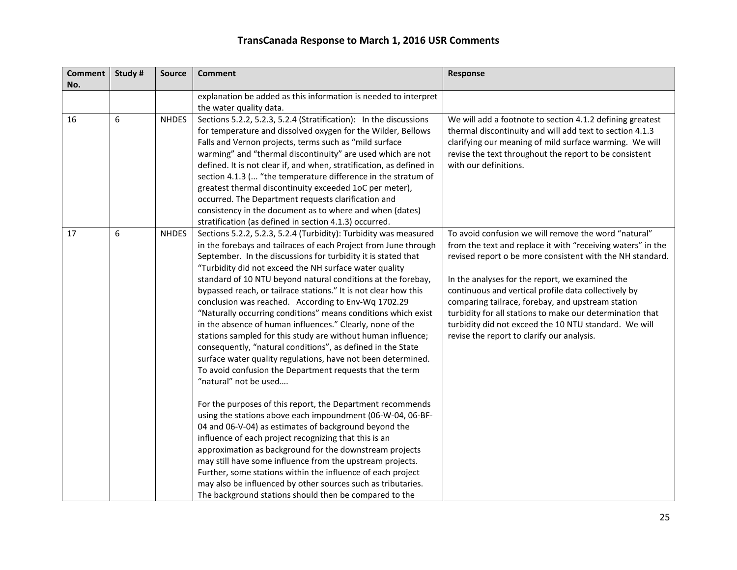| <b>Comment</b><br>No. | Study # | <b>Source</b> | <b>Comment</b>                                                                                                                                                                                                                                                                                                                                                                                                                                                                                                                                                                                                                                                                                                                                                                                                                                                                                                                                                                                                                                                                                                                                                                                                                                                                                                                                                                                                                            | Response                                                                                                                                                                                                                                                                                                                                                                                                                                                                                                             |
|-----------------------|---------|---------------|-------------------------------------------------------------------------------------------------------------------------------------------------------------------------------------------------------------------------------------------------------------------------------------------------------------------------------------------------------------------------------------------------------------------------------------------------------------------------------------------------------------------------------------------------------------------------------------------------------------------------------------------------------------------------------------------------------------------------------------------------------------------------------------------------------------------------------------------------------------------------------------------------------------------------------------------------------------------------------------------------------------------------------------------------------------------------------------------------------------------------------------------------------------------------------------------------------------------------------------------------------------------------------------------------------------------------------------------------------------------------------------------------------------------------------------------|----------------------------------------------------------------------------------------------------------------------------------------------------------------------------------------------------------------------------------------------------------------------------------------------------------------------------------------------------------------------------------------------------------------------------------------------------------------------------------------------------------------------|
|                       |         |               | explanation be added as this information is needed to interpret<br>the water quality data.                                                                                                                                                                                                                                                                                                                                                                                                                                                                                                                                                                                                                                                                                                                                                                                                                                                                                                                                                                                                                                                                                                                                                                                                                                                                                                                                                |                                                                                                                                                                                                                                                                                                                                                                                                                                                                                                                      |
| 16                    | 6       | <b>NHDES</b>  | Sections 5.2.2, 5.2.3, 5.2.4 (Stratification): In the discussions<br>for temperature and dissolved oxygen for the Wilder, Bellows<br>Falls and Vernon projects, terms such as "mild surface<br>warming" and "thermal discontinuity" are used which are not<br>defined. It is not clear if, and when, stratification, as defined in<br>section 4.1.3 ( "the temperature difference in the stratum of<br>greatest thermal discontinuity exceeded 1oC per meter),<br>occurred. The Department requests clarification and<br>consistency in the document as to where and when (dates)<br>stratification (as defined in section 4.1.3) occurred.                                                                                                                                                                                                                                                                                                                                                                                                                                                                                                                                                                                                                                                                                                                                                                                               | We will add a footnote to section 4.1.2 defining greatest<br>thermal discontinuity and will add text to section 4.1.3<br>clarifying our meaning of mild surface warming. We will<br>revise the text throughout the report to be consistent<br>with our definitions.                                                                                                                                                                                                                                                  |
| 17                    | 6       | <b>NHDES</b>  | Sections 5.2.2, 5.2.3, 5.2.4 (Turbidity): Turbidity was measured<br>in the forebays and tailraces of each Project from June through<br>September. In the discussions for turbidity it is stated that<br>"Turbidity did not exceed the NH surface water quality<br>standard of 10 NTU beyond natural conditions at the forebay,<br>bypassed reach, or tailrace stations." It is not clear how this<br>conclusion was reached. According to Env-Wq 1702.29<br>"Naturally occurring conditions" means conditions which exist<br>in the absence of human influences." Clearly, none of the<br>stations sampled for this study are without human influence;<br>consequently, "natural conditions", as defined in the State<br>surface water quality regulations, have not been determined.<br>To avoid confusion the Department requests that the term<br>"natural" not be used<br>For the purposes of this report, the Department recommends<br>using the stations above each impoundment (06-W-04, 06-BF-<br>04 and 06-V-04) as estimates of background beyond the<br>influence of each project recognizing that this is an<br>approximation as background for the downstream projects<br>may still have some influence from the upstream projects.<br>Further, some stations within the influence of each project<br>may also be influenced by other sources such as tributaries.<br>The background stations should then be compared to the | To avoid confusion we will remove the word "natural"<br>from the text and replace it with "receiving waters" in the<br>revised report o be more consistent with the NH standard.<br>In the analyses for the report, we examined the<br>continuous and vertical profile data collectively by<br>comparing tailrace, forebay, and upstream station<br>turbidity for all stations to make our determination that<br>turbidity did not exceed the 10 NTU standard. We will<br>revise the report to clarify our analysis. |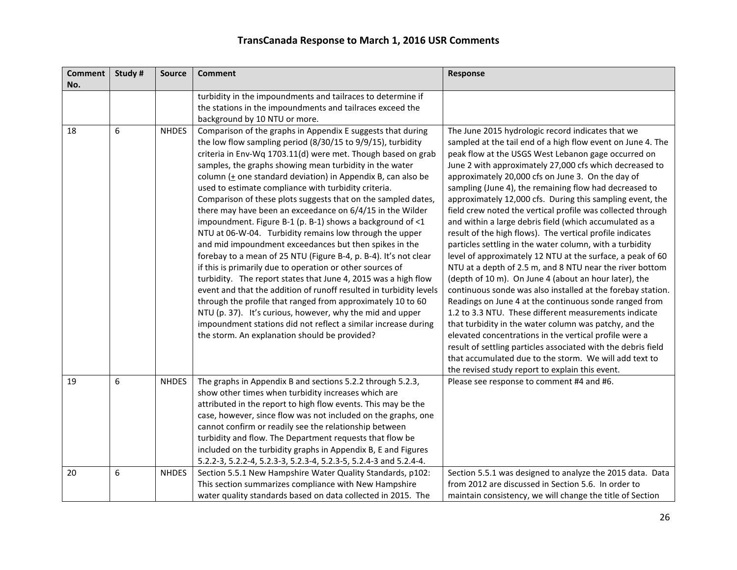| <b>Comment</b> | Study # | <b>Source</b> | <b>Comment</b>                                                     | Response                                                      |
|----------------|---------|---------------|--------------------------------------------------------------------|---------------------------------------------------------------|
| No.            |         |               |                                                                    |                                                               |
|                |         |               | turbidity in the impoundments and tailraces to determine if        |                                                               |
|                |         |               | the stations in the impoundments and tailraces exceed the          |                                                               |
|                |         |               | background by 10 NTU or more.                                      |                                                               |
| 18             | 6       | <b>NHDES</b>  | Comparison of the graphs in Appendix E suggests that during        | The June 2015 hydrologic record indicates that we             |
|                |         |               | the low flow sampling period (8/30/15 to 9/9/15), turbidity        | sampled at the tail end of a high flow event on June 4. The   |
|                |         |               | criteria in Env-Wq 1703.11(d) were met. Though based on grab       | peak flow at the USGS West Lebanon gage occurred on           |
|                |         |               | samples, the graphs showing mean turbidity in the water            | June 2 with approximately 27,000 cfs which decreased to       |
|                |         |               | column $($ + one standard deviation) in Appendix B, can also be    | approximately 20,000 cfs on June 3. On the day of             |
|                |         |               | used to estimate compliance with turbidity criteria.               | sampling (June 4), the remaining flow had decreased to        |
|                |         |               | Comparison of these plots suggests that on the sampled dates,      | approximately 12,000 cfs. During this sampling event, the     |
|                |         |               | there may have been an exceedance on 6/4/15 in the Wilder          | field crew noted the vertical profile was collected through   |
|                |         |               | impoundment. Figure B-1 (p. B-1) shows a background of <1          | and within a large debris field (which accumulated as a       |
|                |         |               | NTU at 06-W-04. Turbidity remains low through the upper            | result of the high flows). The vertical profile indicates     |
|                |         |               | and mid impoundment exceedances but then spikes in the             | particles settling in the water column, with a turbidity      |
|                |         |               | forebay to a mean of 25 NTU (Figure B-4, p. B-4). It's not clear   | level of approximately 12 NTU at the surface, a peak of 60    |
|                |         |               | if this is primarily due to operation or other sources of          | NTU at a depth of 2.5 m, and 8 NTU near the river bottom      |
|                |         |               | turbidity. The report states that June 4, 2015 was a high flow     | (depth of 10 m). On June 4 (about an hour later), the         |
|                |         |               | event and that the addition of runoff resulted in turbidity levels | continuous sonde was also installed at the forebay station.   |
|                |         |               | through the profile that ranged from approximately 10 to 60        | Readings on June 4 at the continuous sonde ranged from        |
|                |         |               | NTU (p. 37). It's curious, however, why the mid and upper          | 1.2 to 3.3 NTU. These different measurements indicate         |
|                |         |               | impoundment stations did not reflect a similar increase during     | that turbidity in the water column was patchy, and the        |
|                |         |               | the storm. An explanation should be provided?                      | elevated concentrations in the vertical profile were a        |
|                |         |               |                                                                    | result of settling particles associated with the debris field |
|                |         |               |                                                                    | that accumulated due to the storm. We will add text to        |
|                |         |               |                                                                    | the revised study report to explain this event.               |
| 19             | 6       | <b>NHDES</b>  | The graphs in Appendix B and sections 5.2.2 through 5.2.3,         | Please see response to comment #4 and #6.                     |
|                |         |               | show other times when turbidity increases which are                |                                                               |
|                |         |               | attributed in the report to high flow events. This may be the      |                                                               |
|                |         |               | case, however, since flow was not included on the graphs, one      |                                                               |
|                |         |               | cannot confirm or readily see the relationship between             |                                                               |
|                |         |               | turbidity and flow. The Department requests that flow be           |                                                               |
|                |         |               | included on the turbidity graphs in Appendix B, E and Figures      |                                                               |
|                |         |               | 5.2.2-3, 5.2.2-4, 5.2.3-3, 5.2.3-4, 5.2.3-5, 5.2.4-3 and 5.2.4-4.  |                                                               |
| 20             | 6       | <b>NHDES</b>  | Section 5.5.1 New Hampshire Water Quality Standards, p102:         | Section 5.5.1 was designed to analyze the 2015 data. Data     |
|                |         |               | This section summarizes compliance with New Hampshire              | from 2012 are discussed in Section 5.6. In order to           |
|                |         |               | water quality standards based on data collected in 2015. The       | maintain consistency, we will change the title of Section     |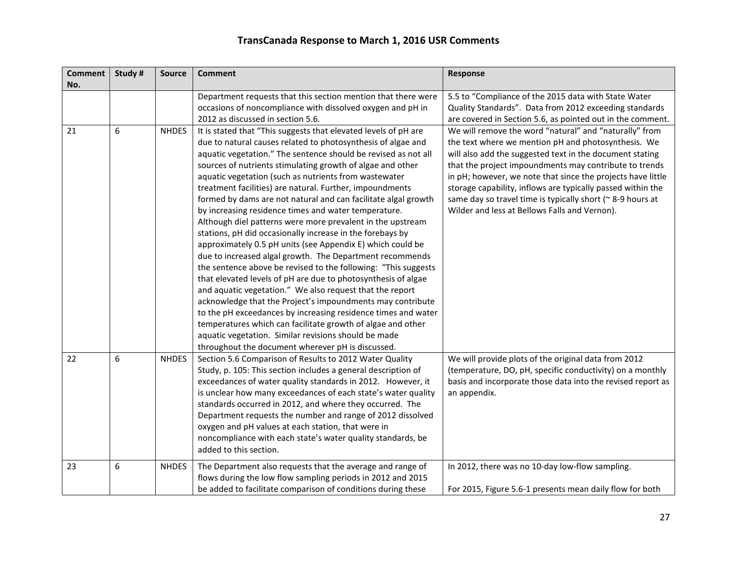| <b>Comment</b> | Study# | <b>Source</b> | <b>Comment</b>                                                                                                                                                                                                                                                                                                                                                                                                                                                                                                                                                                                                                                                                                                                                                                                                                                                                                                                                    | <b>Response</b>                                                                                                                                                                                                                                                                                    |
|----------------|--------|---------------|---------------------------------------------------------------------------------------------------------------------------------------------------------------------------------------------------------------------------------------------------------------------------------------------------------------------------------------------------------------------------------------------------------------------------------------------------------------------------------------------------------------------------------------------------------------------------------------------------------------------------------------------------------------------------------------------------------------------------------------------------------------------------------------------------------------------------------------------------------------------------------------------------------------------------------------------------|----------------------------------------------------------------------------------------------------------------------------------------------------------------------------------------------------------------------------------------------------------------------------------------------------|
| No.            |        |               |                                                                                                                                                                                                                                                                                                                                                                                                                                                                                                                                                                                                                                                                                                                                                                                                                                                                                                                                                   |                                                                                                                                                                                                                                                                                                    |
|                |        |               | Department requests that this section mention that there were                                                                                                                                                                                                                                                                                                                                                                                                                                                                                                                                                                                                                                                                                                                                                                                                                                                                                     | 5.5 to "Compliance of the 2015 data with State Water                                                                                                                                                                                                                                               |
|                |        |               | occasions of noncompliance with dissolved oxygen and pH in                                                                                                                                                                                                                                                                                                                                                                                                                                                                                                                                                                                                                                                                                                                                                                                                                                                                                        | Quality Standards". Data from 2012 exceeding standards                                                                                                                                                                                                                                             |
|                |        |               | 2012 as discussed in section 5.6.                                                                                                                                                                                                                                                                                                                                                                                                                                                                                                                                                                                                                                                                                                                                                                                                                                                                                                                 | are covered in Section 5.6, as pointed out in the comment.                                                                                                                                                                                                                                         |
| 21             | 6      | <b>NHDES</b>  | It is stated that "This suggests that elevated levels of pH are<br>due to natural causes related to photosynthesis of algae and<br>aquatic vegetation." The sentence should be revised as not all<br>sources of nutrients stimulating growth of algae and other<br>aquatic vegetation (such as nutrients from wastewater                                                                                                                                                                                                                                                                                                                                                                                                                                                                                                                                                                                                                          | We will remove the word "natural" and "naturally" from<br>the text where we mention pH and photosynthesis. We<br>will also add the suggested text in the document stating<br>that the project impoundments may contribute to trends<br>in pH; however, we note that since the projects have little |
|                |        |               | treatment facilities) are natural. Further, impoundments<br>formed by dams are not natural and can facilitate algal growth<br>by increasing residence times and water temperature.<br>Although diel patterns were more prevalent in the upstream<br>stations, pH did occasionally increase in the forebays by<br>approximately 0.5 pH units (see Appendix E) which could be<br>due to increased algal growth. The Department recommends<br>the sentence above be revised to the following: "This suggests<br>that elevated levels of pH are due to photosynthesis of algae<br>and aquatic vegetation." We also request that the report<br>acknowledge that the Project's impoundments may contribute<br>to the pH exceedances by increasing residence times and water<br>temperatures which can facilitate growth of algae and other<br>aquatic vegetation. Similar revisions should be made<br>throughout the document wherever pH is discussed. | storage capability, inflows are typically passed within the<br>same day so travel time is typically short (~ 8-9 hours at<br>Wilder and less at Bellows Falls and Vernon).                                                                                                                         |
| 22             | 6      | <b>NHDES</b>  | Section 5.6 Comparison of Results to 2012 Water Quality<br>Study, p. 105: This section includes a general description of<br>exceedances of water quality standards in 2012. However, it<br>is unclear how many exceedances of each state's water quality<br>standards occurred in 2012, and where they occurred. The<br>Department requests the number and range of 2012 dissolved<br>oxygen and pH values at each station, that were in<br>noncompliance with each state's water quality standards, be<br>added to this section.                                                                                                                                                                                                                                                                                                                                                                                                                 | We will provide plots of the original data from 2012<br>(temperature, DO, pH, specific conductivity) on a monthly<br>basis and incorporate those data into the revised report as<br>an appendix.                                                                                                   |
| 23             | 6      | <b>NHDES</b>  | The Department also requests that the average and range of<br>flows during the low flow sampling periods in 2012 and 2015<br>be added to facilitate comparison of conditions during these                                                                                                                                                                                                                                                                                                                                                                                                                                                                                                                                                                                                                                                                                                                                                         | In 2012, there was no 10-day low-flow sampling.<br>For 2015, Figure 5.6-1 presents mean daily flow for both                                                                                                                                                                                        |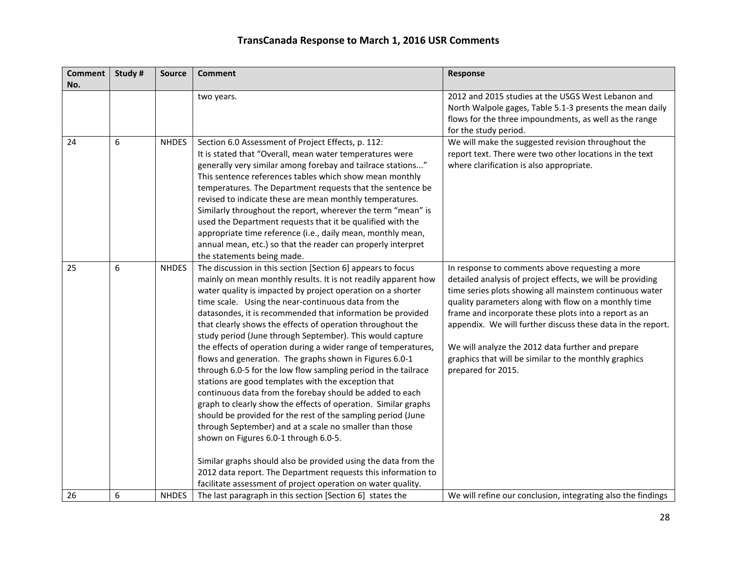| <b>Comment</b> | Study # | <b>Source</b> | <b>Comment</b>                                                                                                                                                                                                                                                                                                                                                                                                                                                                                                                                                                                                                                                                                                                                                                                                                                                                                                                                                                                                                                                                                                                                                                                          | Response                                                                                                                                                                                                                                                                                                                                                                                                                                                                                     |
|----------------|---------|---------------|---------------------------------------------------------------------------------------------------------------------------------------------------------------------------------------------------------------------------------------------------------------------------------------------------------------------------------------------------------------------------------------------------------------------------------------------------------------------------------------------------------------------------------------------------------------------------------------------------------------------------------------------------------------------------------------------------------------------------------------------------------------------------------------------------------------------------------------------------------------------------------------------------------------------------------------------------------------------------------------------------------------------------------------------------------------------------------------------------------------------------------------------------------------------------------------------------------|----------------------------------------------------------------------------------------------------------------------------------------------------------------------------------------------------------------------------------------------------------------------------------------------------------------------------------------------------------------------------------------------------------------------------------------------------------------------------------------------|
| No.            |         |               |                                                                                                                                                                                                                                                                                                                                                                                                                                                                                                                                                                                                                                                                                                                                                                                                                                                                                                                                                                                                                                                                                                                                                                                                         |                                                                                                                                                                                                                                                                                                                                                                                                                                                                                              |
|                |         |               | two years.                                                                                                                                                                                                                                                                                                                                                                                                                                                                                                                                                                                                                                                                                                                                                                                                                                                                                                                                                                                                                                                                                                                                                                                              | 2012 and 2015 studies at the USGS West Lebanon and<br>North Walpole gages, Table 5.1-3 presents the mean daily<br>flows for the three impoundments, as well as the range<br>for the study period.                                                                                                                                                                                                                                                                                            |
| 24             | 6       | <b>NHDES</b>  | Section 6.0 Assessment of Project Effects, p. 112:<br>It is stated that "Overall, mean water temperatures were<br>generally very similar among forebay and tailrace stations"<br>This sentence references tables which show mean monthly<br>temperatures. The Department requests that the sentence be<br>revised to indicate these are mean monthly temperatures.<br>Similarly throughout the report, wherever the term "mean" is<br>used the Department requests that it be qualified with the<br>appropriate time reference (i.e., daily mean, monthly mean,<br>annual mean, etc.) so that the reader can properly interpret<br>the statements being made.                                                                                                                                                                                                                                                                                                                                                                                                                                                                                                                                           | We will make the suggested revision throughout the<br>report text. There were two other locations in the text<br>where clarification is also appropriate.                                                                                                                                                                                                                                                                                                                                    |
| 25             | 6       | <b>NHDES</b>  | The discussion in this section [Section 6] appears to focus<br>mainly on mean monthly results. It is not readily apparent how<br>water quality is impacted by project operation on a shorter<br>time scale. Using the near-continuous data from the<br>datasondes, it is recommended that information be provided<br>that clearly shows the effects of operation throughout the<br>study period (June through September). This would capture<br>the effects of operation during a wider range of temperatures,<br>flows and generation. The graphs shown in Figures 6.0-1<br>through 6.0-5 for the low flow sampling period in the tailrace<br>stations are good templates with the exception that<br>continuous data from the forebay should be added to each<br>graph to clearly show the effects of operation. Similar graphs<br>should be provided for the rest of the sampling period (June<br>through September) and at a scale no smaller than those<br>shown on Figures 6.0-1 through 6.0-5.<br>Similar graphs should also be provided using the data from the<br>2012 data report. The Department requests this information to<br>facilitate assessment of project operation on water quality. | In response to comments above requesting a more<br>detailed analysis of project effects, we will be providing<br>time series plots showing all mainstem continuous water<br>quality parameters along with flow on a monthly time<br>frame and incorporate these plots into a report as an<br>appendix. We will further discuss these data in the report.<br>We will analyze the 2012 data further and prepare<br>graphics that will be similar to the monthly graphics<br>prepared for 2015. |
| 26             | 6       | <b>NHDES</b>  | The last paragraph in this section [Section 6] states the                                                                                                                                                                                                                                                                                                                                                                                                                                                                                                                                                                                                                                                                                                                                                                                                                                                                                                                                                                                                                                                                                                                                               | We will refine our conclusion, integrating also the findings                                                                                                                                                                                                                                                                                                                                                                                                                                 |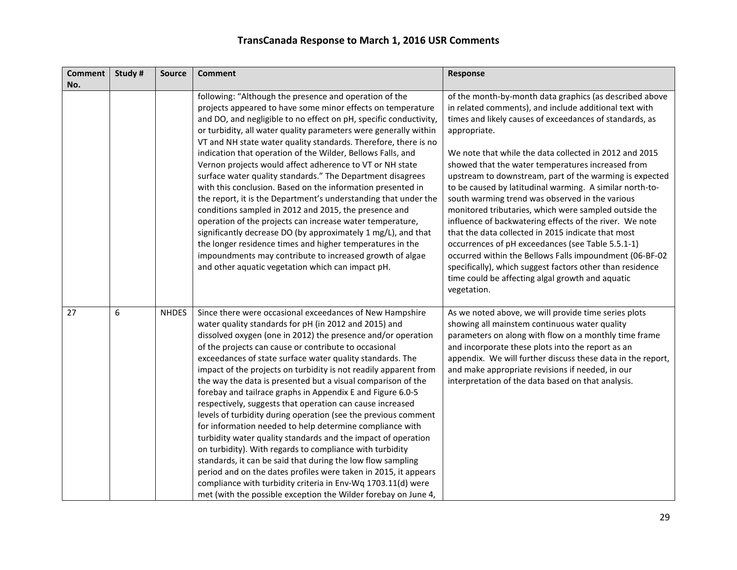| <b>Comment</b> | Study # | <b>Source</b> | <b>Comment</b>                                                                                                                                                                                                                                                                                                                                                                                                                                                                                                                                                                                                                                                                                                                                                                                                                                                                                                                                                                                                                                                                                        | Response                                                                                                                                                                                                                                                                                                                                                                                                                                                                                                                                                                                                                                                                                                                                                                                                                                                                                                        |
|----------------|---------|---------------|-------------------------------------------------------------------------------------------------------------------------------------------------------------------------------------------------------------------------------------------------------------------------------------------------------------------------------------------------------------------------------------------------------------------------------------------------------------------------------------------------------------------------------------------------------------------------------------------------------------------------------------------------------------------------------------------------------------------------------------------------------------------------------------------------------------------------------------------------------------------------------------------------------------------------------------------------------------------------------------------------------------------------------------------------------------------------------------------------------|-----------------------------------------------------------------------------------------------------------------------------------------------------------------------------------------------------------------------------------------------------------------------------------------------------------------------------------------------------------------------------------------------------------------------------------------------------------------------------------------------------------------------------------------------------------------------------------------------------------------------------------------------------------------------------------------------------------------------------------------------------------------------------------------------------------------------------------------------------------------------------------------------------------------|
| No.            |         |               |                                                                                                                                                                                                                                                                                                                                                                                                                                                                                                                                                                                                                                                                                                                                                                                                                                                                                                                                                                                                                                                                                                       |                                                                                                                                                                                                                                                                                                                                                                                                                                                                                                                                                                                                                                                                                                                                                                                                                                                                                                                 |
|                |         |               | following: "Although the presence and operation of the<br>projects appeared to have some minor effects on temperature<br>and DO, and negligible to no effect on pH, specific conductivity,<br>or turbidity, all water quality parameters were generally within<br>VT and NH state water quality standards. Therefore, there is no<br>indication that operation of the Wilder, Bellows Falls, and<br>Vernon projects would affect adherence to VT or NH state<br>surface water quality standards." The Department disagrees<br>with this conclusion. Based on the information presented in<br>the report, it is the Department's understanding that under the<br>conditions sampled in 2012 and 2015, the presence and<br>operation of the projects can increase water temperature,<br>significantly decrease DO (by approximately 1 mg/L), and that<br>the longer residence times and higher temperatures in the<br>impoundments may contribute to increased growth of algae<br>and other aquatic vegetation which can impact pH.                                                                     | of the month-by-month data graphics (as described above<br>in related comments), and include additional text with<br>times and likely causes of exceedances of standards, as<br>appropriate.<br>We note that while the data collected in 2012 and 2015<br>showed that the water temperatures increased from<br>upstream to downstream, part of the warming is expected<br>to be caused by latitudinal warming. A similar north-to-<br>south warming trend was observed in the various<br>monitored tributaries, which were sampled outside the<br>influence of backwatering effects of the river. We note<br>that the data collected in 2015 indicate that most<br>occurrences of pH exceedances (see Table 5.5.1-1)<br>occurred within the Bellows Falls impoundment (06-BF-02<br>specifically), which suggest factors other than residence<br>time could be affecting algal growth and aquatic<br>vegetation. |
| 27             | 6       | <b>NHDES</b>  | Since there were occasional exceedances of New Hampshire<br>water quality standards for pH (in 2012 and 2015) and<br>dissolved oxygen (one in 2012) the presence and/or operation<br>of the projects can cause or contribute to occasional<br>exceedances of state surface water quality standards. The<br>impact of the projects on turbidity is not readily apparent from<br>the way the data is presented but a visual comparison of the<br>forebay and tailrace graphs in Appendix E and Figure 6.0-5<br>respectively, suggests that operation can cause increased<br>levels of turbidity during operation (see the previous comment<br>for information needed to help determine compliance with<br>turbidity water quality standards and the impact of operation<br>on turbidity). With regards to compliance with turbidity<br>standards, it can be said that during the low flow sampling<br>period and on the dates profiles were taken in 2015, it appears<br>compliance with turbidity criteria in Env-Wq 1703.11(d) were<br>met (with the possible exception the Wilder forebay on June 4, | As we noted above, we will provide time series plots<br>showing all mainstem continuous water quality<br>parameters on along with flow on a monthly time frame<br>and incorporate these plots into the report as an<br>appendix. We will further discuss these data in the report,<br>and make appropriate revisions if needed, in our<br>interpretation of the data based on that analysis.                                                                                                                                                                                                                                                                                                                                                                                                                                                                                                                    |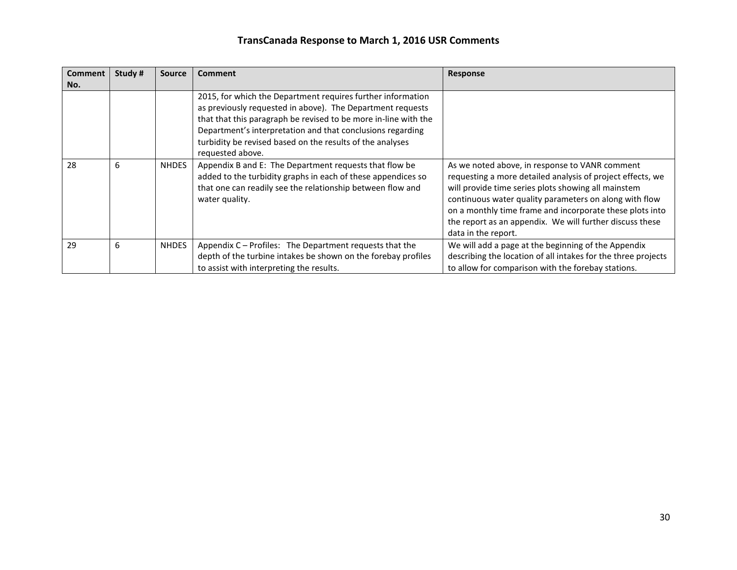| <b>Comment</b> | Study # | <b>Source</b> | <b>Comment</b>                                                                                                                                                                                                                                                                                                                              | <b>Response</b>                                                                                                                                                                                                                                                                                                                                                              |
|----------------|---------|---------------|---------------------------------------------------------------------------------------------------------------------------------------------------------------------------------------------------------------------------------------------------------------------------------------------------------------------------------------------|------------------------------------------------------------------------------------------------------------------------------------------------------------------------------------------------------------------------------------------------------------------------------------------------------------------------------------------------------------------------------|
| No.            |         |               |                                                                                                                                                                                                                                                                                                                                             |                                                                                                                                                                                                                                                                                                                                                                              |
|                |         |               | 2015, for which the Department requires further information<br>as previously requested in above). The Department requests<br>that that this paragraph be revised to be more in-line with the<br>Department's interpretation and that conclusions regarding<br>turbidity be revised based on the results of the analyses<br>requested above. |                                                                                                                                                                                                                                                                                                                                                                              |
| 28             | 6       | <b>NHDES</b>  | Appendix B and E: The Department requests that flow be<br>added to the turbidity graphs in each of these appendices so<br>that one can readily see the relationship between flow and<br>water quality.                                                                                                                                      | As we noted above, in response to VANR comment<br>requesting a more detailed analysis of project effects, we<br>will provide time series plots showing all mainstem<br>continuous water quality parameters on along with flow<br>on a monthly time frame and incorporate these plots into<br>the report as an appendix. We will further discuss these<br>data in the report. |
| 29             | 6       | <b>NHDES</b>  | Appendix C - Profiles: The Department requests that the<br>depth of the turbine intakes be shown on the forebay profiles<br>to assist with interpreting the results.                                                                                                                                                                        | We will add a page at the beginning of the Appendix<br>describing the location of all intakes for the three projects<br>to allow for comparison with the forebay stations.                                                                                                                                                                                                   |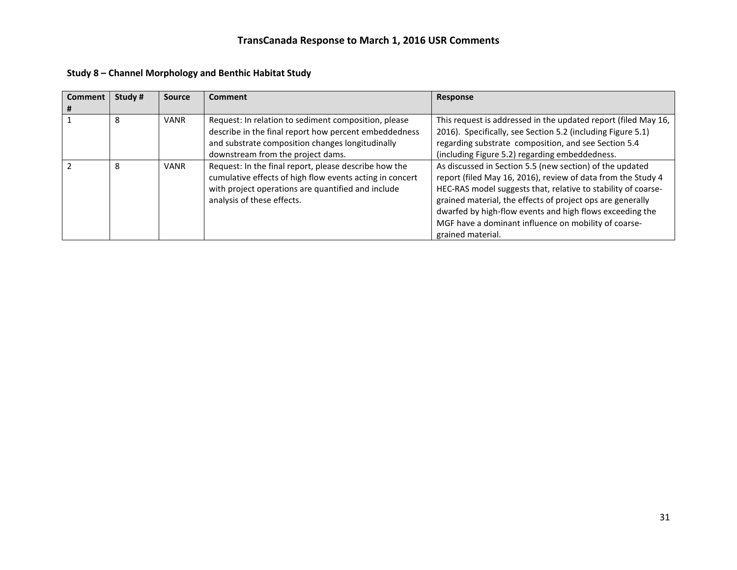| <b>Comment</b><br># | Study # | <b>Source</b> | Comment                                                                                                                                                                                                | Response                                                                                                                                                                                                                                                                                                                                                                                         |
|---------------------|---------|---------------|--------------------------------------------------------------------------------------------------------------------------------------------------------------------------------------------------------|--------------------------------------------------------------------------------------------------------------------------------------------------------------------------------------------------------------------------------------------------------------------------------------------------------------------------------------------------------------------------------------------------|
|                     | 8       | <b>VANR</b>   | Request: In relation to sediment composition, please<br>describe in the final report how percent embeddedness<br>and substrate composition changes longitudinally<br>downstream from the project dams. | This request is addressed in the updated report (filed May 16,<br>2016). Specifically, see Section 5.2 (including Figure 5.1)<br>regarding substrate composition, and see Section 5.4<br>(including Figure 5.2) regarding embeddedness.                                                                                                                                                          |
|                     | 8       | <b>VANR</b>   | Request: In the final report, please describe how the<br>cumulative effects of high flow events acting in concert<br>with project operations are quantified and include<br>analysis of these effects.  | As discussed in Section 5.5 (new section) of the updated<br>report (filed May 16, 2016), review of data from the Study 4<br>HEC-RAS model suggests that, relative to stability of coarse-<br>grained material, the effects of project ops are generally<br>dwarfed by high-flow events and high flows exceeding the<br>MGF have a dominant influence on mobility of coarse-<br>grained material. |

**Study 8 – Channel Morphology and Benthic Habitat Study**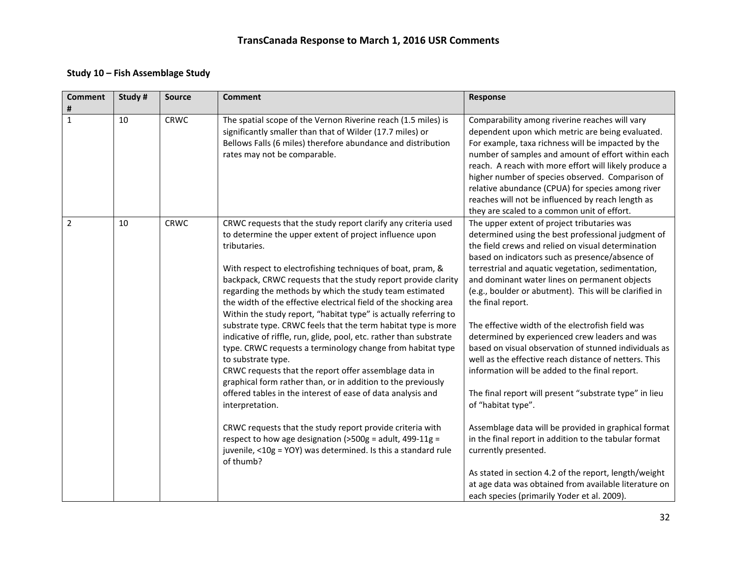### **Study 10 – Fish Assemblage Study**

| <b>Comment</b><br># | Study# | <b>Source</b> | <b>Comment</b>                                                                                                                                                                                                                                                                                                                                                                                                                                                                                                                                                                                                                                                                                                                                                                                                                                                                                                                                                                                                                                                                                                              | Response                                                                                                                                                                                                                                                                                                                                                                                                                                                                                                                                                                                                                                                                                                                                                                                                                                                                                                                                                                                                                                                             |
|---------------------|--------|---------------|-----------------------------------------------------------------------------------------------------------------------------------------------------------------------------------------------------------------------------------------------------------------------------------------------------------------------------------------------------------------------------------------------------------------------------------------------------------------------------------------------------------------------------------------------------------------------------------------------------------------------------------------------------------------------------------------------------------------------------------------------------------------------------------------------------------------------------------------------------------------------------------------------------------------------------------------------------------------------------------------------------------------------------------------------------------------------------------------------------------------------------|----------------------------------------------------------------------------------------------------------------------------------------------------------------------------------------------------------------------------------------------------------------------------------------------------------------------------------------------------------------------------------------------------------------------------------------------------------------------------------------------------------------------------------------------------------------------------------------------------------------------------------------------------------------------------------------------------------------------------------------------------------------------------------------------------------------------------------------------------------------------------------------------------------------------------------------------------------------------------------------------------------------------------------------------------------------------|
| $\mathbf{1}$        | 10     | <b>CRWC</b>   | The spatial scope of the Vernon Riverine reach (1.5 miles) is<br>significantly smaller than that of Wilder (17.7 miles) or<br>Bellows Falls (6 miles) therefore abundance and distribution<br>rates may not be comparable.                                                                                                                                                                                                                                                                                                                                                                                                                                                                                                                                                                                                                                                                                                                                                                                                                                                                                                  | Comparability among riverine reaches will vary<br>dependent upon which metric are being evaluated.<br>For example, taxa richness will be impacted by the<br>number of samples and amount of effort within each<br>reach. A reach with more effort will likely produce a<br>higher number of species observed. Comparison of<br>relative abundance (CPUA) for species among river<br>reaches will not be influenced by reach length as<br>they are scaled to a common unit of effort.                                                                                                                                                                                                                                                                                                                                                                                                                                                                                                                                                                                 |
| 2                   | 10     | <b>CRWC</b>   | CRWC requests that the study report clarify any criteria used<br>to determine the upper extent of project influence upon<br>tributaries.<br>With respect to electrofishing techniques of boat, pram, &<br>backpack, CRWC requests that the study report provide clarity<br>regarding the methods by which the study team estimated<br>the width of the effective electrical field of the shocking area<br>Within the study report, "habitat type" is actually referring to<br>substrate type. CRWC feels that the term habitat type is more<br>indicative of riffle, run, glide, pool, etc. rather than substrate<br>type. CRWC requests a terminology change from habitat type<br>to substrate type.<br>CRWC requests that the report offer assemblage data in<br>graphical form rather than, or in addition to the previously<br>offered tables in the interest of ease of data analysis and<br>interpretation.<br>CRWC requests that the study report provide criteria with<br>respect to how age designation ( $>500g$ = adult, 499-11g =<br>juvenile, <10g = YOY) was determined. Is this a standard rule<br>of thumb? | The upper extent of project tributaries was<br>determined using the best professional judgment of<br>the field crews and relied on visual determination<br>based on indicators such as presence/absence of<br>terrestrial and aquatic vegetation, sedimentation,<br>and dominant water lines on permanent objects<br>(e.g., boulder or abutment). This will be clarified in<br>the final report.<br>The effective width of the electrofish field was<br>determined by experienced crew leaders and was<br>based on visual observation of stunned individuals as<br>well as the effective reach distance of netters. This<br>information will be added to the final report.<br>The final report will present "substrate type" in lieu<br>of "habitat type".<br>Assemblage data will be provided in graphical format<br>in the final report in addition to the tabular format<br>currently presented.<br>As stated in section 4.2 of the report, length/weight<br>at age data was obtained from available literature on<br>each species (primarily Yoder et al. 2009). |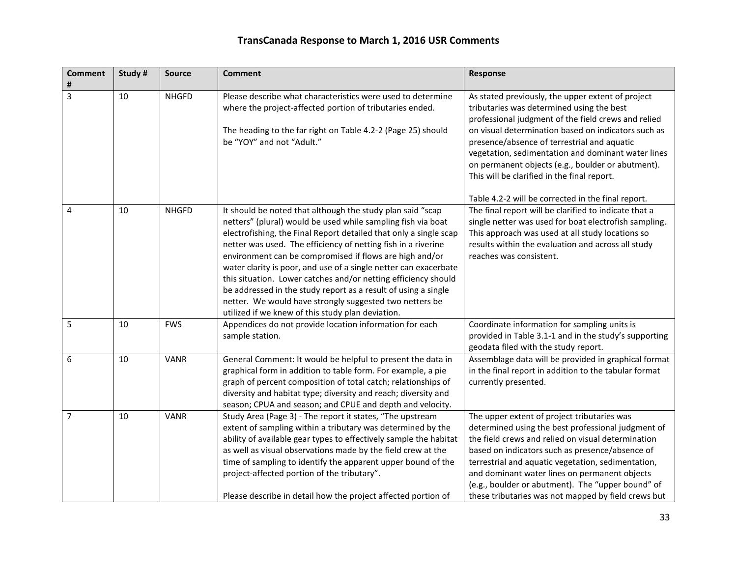| <b>Comment</b><br># | Study # | <b>Source</b> | <b>Comment</b>                                                                                                                                                                                                                                                                                                                                                                                                                                                                                                                                                                                                                                      | Response                                                                                                                                                                                                                                                                                                                                                                                                                                                                    |
|---------------------|---------|---------------|-----------------------------------------------------------------------------------------------------------------------------------------------------------------------------------------------------------------------------------------------------------------------------------------------------------------------------------------------------------------------------------------------------------------------------------------------------------------------------------------------------------------------------------------------------------------------------------------------------------------------------------------------------|-----------------------------------------------------------------------------------------------------------------------------------------------------------------------------------------------------------------------------------------------------------------------------------------------------------------------------------------------------------------------------------------------------------------------------------------------------------------------------|
| 3                   | 10      | <b>NHGFD</b>  | Please describe what characteristics were used to determine<br>where the project-affected portion of tributaries ended.<br>The heading to the far right on Table 4.2-2 (Page 25) should<br>be "YOY" and not "Adult."                                                                                                                                                                                                                                                                                                                                                                                                                                | As stated previously, the upper extent of project<br>tributaries was determined using the best<br>professional judgment of the field crews and relied<br>on visual determination based on indicators such as<br>presence/absence of terrestrial and aquatic<br>vegetation, sedimentation and dominant water lines<br>on permanent objects (e.g., boulder or abutment).<br>This will be clarified in the final report.<br>Table 4.2-2 will be corrected in the final report. |
| 4                   | 10      | <b>NHGFD</b>  | It should be noted that although the study plan said "scap<br>netters" (plural) would be used while sampling fish via boat<br>electrofishing, the Final Report detailed that only a single scap<br>netter was used. The efficiency of netting fish in a riverine<br>environment can be compromised if flows are high and/or<br>water clarity is poor, and use of a single netter can exacerbate<br>this situation. Lower catches and/or netting efficiency should<br>be addressed in the study report as a result of using a single<br>netter. We would have strongly suggested two netters be<br>utilized if we knew of this study plan deviation. | The final report will be clarified to indicate that a<br>single netter was used for boat electrofish sampling.<br>This approach was used at all study locations so<br>results within the evaluation and across all study<br>reaches was consistent.                                                                                                                                                                                                                         |
| 5                   | 10      | <b>FWS</b>    | Appendices do not provide location information for each<br>sample station.                                                                                                                                                                                                                                                                                                                                                                                                                                                                                                                                                                          | Coordinate information for sampling units is<br>provided in Table 3.1-1 and in the study's supporting<br>geodata filed with the study report.                                                                                                                                                                                                                                                                                                                               |
| 6                   | 10      | <b>VANR</b>   | General Comment: It would be helpful to present the data in<br>graphical form in addition to table form. For example, a pie<br>graph of percent composition of total catch; relationships of<br>diversity and habitat type; diversity and reach; diversity and<br>season; CPUA and season; and CPUE and depth and velocity.                                                                                                                                                                                                                                                                                                                         | Assemblage data will be provided in graphical format<br>in the final report in addition to the tabular format<br>currently presented.                                                                                                                                                                                                                                                                                                                                       |
| $\overline{7}$      | 10      | <b>VANR</b>   | Study Area (Page 3) - The report it states, "The upstream<br>extent of sampling within a tributary was determined by the<br>ability of available gear types to effectively sample the habitat<br>as well as visual observations made by the field crew at the<br>time of sampling to identify the apparent upper bound of the<br>project-affected portion of the tributary".<br>Please describe in detail how the project affected portion of                                                                                                                                                                                                       | The upper extent of project tributaries was<br>determined using the best professional judgment of<br>the field crews and relied on visual determination<br>based on indicators such as presence/absence of<br>terrestrial and aquatic vegetation, sedimentation,<br>and dominant water lines on permanent objects<br>(e.g., boulder or abutment). The "upper bound" of<br>these tributaries was not mapped by field crews but                                               |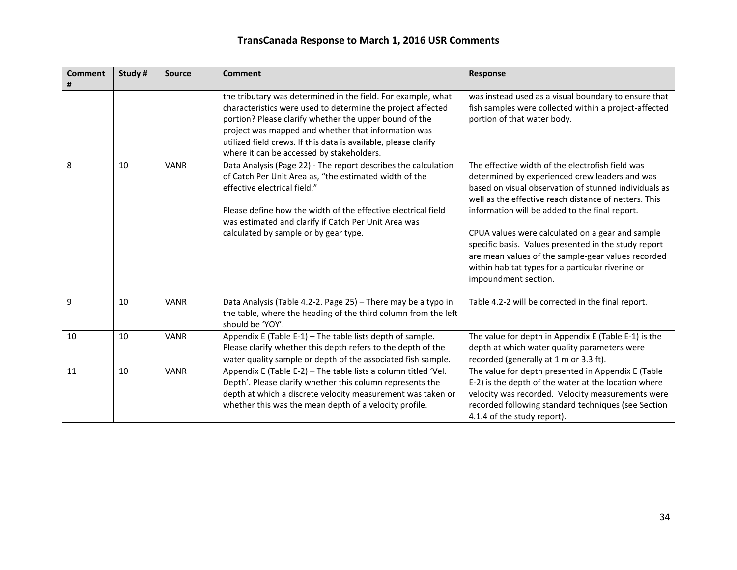| <b>Comment</b><br># | Study# | <b>Source</b> | <b>Comment</b>                                                                                                                                                                                                                                                                                                                                               | <b>Response</b>                                                                                                                                                                                                                                                                                                                                                                                                                                                                                                       |
|---------------------|--------|---------------|--------------------------------------------------------------------------------------------------------------------------------------------------------------------------------------------------------------------------------------------------------------------------------------------------------------------------------------------------------------|-----------------------------------------------------------------------------------------------------------------------------------------------------------------------------------------------------------------------------------------------------------------------------------------------------------------------------------------------------------------------------------------------------------------------------------------------------------------------------------------------------------------------|
|                     |        |               | the tributary was determined in the field. For example, what<br>characteristics were used to determine the project affected<br>portion? Please clarify whether the upper bound of the<br>project was mapped and whether that information was<br>utilized field crews. If this data is available, please clarify<br>where it can be accessed by stakeholders. | was instead used as a visual boundary to ensure that<br>fish samples were collected within a project-affected<br>portion of that water body.                                                                                                                                                                                                                                                                                                                                                                          |
| 8                   | 10     | <b>VANR</b>   | Data Analysis (Page 22) - The report describes the calculation<br>of Catch Per Unit Area as, "the estimated width of the<br>effective electrical field."<br>Please define how the width of the effective electrical field<br>was estimated and clarify if Catch Per Unit Area was<br>calculated by sample or by gear type.                                   | The effective width of the electrofish field was<br>determined by experienced crew leaders and was<br>based on visual observation of stunned individuals as<br>well as the effective reach distance of netters. This<br>information will be added to the final report.<br>CPUA values were calculated on a gear and sample<br>specific basis. Values presented in the study report<br>are mean values of the sample-gear values recorded<br>within habitat types for a particular riverine or<br>impoundment section. |
| 9                   | 10     | <b>VANR</b>   | Data Analysis (Table 4.2-2. Page 25) - There may be a typo in<br>the table, where the heading of the third column from the left<br>should be 'YOY'.                                                                                                                                                                                                          | Table 4.2-2 will be corrected in the final report.                                                                                                                                                                                                                                                                                                                                                                                                                                                                    |
| 10                  | 10     | <b>VANR</b>   | Appendix E (Table E-1) - The table lists depth of sample.<br>Please clarify whether this depth refers to the depth of the<br>water quality sample or depth of the associated fish sample.                                                                                                                                                                    | The value for depth in Appendix E (Table E-1) is the<br>depth at which water quality parameters were<br>recorded (generally at 1 m or 3.3 ft).                                                                                                                                                                                                                                                                                                                                                                        |
| 11                  | 10     | <b>VANR</b>   | Appendix E (Table E-2) - The table lists a column titled 'Vel.<br>Depth'. Please clarify whether this column represents the<br>depth at which a discrete velocity measurement was taken or<br>whether this was the mean depth of a velocity profile.                                                                                                         | The value for depth presented in Appendix E (Table<br>E-2) is the depth of the water at the location where<br>velocity was recorded. Velocity measurements were<br>recorded following standard techniques (see Section<br>4.1.4 of the study report).                                                                                                                                                                                                                                                                 |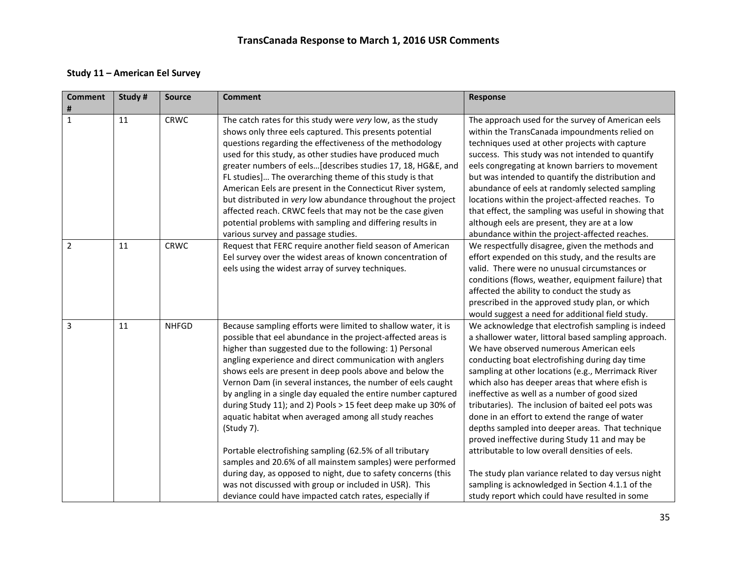#### **Study 11 – American Eel Survey**

| <b>Comment</b><br># | Study # | <b>Source</b> | <b>Comment</b>                                                                                                                                                                                                                                                                                                                                                                                                                                                                                                                                                                                                                                                                                                                                                                                                                                                                                         | Response                                                                                                                                                                                                                                                                                                                                                                                                                                                                                                                                                                                                                                                                                                                                                                                      |
|---------------------|---------|---------------|--------------------------------------------------------------------------------------------------------------------------------------------------------------------------------------------------------------------------------------------------------------------------------------------------------------------------------------------------------------------------------------------------------------------------------------------------------------------------------------------------------------------------------------------------------------------------------------------------------------------------------------------------------------------------------------------------------------------------------------------------------------------------------------------------------------------------------------------------------------------------------------------------------|-----------------------------------------------------------------------------------------------------------------------------------------------------------------------------------------------------------------------------------------------------------------------------------------------------------------------------------------------------------------------------------------------------------------------------------------------------------------------------------------------------------------------------------------------------------------------------------------------------------------------------------------------------------------------------------------------------------------------------------------------------------------------------------------------|
| 1                   | 11      | <b>CRWC</b>   | The catch rates for this study were very low, as the study<br>shows only three eels captured. This presents potential<br>questions regarding the effectiveness of the methodology<br>used for this study, as other studies have produced much<br>greater numbers of eels[describes studies 17, 18, HG&E, and<br>FL studies] The overarching theme of this study is that<br>American Eels are present in the Connecticut River system,<br>but distributed in very low abundance throughout the project<br>affected reach. CRWC feels that may not be the case given<br>potential problems with sampling and differing results in<br>various survey and passage studies.                                                                                                                                                                                                                                 | The approach used for the survey of American eels<br>within the TransCanada impoundments relied on<br>techniques used at other projects with capture<br>success. This study was not intended to quantify<br>eels congregating at known barriers to movement<br>but was intended to quantify the distribution and<br>abundance of eels at randomly selected sampling<br>locations within the project-affected reaches. To<br>that effect, the sampling was useful in showing that<br>although eels are present, they are at a low<br>abundance within the project-affected reaches.                                                                                                                                                                                                            |
| $\overline{2}$      | 11      | <b>CRWC</b>   | Request that FERC require another field season of American<br>Eel survey over the widest areas of known concentration of<br>eels using the widest array of survey techniques.                                                                                                                                                                                                                                                                                                                                                                                                                                                                                                                                                                                                                                                                                                                          | We respectfully disagree, given the methods and<br>effort expended on this study, and the results are<br>valid. There were no unusual circumstances or<br>conditions (flows, weather, equipment failure) that<br>affected the ability to conduct the study as<br>prescribed in the approved study plan, or which<br>would suggest a need for additional field study.                                                                                                                                                                                                                                                                                                                                                                                                                          |
| $\overline{3}$      | 11      | <b>NHFGD</b>  | Because sampling efforts were limited to shallow water, it is<br>possible that eel abundance in the project-affected areas is<br>higher than suggested due to the following: 1) Personal<br>angling experience and direct communication with anglers<br>shows eels are present in deep pools above and below the<br>Vernon Dam (in several instances, the number of eels caught<br>by angling in a single day equaled the entire number captured<br>during Study 11); and 2) Pools > 15 feet deep make up 30% of<br>aquatic habitat when averaged among all study reaches<br>(Study 7).<br>Portable electrofishing sampling (62.5% of all tributary<br>samples and 20.6% of all mainstem samples) were performed<br>during day, as opposed to night, due to safety concerns (this<br>was not discussed with group or included in USR). This<br>deviance could have impacted catch rates, especially if | We acknowledge that electrofish sampling is indeed<br>a shallower water, littoral based sampling approach.<br>We have observed numerous American eels<br>conducting boat electrofishing during day time<br>sampling at other locations (e.g., Merrimack River<br>which also has deeper areas that where efish is<br>ineffective as well as a number of good sized<br>tributaries). The inclusion of baited eel pots was<br>done in an effort to extend the range of water<br>depths sampled into deeper areas. That technique<br>proved ineffective during Study 11 and may be<br>attributable to low overall densities of eels.<br>The study plan variance related to day versus night<br>sampling is acknowledged in Section 4.1.1 of the<br>study report which could have resulted in some |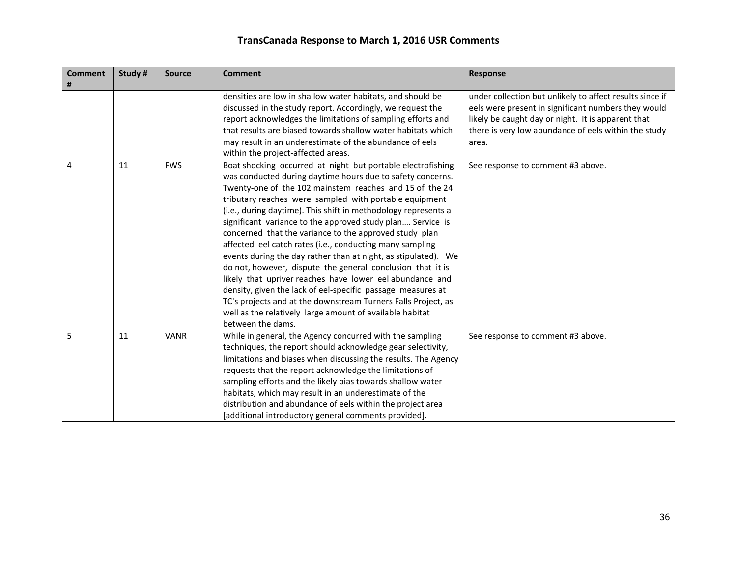| <b>Comment</b><br># | Study# | <b>Source</b> | <b>Comment</b>                                                                                                                                                                                                                                                                                                                                                                                                                                                                                                                                                                                                                                                                                                                                                                                                                                                                                                    | <b>Response</b>                                                                                                                                                                                                                        |
|---------------------|--------|---------------|-------------------------------------------------------------------------------------------------------------------------------------------------------------------------------------------------------------------------------------------------------------------------------------------------------------------------------------------------------------------------------------------------------------------------------------------------------------------------------------------------------------------------------------------------------------------------------------------------------------------------------------------------------------------------------------------------------------------------------------------------------------------------------------------------------------------------------------------------------------------------------------------------------------------|----------------------------------------------------------------------------------------------------------------------------------------------------------------------------------------------------------------------------------------|
|                     |        |               | densities are low in shallow water habitats, and should be<br>discussed in the study report. Accordingly, we request the<br>report acknowledges the limitations of sampling efforts and<br>that results are biased towards shallow water habitats which<br>may result in an underestimate of the abundance of eels<br>within the project-affected areas.                                                                                                                                                                                                                                                                                                                                                                                                                                                                                                                                                          | under collection but unlikely to affect results since if<br>eels were present in significant numbers they would<br>likely be caught day or night. It is apparent that<br>there is very low abundance of eels within the study<br>area. |
| 4                   | 11     | <b>FWS</b>    | Boat shocking occurred at night but portable electrofishing<br>was conducted during daytime hours due to safety concerns.<br>Twenty-one of the 102 mainstem reaches and 15 of the 24<br>tributary reaches were sampled with portable equipment<br>(i.e., during daytime). This shift in methodology represents a<br>significant variance to the approved study plan Service is<br>concerned that the variance to the approved study plan<br>affected eel catch rates (i.e., conducting many sampling<br>events during the day rather than at night, as stipulated). We<br>do not, however, dispute the general conclusion that it is<br>likely that upriver reaches have lower eel abundance and<br>density, given the lack of eel-specific passage measures at<br>TC's projects and at the downstream Turners Falls Project, as<br>well as the relatively large amount of available habitat<br>between the dams. | See response to comment #3 above.                                                                                                                                                                                                      |
| 5                   | 11     | <b>VANR</b>   | While in general, the Agency concurred with the sampling<br>techniques, the report should acknowledge gear selectivity,<br>limitations and biases when discussing the results. The Agency<br>requests that the report acknowledge the limitations of<br>sampling efforts and the likely bias towards shallow water<br>habitats, which may result in an underestimate of the<br>distribution and abundance of eels within the project area<br>[additional introductory general comments provided].                                                                                                                                                                                                                                                                                                                                                                                                                 | See response to comment #3 above.                                                                                                                                                                                                      |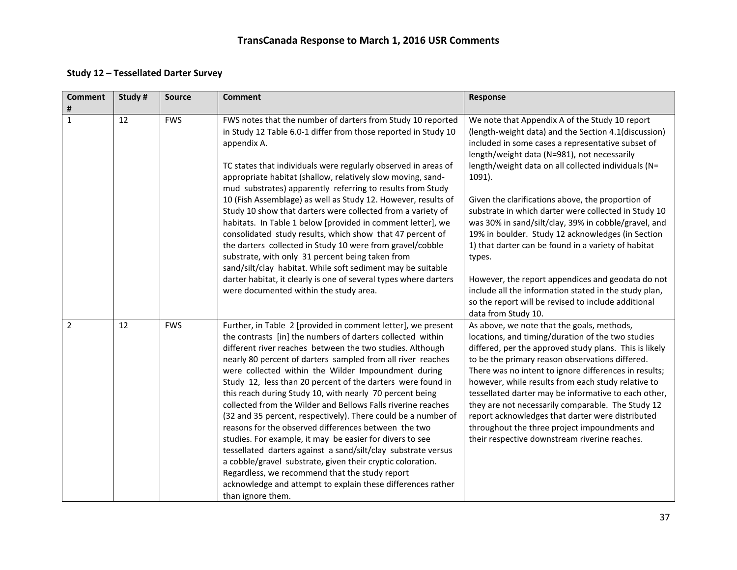#### **Study 12 – Tessellated Darter Survey**

| <b>Comment</b><br># | Study# | <b>Source</b> | <b>Comment</b>                                                                                                                                                                                                                                                                                                                                                                                                                                                                                                                                                                                                                                                                                                                                                                                                                                                                                                                                                     | Response                                                                                                                                                                                                                                                                                                                                                                                                                                                                                                                                                                                                                                                                                                                                    |
|---------------------|--------|---------------|--------------------------------------------------------------------------------------------------------------------------------------------------------------------------------------------------------------------------------------------------------------------------------------------------------------------------------------------------------------------------------------------------------------------------------------------------------------------------------------------------------------------------------------------------------------------------------------------------------------------------------------------------------------------------------------------------------------------------------------------------------------------------------------------------------------------------------------------------------------------------------------------------------------------------------------------------------------------|---------------------------------------------------------------------------------------------------------------------------------------------------------------------------------------------------------------------------------------------------------------------------------------------------------------------------------------------------------------------------------------------------------------------------------------------------------------------------------------------------------------------------------------------------------------------------------------------------------------------------------------------------------------------------------------------------------------------------------------------|
| $\mathbf{1}$        | 12     | <b>FWS</b>    | FWS notes that the number of darters from Study 10 reported<br>in Study 12 Table 6.0-1 differ from those reported in Study 10<br>appendix A.<br>TC states that individuals were regularly observed in areas of<br>appropriate habitat (shallow, relatively slow moving, sand-<br>mud substrates) apparently referring to results from Study<br>10 (Fish Assemblage) as well as Study 12. However, results of<br>Study 10 show that darters were collected from a variety of<br>habitats. In Table 1 below [provided in comment letter], we<br>consolidated study results, which show that 47 percent of<br>the darters collected in Study 10 were from gravel/cobble<br>substrate, with only 31 percent being taken from<br>sand/silt/clay habitat. While soft sediment may be suitable<br>darter habitat, it clearly is one of several types where darters<br>were documented within the study area.                                                              | We note that Appendix A of the Study 10 report<br>(length-weight data) and the Section 4.1(discussion)<br>included in some cases a representative subset of<br>length/weight data (N=981), not necessarily<br>length/weight data on all collected individuals (N=<br>1091).<br>Given the clarifications above, the proportion of<br>substrate in which darter were collected in Study 10<br>was 30% in sand/silt/clay, 39% in cobble/gravel, and<br>19% in boulder. Study 12 acknowledges (in Section<br>1) that darter can be found in a variety of habitat<br>types.<br>However, the report appendices and geodata do not<br>include all the information stated in the study plan,<br>so the report will be revised to include additional |
| $\overline{2}$      | 12     | <b>FWS</b>    | Further, in Table 2 [provided in comment letter], we present<br>the contrasts [in] the numbers of darters collected within<br>different river reaches between the two studies. Although<br>nearly 80 percent of darters sampled from all river reaches<br>were collected within the Wilder Impoundment during<br>Study 12, less than 20 percent of the darters were found in<br>this reach during Study 10, with nearly 70 percent being<br>collected from the Wilder and Bellows Falls riverine reaches<br>(32 and 35 percent, respectively). There could be a number of<br>reasons for the observed differences between the two<br>studies. For example, it may be easier for divers to see<br>tessellated darters against a sand/silt/clay substrate versus<br>a cobble/gravel substrate, given their cryptic coloration.<br>Regardless, we recommend that the study report<br>acknowledge and attempt to explain these differences rather<br>than ignore them. | data from Study 10.<br>As above, we note that the goals, methods,<br>locations, and timing/duration of the two studies<br>differed, per the approved study plans. This is likely<br>to be the primary reason observations differed.<br>There was no intent to ignore differences in results;<br>however, while results from each study relative to<br>tessellated darter may be informative to each other,<br>they are not necessarily comparable. The Study 12<br>report acknowledges that darter were distributed<br>throughout the three project impoundments and<br>their respective downstream riverine reaches.                                                                                                                       |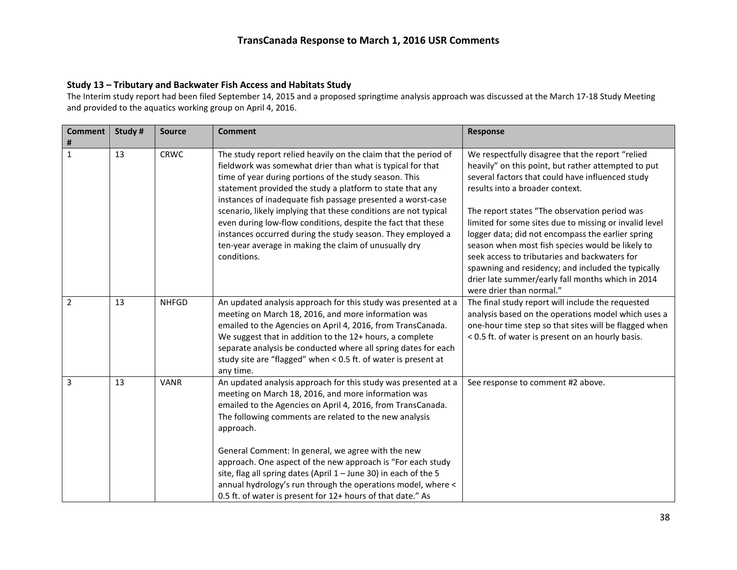#### **Study 13 – Tributary and Backwater Fish Access and Habitats Study**

The Interim study report had been filed September 14, 2015 and a proposed springtime analysis approach was discussed at the March 17-18 Study Meeting and provided to the aquatics working group on April 4, 2016.

| <b>Comment</b><br># | Study # | <b>Source</b> | <b>Comment</b>                                                                                                                                                                                                                                                                                                                                                                                                                                                                                                                                                                                | Response                                                                                                                                                                                                                                                                                                                                                                                                                                                                                                                                                                                                   |
|---------------------|---------|---------------|-----------------------------------------------------------------------------------------------------------------------------------------------------------------------------------------------------------------------------------------------------------------------------------------------------------------------------------------------------------------------------------------------------------------------------------------------------------------------------------------------------------------------------------------------------------------------------------------------|------------------------------------------------------------------------------------------------------------------------------------------------------------------------------------------------------------------------------------------------------------------------------------------------------------------------------------------------------------------------------------------------------------------------------------------------------------------------------------------------------------------------------------------------------------------------------------------------------------|
| $\mathbf{1}$        | 13      | <b>CRWC</b>   | The study report relied heavily on the claim that the period of<br>fieldwork was somewhat drier than what is typical for that<br>time of year during portions of the study season. This<br>statement provided the study a platform to state that any<br>instances of inadequate fish passage presented a worst-case<br>scenario, likely implying that these conditions are not typical<br>even during low-flow conditions, despite the fact that these<br>instances occurred during the study season. They employed a<br>ten-year average in making the claim of unusually dry<br>conditions. | We respectfully disagree that the report "relied<br>heavily" on this point, but rather attempted to put<br>several factors that could have influenced study<br>results into a broader context.<br>The report states "The observation period was<br>limited for some sites due to missing or invalid level<br>logger data; did not encompass the earlier spring<br>season when most fish species would be likely to<br>seek access to tributaries and backwaters for<br>spawning and residency; and included the typically<br>drier late summer/early fall months which in 2014<br>were drier than normal." |
| $\overline{2}$      | 13      | <b>NHFGD</b>  | An updated analysis approach for this study was presented at a<br>meeting on March 18, 2016, and more information was<br>emailed to the Agencies on April 4, 2016, from TransCanada.<br>We suggest that in addition to the 12+ hours, a complete<br>separate analysis be conducted where all spring dates for each<br>study site are "flagged" when < 0.5 ft. of water is present at<br>any time.                                                                                                                                                                                             | The final study report will include the requested<br>analysis based on the operations model which uses a<br>one-hour time step so that sites will be flagged when<br>< 0.5 ft. of water is present on an hourly basis.                                                                                                                                                                                                                                                                                                                                                                                     |
| 3                   | 13      | <b>VANR</b>   | An updated analysis approach for this study was presented at a<br>meeting on March 18, 2016, and more information was<br>emailed to the Agencies on April 4, 2016, from TransCanada.<br>The following comments are related to the new analysis<br>approach.<br>General Comment: In general, we agree with the new<br>approach. One aspect of the new approach is "For each study<br>site, flag all spring dates (April 1 - June 30) in each of the 5<br>annual hydrology's run through the operations model, where <<br>0.5 ft. of water is present for 12+ hours of that date." As           | See response to comment #2 above.                                                                                                                                                                                                                                                                                                                                                                                                                                                                                                                                                                          |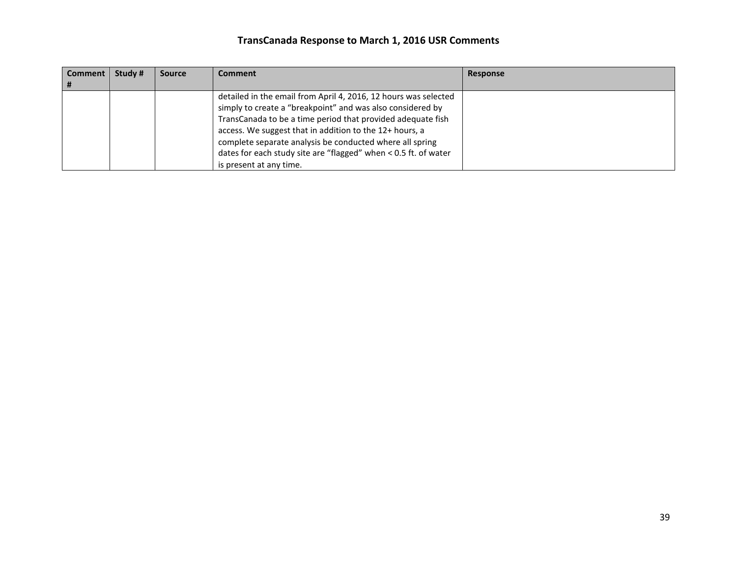| Comment | Study # | <b>Source</b> | Comment                                                                                                                                                                                                                                                                                                                                                                                | <b>Response</b> |
|---------|---------|---------------|----------------------------------------------------------------------------------------------------------------------------------------------------------------------------------------------------------------------------------------------------------------------------------------------------------------------------------------------------------------------------------------|-----------------|
|         |         |               | detailed in the email from April 4, 2016, 12 hours was selected<br>simply to create a "breakpoint" and was also considered by<br>TransCanada to be a time period that provided adequate fish<br>access. We suggest that in addition to the 12+ hours, a<br>complete separate analysis be conducted where all spring<br>dates for each study site are "flagged" when < 0.5 ft. of water |                 |
|         |         |               | is present at any time.                                                                                                                                                                                                                                                                                                                                                                |                 |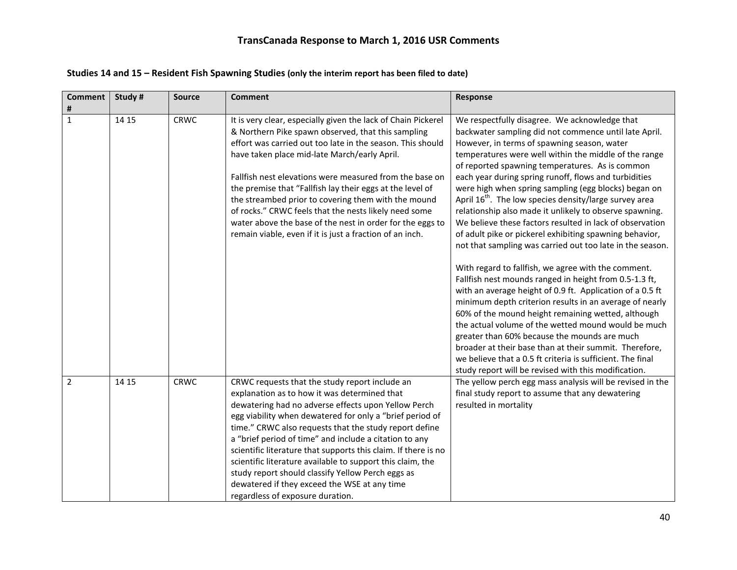| <b>Comment</b><br># | Study # | <b>Source</b> | <b>Comment</b>                                                                                                                                                                                                                                                                                                                                                                                                                                                                                                                                                                                                 | Response                                                                                                                                                                                                                                                                                                                                                                                                                                                                                                                                                                                                                                                                                                                                                                                                                                                                                                                                                                                                                                                                                                                                                                                                                                                                                      |
|---------------------|---------|---------------|----------------------------------------------------------------------------------------------------------------------------------------------------------------------------------------------------------------------------------------------------------------------------------------------------------------------------------------------------------------------------------------------------------------------------------------------------------------------------------------------------------------------------------------------------------------------------------------------------------------|-----------------------------------------------------------------------------------------------------------------------------------------------------------------------------------------------------------------------------------------------------------------------------------------------------------------------------------------------------------------------------------------------------------------------------------------------------------------------------------------------------------------------------------------------------------------------------------------------------------------------------------------------------------------------------------------------------------------------------------------------------------------------------------------------------------------------------------------------------------------------------------------------------------------------------------------------------------------------------------------------------------------------------------------------------------------------------------------------------------------------------------------------------------------------------------------------------------------------------------------------------------------------------------------------|
| $\mathbf{1}$        | 14 15   | <b>CRWC</b>   | It is very clear, especially given the lack of Chain Pickerel<br>& Northern Pike spawn observed, that this sampling<br>effort was carried out too late in the season. This should<br>have taken place mid-late March/early April.<br>Fallfish nest elevations were measured from the base on<br>the premise that "Fallfish lay their eggs at the level of<br>the streambed prior to covering them with the mound<br>of rocks." CRWC feels that the nests likely need some<br>water above the base of the nest in order for the eggs to<br>remain viable, even if it is just a fraction of an inch.             | We respectfully disagree. We acknowledge that<br>backwater sampling did not commence until late April.<br>However, in terms of spawning season, water<br>temperatures were well within the middle of the range<br>of reported spawning temperatures. As is common<br>each year during spring runoff, flows and turbidities<br>were high when spring sampling (egg blocks) began on<br>April 16 <sup>th</sup> . The low species density/large survey area<br>relationship also made it unlikely to observe spawning.<br>We believe these factors resulted in lack of observation<br>of adult pike or pickerel exhibiting spawning behavior,<br>not that sampling was carried out too late in the season.<br>With regard to fallfish, we agree with the comment.<br>Fallfish nest mounds ranged in height from 0.5-1.3 ft,<br>with an average height of 0.9 ft. Application of a 0.5 ft<br>minimum depth criterion results in an average of nearly<br>60% of the mound height remaining wetted, although<br>the actual volume of the wetted mound would be much<br>greater than 60% because the mounds are much<br>broader at their base than at their summit. Therefore,<br>we believe that a 0.5 ft criteria is sufficient. The final<br>study report will be revised with this modification. |
| $\overline{2}$      | 14 15   | CRWC          | CRWC requests that the study report include an<br>explanation as to how it was determined that<br>dewatering had no adverse effects upon Yellow Perch<br>egg viability when dewatered for only a "brief period of<br>time." CRWC also requests that the study report define<br>a "brief period of time" and include a citation to any<br>scientific literature that supports this claim. If there is no<br>scientific literature available to support this claim, the<br>study report should classify Yellow Perch eggs as<br>dewatered if they exceed the WSE at any time<br>regardless of exposure duration. | The yellow perch egg mass analysis will be revised in the<br>final study report to assume that any dewatering<br>resulted in mortality                                                                                                                                                                                                                                                                                                                                                                                                                                                                                                                                                                                                                                                                                                                                                                                                                                                                                                                                                                                                                                                                                                                                                        |

#### **Studies 14 and 15 – Resident Fish Spawning Studies (only the interim report has been filed to date)**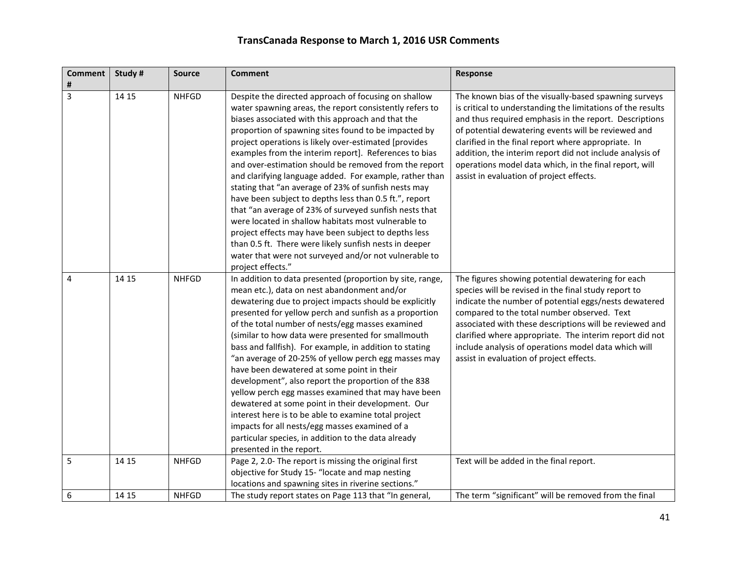| <b>Comment</b><br># | Study # | <b>Source</b> | <b>Comment</b>                                                                                                                                                                                                                                                                                                                                                                                                                                                                                                                                                                                                                                                                                                                                                                                                                                                                                        | <b>Response</b>                                                                                                                                                                                                                                                                                                                                                                                                                                                |
|---------------------|---------|---------------|-------------------------------------------------------------------------------------------------------------------------------------------------------------------------------------------------------------------------------------------------------------------------------------------------------------------------------------------------------------------------------------------------------------------------------------------------------------------------------------------------------------------------------------------------------------------------------------------------------------------------------------------------------------------------------------------------------------------------------------------------------------------------------------------------------------------------------------------------------------------------------------------------------|----------------------------------------------------------------------------------------------------------------------------------------------------------------------------------------------------------------------------------------------------------------------------------------------------------------------------------------------------------------------------------------------------------------------------------------------------------------|
| 3                   | 14 15   | <b>NHFGD</b>  | Despite the directed approach of focusing on shallow<br>water spawning areas, the report consistently refers to<br>biases associated with this approach and that the<br>proportion of spawning sites found to be impacted by<br>project operations is likely over-estimated [provides<br>examples from the interim report]. References to bias<br>and over-estimation should be removed from the report<br>and clarifying language added. For example, rather than<br>stating that "an average of 23% of sunfish nests may<br>have been subject to depths less than 0.5 ft.", report<br>that "an average of 23% of surveyed sunfish nests that<br>were located in shallow habitats most vulnerable to<br>project effects may have been subject to depths less<br>than 0.5 ft. There were likely sunfish nests in deeper<br>water that were not surveyed and/or not vulnerable to<br>project effects." | The known bias of the visually-based spawning surveys<br>is critical to understanding the limitations of the results<br>and thus required emphasis in the report. Descriptions<br>of potential dewatering events will be reviewed and<br>clarified in the final report where appropriate. In<br>addition, the interim report did not include analysis of<br>operations model data which, in the final report, will<br>assist in evaluation of project effects. |
| 4                   | 14 15   | <b>NHFGD</b>  | In addition to data presented (proportion by site, range,<br>mean etc.), data on nest abandonment and/or<br>dewatering due to project impacts should be explicitly<br>presented for yellow perch and sunfish as a proportion<br>of the total number of nests/egg masses examined<br>(similar to how data were presented for smallmouth<br>bass and fallfish). For example, in addition to stating<br>"an average of 20-25% of yellow perch egg masses may<br>have been dewatered at some point in their<br>development", also report the proportion of the 838<br>yellow perch egg masses examined that may have been<br>dewatered at some point in their development. Our<br>interest here is to be able to examine total project<br>impacts for all nests/egg masses examined of a<br>particular species, in addition to the data already<br>presented in the report.                               | The figures showing potential dewatering for each<br>species will be revised in the final study report to<br>indicate the number of potential eggs/nests dewatered<br>compared to the total number observed. Text<br>associated with these descriptions will be reviewed and<br>clarified where appropriate. The interim report did not<br>include analysis of operations model data which will<br>assist in evaluation of project effects.                    |
| 5                   | 14 15   | <b>NHFGD</b>  | Page 2, 2.0- The report is missing the original first<br>objective for Study 15- "locate and map nesting<br>locations and spawning sites in riverine sections."                                                                                                                                                                                                                                                                                                                                                                                                                                                                                                                                                                                                                                                                                                                                       | Text will be added in the final report.                                                                                                                                                                                                                                                                                                                                                                                                                        |
| 6                   | 14 15   | <b>NHFGD</b>  | The study report states on Page 113 that "In general,                                                                                                                                                                                                                                                                                                                                                                                                                                                                                                                                                                                                                                                                                                                                                                                                                                                 | The term "significant" will be removed from the final                                                                                                                                                                                                                                                                                                                                                                                                          |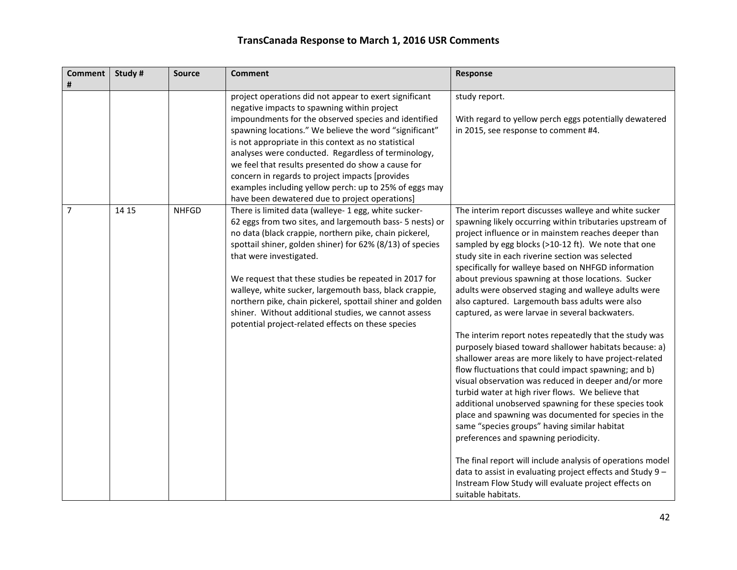| <b>Comment</b><br># | Study # | <b>Source</b> | <b>Comment</b>                                                                                                                                                                                                                                                                                                                                                                                                                                                                                                                                                   | Response                                                                                                                                                                                                                                                                                                                                                                                                                                                                                                                                                                                                                                                                                                                                                                                                                                                                                                                                                                                                                                                                                                                                                                                                                                                                                                                                |
|---------------------|---------|---------------|------------------------------------------------------------------------------------------------------------------------------------------------------------------------------------------------------------------------------------------------------------------------------------------------------------------------------------------------------------------------------------------------------------------------------------------------------------------------------------------------------------------------------------------------------------------|-----------------------------------------------------------------------------------------------------------------------------------------------------------------------------------------------------------------------------------------------------------------------------------------------------------------------------------------------------------------------------------------------------------------------------------------------------------------------------------------------------------------------------------------------------------------------------------------------------------------------------------------------------------------------------------------------------------------------------------------------------------------------------------------------------------------------------------------------------------------------------------------------------------------------------------------------------------------------------------------------------------------------------------------------------------------------------------------------------------------------------------------------------------------------------------------------------------------------------------------------------------------------------------------------------------------------------------------|
|                     |         |               | project operations did not appear to exert significant<br>negative impacts to spawning within project<br>impoundments for the observed species and identified<br>spawning locations." We believe the word "significant"<br>is not appropriate in this context as no statistical<br>analyses were conducted. Regardless of terminology,<br>we feel that results presented do show a cause for<br>concern in regards to project impacts [provides<br>examples including yellow perch: up to 25% of eggs may<br>have been dewatered due to project operations]      | study report.<br>With regard to yellow perch eggs potentially dewatered<br>in 2015, see response to comment #4.                                                                                                                                                                                                                                                                                                                                                                                                                                                                                                                                                                                                                                                                                                                                                                                                                                                                                                                                                                                                                                                                                                                                                                                                                         |
| 7                   | 14 15   | <b>NHFGD</b>  | There is limited data (walleye- 1 egg, white sucker-<br>62 eggs from two sites, and largemouth bass- 5 nests) or<br>no data (black crappie, northern pike, chain pickerel,<br>spottail shiner, golden shiner) for 62% (8/13) of species<br>that were investigated.<br>We request that these studies be repeated in 2017 for<br>walleye, white sucker, largemouth bass, black crappie,<br>northern pike, chain pickerel, spottail shiner and golden<br>shiner. Without additional studies, we cannot assess<br>potential project-related effects on these species | The interim report discusses walleye and white sucker<br>spawning likely occurring within tributaries upstream of<br>project influence or in mainstem reaches deeper than<br>sampled by egg blocks (>10-12 ft). We note that one<br>study site in each riverine section was selected<br>specifically for walleye based on NHFGD information<br>about previous spawning at those locations. Sucker<br>adults were observed staging and walleye adults were<br>also captured. Largemouth bass adults were also<br>captured, as were larvae in several backwaters.<br>The interim report notes repeatedly that the study was<br>purposely biased toward shallower habitats because: a)<br>shallower areas are more likely to have project-related<br>flow fluctuations that could impact spawning; and b)<br>visual observation was reduced in deeper and/or more<br>turbid water at high river flows. We believe that<br>additional unobserved spawning for these species took<br>place and spawning was documented for species in the<br>same "species groups" having similar habitat<br>preferences and spawning periodicity.<br>The final report will include analysis of operations model<br>data to assist in evaluating project effects and Study 9 -<br>Instream Flow Study will evaluate project effects on<br>suitable habitats. |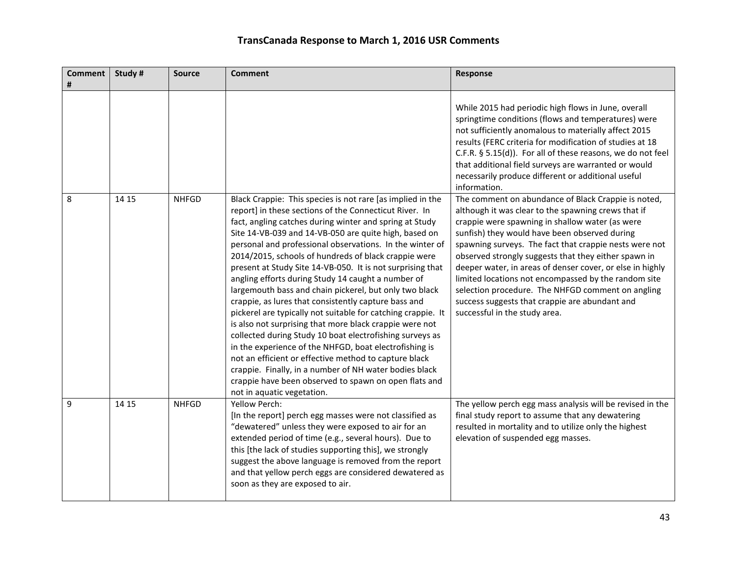| <b>Comment</b><br># | Study # | <b>Source</b> | <b>Comment</b>                                                                                                                                                                                                                                                                                                                                                                                                                                                                                                                                                                                                                                                                                                                                                                                                                                                                                                                                                                                                                                                | Response                                                                                                                                                                                                                                                                                                                                                                                                                                                                                                                                                                                      |
|---------------------|---------|---------------|---------------------------------------------------------------------------------------------------------------------------------------------------------------------------------------------------------------------------------------------------------------------------------------------------------------------------------------------------------------------------------------------------------------------------------------------------------------------------------------------------------------------------------------------------------------------------------------------------------------------------------------------------------------------------------------------------------------------------------------------------------------------------------------------------------------------------------------------------------------------------------------------------------------------------------------------------------------------------------------------------------------------------------------------------------------|-----------------------------------------------------------------------------------------------------------------------------------------------------------------------------------------------------------------------------------------------------------------------------------------------------------------------------------------------------------------------------------------------------------------------------------------------------------------------------------------------------------------------------------------------------------------------------------------------|
|                     |         |               |                                                                                                                                                                                                                                                                                                                                                                                                                                                                                                                                                                                                                                                                                                                                                                                                                                                                                                                                                                                                                                                               | While 2015 had periodic high flows in June, overall<br>springtime conditions (flows and temperatures) were<br>not sufficiently anomalous to materially affect 2015<br>results (FERC criteria for modification of studies at 18<br>C.F.R. § 5.15(d)). For all of these reasons, we do not feel<br>that additional field surveys are warranted or would<br>necessarily produce different or additional useful<br>information.                                                                                                                                                                   |
| 8                   | 14 15   | <b>NHFGD</b>  | Black Crappie: This species is not rare [as implied in the<br>report] in these sections of the Connecticut River. In<br>fact, angling catches during winter and spring at Study<br>Site 14-VB-039 and 14-VB-050 are quite high, based on<br>personal and professional observations. In the winter of<br>2014/2015, schools of hundreds of black crappie were<br>present at Study Site 14-VB-050. It is not surprising that<br>angling efforts during Study 14 caught a number of<br>largemouth bass and chain pickerel, but only two black<br>crappie, as lures that consistently capture bass and<br>pickerel are typically not suitable for catching crappie. It<br>is also not surprising that more black crappie were not<br>collected during Study 10 boat electrofishing surveys as<br>in the experience of the NHFGD, boat electrofishing is<br>not an efficient or effective method to capture black<br>crappie. Finally, in a number of NH water bodies black<br>crappie have been observed to spawn on open flats and<br>not in aquatic vegetation. | The comment on abundance of Black Crappie is noted,<br>although it was clear to the spawning crews that if<br>crappie were spawning in shallow water (as were<br>sunfish) they would have been observed during<br>spawning surveys. The fact that crappie nests were not<br>observed strongly suggests that they either spawn in<br>deeper water, in areas of denser cover, or else in highly<br>limited locations not encompassed by the random site<br>selection procedure. The NHFGD comment on angling<br>success suggests that crappie are abundant and<br>successful in the study area. |
| 9                   | 14 15   | <b>NHFGD</b>  | Yellow Perch:<br>[In the report] perch egg masses were not classified as<br>"dewatered" unless they were exposed to air for an<br>extended period of time (e.g., several hours). Due to<br>this [the lack of studies supporting this], we strongly<br>suggest the above language is removed from the report<br>and that yellow perch eggs are considered dewatered as<br>soon as they are exposed to air.                                                                                                                                                                                                                                                                                                                                                                                                                                                                                                                                                                                                                                                     | The yellow perch egg mass analysis will be revised in the<br>final study report to assume that any dewatering<br>resulted in mortality and to utilize only the highest<br>elevation of suspended egg masses.                                                                                                                                                                                                                                                                                                                                                                                  |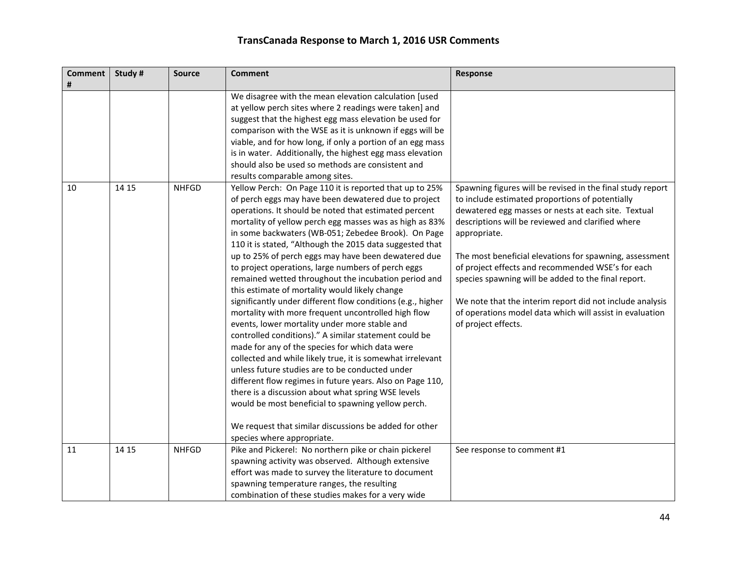| <b>Comment</b><br># | Study # | <b>Source</b> | <b>Comment</b>                                                                                                                                                                                                                                                                                                                                                                                                                                                                                                                                                                                                                                                                                                                                                                                                                                                                                                                                                                                                                                                                                                                                                                                                                                     | Response                                                                                                                                                                                                                                                                                                                                                                                                                                                                                                                                                        |
|---------------------|---------|---------------|----------------------------------------------------------------------------------------------------------------------------------------------------------------------------------------------------------------------------------------------------------------------------------------------------------------------------------------------------------------------------------------------------------------------------------------------------------------------------------------------------------------------------------------------------------------------------------------------------------------------------------------------------------------------------------------------------------------------------------------------------------------------------------------------------------------------------------------------------------------------------------------------------------------------------------------------------------------------------------------------------------------------------------------------------------------------------------------------------------------------------------------------------------------------------------------------------------------------------------------------------|-----------------------------------------------------------------------------------------------------------------------------------------------------------------------------------------------------------------------------------------------------------------------------------------------------------------------------------------------------------------------------------------------------------------------------------------------------------------------------------------------------------------------------------------------------------------|
|                     |         |               | We disagree with the mean elevation calculation [used<br>at yellow perch sites where 2 readings were taken] and<br>suggest that the highest egg mass elevation be used for<br>comparison with the WSE as it is unknown if eggs will be<br>viable, and for how long, if only a portion of an egg mass<br>is in water. Additionally, the highest egg mass elevation<br>should also be used so methods are consistent and<br>results comparable among sites.                                                                                                                                                                                                                                                                                                                                                                                                                                                                                                                                                                                                                                                                                                                                                                                          |                                                                                                                                                                                                                                                                                                                                                                                                                                                                                                                                                                 |
| 10                  | 14 15   | <b>NHFGD</b>  | Yellow Perch: On Page 110 it is reported that up to 25%<br>of perch eggs may have been dewatered due to project<br>operations. It should be noted that estimated percent<br>mortality of yellow perch egg masses was as high as 83%<br>in some backwaters (WB-051; Zebedee Brook). On Page<br>110 it is stated, "Although the 2015 data suggested that<br>up to 25% of perch eggs may have been dewatered due<br>to project operations, large numbers of perch eggs<br>remained wetted throughout the incubation period and<br>this estimate of mortality would likely change<br>significantly under different flow conditions (e.g., higher<br>mortality with more frequent uncontrolled high flow<br>events, lower mortality under more stable and<br>controlled conditions)." A similar statement could be<br>made for any of the species for which data were<br>collected and while likely true, it is somewhat irrelevant<br>unless future studies are to be conducted under<br>different flow regimes in future years. Also on Page 110,<br>there is a discussion about what spring WSE levels<br>would be most beneficial to spawning yellow perch.<br>We request that similar discussions be added for other<br>species where appropriate. | Spawning figures will be revised in the final study report<br>to include estimated proportions of potentially<br>dewatered egg masses or nests at each site. Textual<br>descriptions will be reviewed and clarified where<br>appropriate.<br>The most beneficial elevations for spawning, assessment<br>of project effects and recommended WSE's for each<br>species spawning will be added to the final report.<br>We note that the interim report did not include analysis<br>of operations model data which will assist in evaluation<br>of project effects. |
| 11                  | 14 15   | <b>NHFGD</b>  | Pike and Pickerel: No northern pike or chain pickerel<br>spawning activity was observed. Although extensive<br>effort was made to survey the literature to document                                                                                                                                                                                                                                                                                                                                                                                                                                                                                                                                                                                                                                                                                                                                                                                                                                                                                                                                                                                                                                                                                | See response to comment #1                                                                                                                                                                                                                                                                                                                                                                                                                                                                                                                                      |
|                     |         |               | spawning temperature ranges, the resulting<br>combination of these studies makes for a very wide                                                                                                                                                                                                                                                                                                                                                                                                                                                                                                                                                                                                                                                                                                                                                                                                                                                                                                                                                                                                                                                                                                                                                   |                                                                                                                                                                                                                                                                                                                                                                                                                                                                                                                                                                 |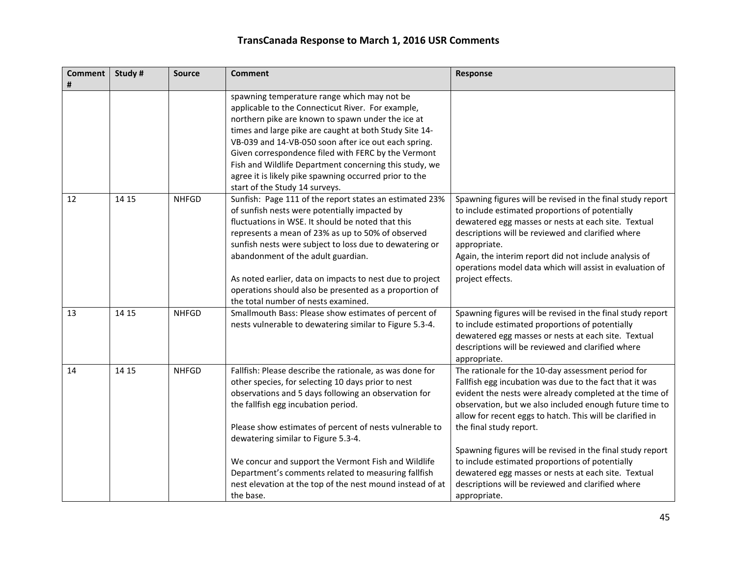| Study # | <b>Source</b> | <b>Comment</b>                                                                                                                                                                                                                                                                                                                                                                                                                                                                             | Response                                                                                                                                                                                                                                                                                                                                                                                                                                                                                                                                                                 |
|---------|---------------|--------------------------------------------------------------------------------------------------------------------------------------------------------------------------------------------------------------------------------------------------------------------------------------------------------------------------------------------------------------------------------------------------------------------------------------------------------------------------------------------|--------------------------------------------------------------------------------------------------------------------------------------------------------------------------------------------------------------------------------------------------------------------------------------------------------------------------------------------------------------------------------------------------------------------------------------------------------------------------------------------------------------------------------------------------------------------------|
|         |               | spawning temperature range which may not be<br>applicable to the Connecticut River. For example,<br>northern pike are known to spawn under the ice at<br>times and large pike are caught at both Study Site 14-<br>VB-039 and 14-VB-050 soon after ice out each spring.<br>Given correspondence filed with FERC by the Vermont<br>Fish and Wildlife Department concerning this study, we<br>agree it is likely pike spawning occurred prior to the<br>start of the Study 14 surveys.       |                                                                                                                                                                                                                                                                                                                                                                                                                                                                                                                                                                          |
| 14 15   | <b>NHFGD</b>  | Sunfish: Page 111 of the report states an estimated 23%<br>of sunfish nests were potentially impacted by<br>fluctuations in WSE. It should be noted that this<br>represents a mean of 23% as up to 50% of observed<br>sunfish nests were subject to loss due to dewatering or<br>abandonment of the adult guardian.<br>As noted earlier, data on impacts to nest due to project<br>operations should also be presented as a proportion of<br>the total number of nests examined.           | Spawning figures will be revised in the final study report<br>to include estimated proportions of potentially<br>dewatered egg masses or nests at each site. Textual<br>descriptions will be reviewed and clarified where<br>appropriate.<br>Again, the interim report did not include analysis of<br>operations model data which will assist in evaluation of<br>project effects.                                                                                                                                                                                       |
| 14 15   | <b>NHFGD</b>  | Smallmouth Bass: Please show estimates of percent of<br>nests vulnerable to dewatering similar to Figure 5.3-4.                                                                                                                                                                                                                                                                                                                                                                            | Spawning figures will be revised in the final study report<br>to include estimated proportions of potentially<br>dewatered egg masses or nests at each site. Textual<br>descriptions will be reviewed and clarified where<br>appropriate.                                                                                                                                                                                                                                                                                                                                |
| 14 15   | <b>NHFGD</b>  | Fallfish: Please describe the rationale, as was done for<br>other species, for selecting 10 days prior to nest<br>observations and 5 days following an observation for<br>the fallfish egg incubation period.<br>Please show estimates of percent of nests vulnerable to<br>dewatering similar to Figure 5.3-4.<br>We concur and support the Vermont Fish and Wildlife<br>Department's comments related to measuring fallfish<br>nest elevation at the top of the nest mound instead of at | The rationale for the 10-day assessment period for<br>Fallfish egg incubation was due to the fact that it was<br>evident the nests were already completed at the time of<br>observation, but we also included enough future time to<br>allow for recent eggs to hatch. This will be clarified in<br>the final study report.<br>Spawning figures will be revised in the final study report<br>to include estimated proportions of potentially<br>dewatered egg masses or nests at each site. Textual<br>descriptions will be reviewed and clarified where<br>appropriate. |
|         |               |                                                                                                                                                                                                                                                                                                                                                                                                                                                                                            | the base.                                                                                                                                                                                                                                                                                                                                                                                                                                                                                                                                                                |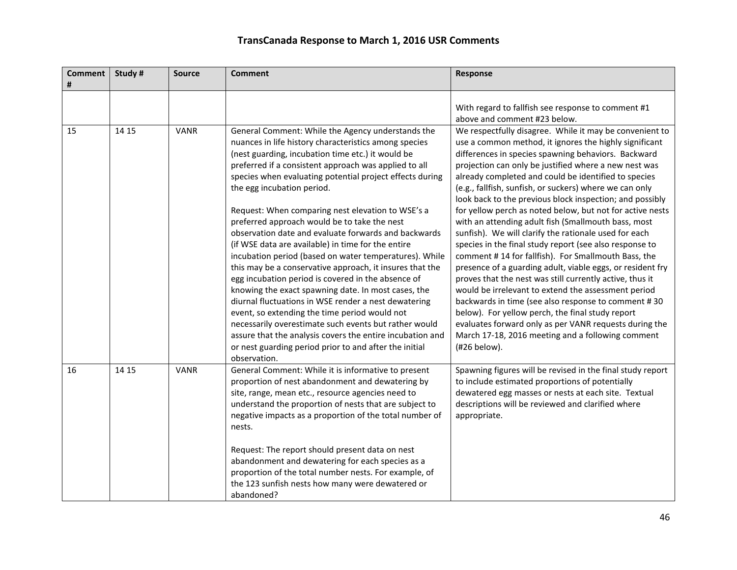| <b>Comment</b><br># | Study# | <b>Source</b> | <b>Comment</b>                                                                                                                                                                                                                                                                                                                                                                                                                                                                                                                                                                                                                                                                                                                                              | Response                                                                                                                                                                                                                                                                                                                                                                                                                                                                                                                                                                                                                                                                                                               |
|---------------------|--------|---------------|-------------------------------------------------------------------------------------------------------------------------------------------------------------------------------------------------------------------------------------------------------------------------------------------------------------------------------------------------------------------------------------------------------------------------------------------------------------------------------------------------------------------------------------------------------------------------------------------------------------------------------------------------------------------------------------------------------------------------------------------------------------|------------------------------------------------------------------------------------------------------------------------------------------------------------------------------------------------------------------------------------------------------------------------------------------------------------------------------------------------------------------------------------------------------------------------------------------------------------------------------------------------------------------------------------------------------------------------------------------------------------------------------------------------------------------------------------------------------------------------|
|                     |        |               |                                                                                                                                                                                                                                                                                                                                                                                                                                                                                                                                                                                                                                                                                                                                                             | With regard to fallfish see response to comment #1<br>above and comment #23 below.                                                                                                                                                                                                                                                                                                                                                                                                                                                                                                                                                                                                                                     |
| 15                  | 14 15  | <b>VANR</b>   | General Comment: While the Agency understands the<br>nuances in life history characteristics among species<br>(nest guarding, incubation time etc.) it would be<br>preferred if a consistent approach was applied to all<br>species when evaluating potential project effects during<br>the egg incubation period.                                                                                                                                                                                                                                                                                                                                                                                                                                          | We respectfully disagree. While it may be convenient to<br>use a common method, it ignores the highly significant<br>differences in species spawning behaviors. Backward<br>projection can only be justified where a new nest was<br>already completed and could be identified to species<br>(e.g., fallfish, sunfish, or suckers) where we can only<br>look back to the previous block inspection; and possibly                                                                                                                                                                                                                                                                                                       |
|                     |        |               | Request: When comparing nest elevation to WSE's a<br>preferred approach would be to take the nest<br>observation date and evaluate forwards and backwards<br>(if WSE data are available) in time for the entire<br>incubation period (based on water temperatures). While<br>this may be a conservative approach, it insures that the<br>egg incubation period is covered in the absence of<br>knowing the exact spawning date. In most cases, the<br>diurnal fluctuations in WSE render a nest dewatering<br>event, so extending the time period would not<br>necessarily overestimate such events but rather would<br>assure that the analysis covers the entire incubation and<br>or nest guarding period prior to and after the initial<br>observation. | for yellow perch as noted below, but not for active nests<br>with an attending adult fish (Smallmouth bass, most<br>sunfish). We will clarify the rationale used for each<br>species in the final study report (see also response to<br>comment #14 for fallfish). For Smallmouth Bass, the<br>presence of a guarding adult, viable eggs, or resident fry<br>proves that the nest was still currently active, thus it<br>would be irrelevant to extend the assessment period<br>backwards in time (see also response to comment #30<br>below). For yellow perch, the final study report<br>evaluates forward only as per VANR requests during the<br>March 17-18, 2016 meeting and a following comment<br>(#26 below). |
| 16                  | 14 15  | <b>VANR</b>   | General Comment: While it is informative to present<br>proportion of nest abandonment and dewatering by<br>site, range, mean etc., resource agencies need to<br>understand the proportion of nests that are subject to<br>negative impacts as a proportion of the total number of<br>nests.<br>Request: The report should present data on nest<br>abandonment and dewatering for each species as a<br>proportion of the total number nests. For example, of                                                                                                                                                                                                                                                                                                 | Spawning figures will be revised in the final study report<br>to include estimated proportions of potentially<br>dewatered egg masses or nests at each site. Textual<br>descriptions will be reviewed and clarified where<br>appropriate.                                                                                                                                                                                                                                                                                                                                                                                                                                                                              |
|                     |        |               | the 123 sunfish nests how many were dewatered or<br>abandoned?                                                                                                                                                                                                                                                                                                                                                                                                                                                                                                                                                                                                                                                                                              |                                                                                                                                                                                                                                                                                                                                                                                                                                                                                                                                                                                                                                                                                                                        |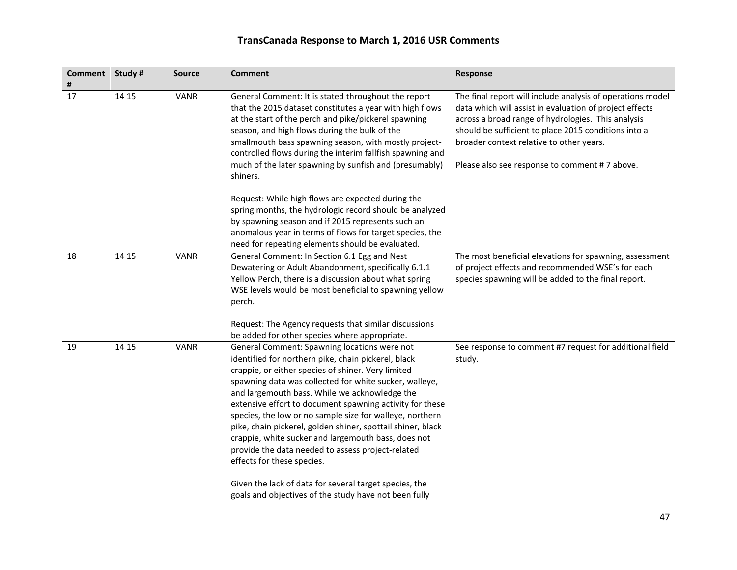| <b>Comment</b><br># | Study # | <b>Source</b> | <b>Comment</b>                                                                                                                                                                                                                                                                                                                                                                                                                                                                                                                                                                                        | <b>Response</b>                                                                                                                                                                                                                                                                                                                  |
|---------------------|---------|---------------|-------------------------------------------------------------------------------------------------------------------------------------------------------------------------------------------------------------------------------------------------------------------------------------------------------------------------------------------------------------------------------------------------------------------------------------------------------------------------------------------------------------------------------------------------------------------------------------------------------|----------------------------------------------------------------------------------------------------------------------------------------------------------------------------------------------------------------------------------------------------------------------------------------------------------------------------------|
| 17                  | 14 15   | <b>VANR</b>   | General Comment: It is stated throughout the report<br>that the 2015 dataset constitutes a year with high flows<br>at the start of the perch and pike/pickerel spawning<br>season, and high flows during the bulk of the<br>smallmouth bass spawning season, with mostly project-<br>controlled flows during the interim fallfish spawning and<br>much of the later spawning by sunfish and (presumably)<br>shiners.                                                                                                                                                                                  | The final report will include analysis of operations model<br>data which will assist in evaluation of project effects<br>across a broad range of hydrologies. This analysis<br>should be sufficient to place 2015 conditions into a<br>broader context relative to other years.<br>Please also see response to comment #7 above. |
|                     |         |               | Request: While high flows are expected during the<br>spring months, the hydrologic record should be analyzed<br>by spawning season and if 2015 represents such an<br>anomalous year in terms of flows for target species, the<br>need for repeating elements should be evaluated.                                                                                                                                                                                                                                                                                                                     |                                                                                                                                                                                                                                                                                                                                  |
| 18                  | 14 15   | <b>VANR</b>   | General Comment: In Section 6.1 Egg and Nest<br>Dewatering or Adult Abandonment, specifically 6.1.1<br>Yellow Perch, there is a discussion about what spring<br>WSE levels would be most beneficial to spawning yellow<br>perch.                                                                                                                                                                                                                                                                                                                                                                      | The most beneficial elevations for spawning, assessment<br>of project effects and recommended WSE's for each<br>species spawning will be added to the final report.                                                                                                                                                              |
|                     |         |               | Request: The Agency requests that similar discussions<br>be added for other species where appropriate.                                                                                                                                                                                                                                                                                                                                                                                                                                                                                                |                                                                                                                                                                                                                                                                                                                                  |
| 19                  | 14 15   | <b>VANR</b>   | General Comment: Spawning locations were not<br>identified for northern pike, chain pickerel, black<br>crappie, or either species of shiner. Very limited<br>spawning data was collected for white sucker, walleye,<br>and largemouth bass. While we acknowledge the<br>extensive effort to document spawning activity for these<br>species, the low or no sample size for walleye, northern<br>pike, chain pickerel, golden shiner, spottail shiner, black<br>crappie, white sucker and largemouth bass, does not<br>provide the data needed to assess project-related<br>effects for these species. | See response to comment #7 request for additional field<br>study.                                                                                                                                                                                                                                                                |
|                     |         |               | Given the lack of data for several target species, the<br>goals and objectives of the study have not been fully                                                                                                                                                                                                                                                                                                                                                                                                                                                                                       |                                                                                                                                                                                                                                                                                                                                  |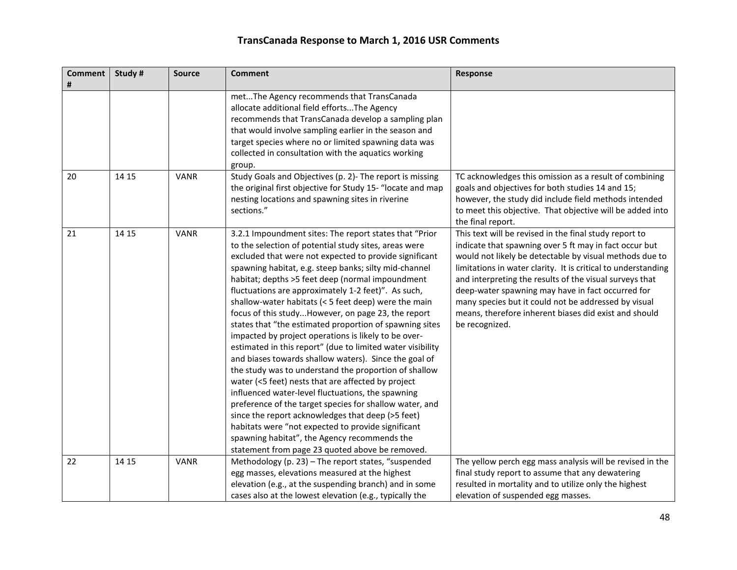| <b>Comment</b><br># | Study # | <b>Source</b> | <b>Comment</b>                                                                                                                                                                                                                                                                                                                                                                                                                                                                                                                                                                                                                                                                                                                                                                                                                                                                                                                                                                                                                                                                                                                                     | <b>Response</b>                                                                                                                                                                                                                                                                                                                                                                                                                                                                                 |
|---------------------|---------|---------------|----------------------------------------------------------------------------------------------------------------------------------------------------------------------------------------------------------------------------------------------------------------------------------------------------------------------------------------------------------------------------------------------------------------------------------------------------------------------------------------------------------------------------------------------------------------------------------------------------------------------------------------------------------------------------------------------------------------------------------------------------------------------------------------------------------------------------------------------------------------------------------------------------------------------------------------------------------------------------------------------------------------------------------------------------------------------------------------------------------------------------------------------------|-------------------------------------------------------------------------------------------------------------------------------------------------------------------------------------------------------------------------------------------------------------------------------------------------------------------------------------------------------------------------------------------------------------------------------------------------------------------------------------------------|
|                     |         |               | metThe Agency recommends that TransCanada<br>allocate additional field effortsThe Agency<br>recommends that TransCanada develop a sampling plan<br>that would involve sampling earlier in the season and<br>target species where no or limited spawning data was<br>collected in consultation with the aquatics working<br>group.                                                                                                                                                                                                                                                                                                                                                                                                                                                                                                                                                                                                                                                                                                                                                                                                                  |                                                                                                                                                                                                                                                                                                                                                                                                                                                                                                 |
| 20                  | 14 15   | <b>VANR</b>   | Study Goals and Objectives (p. 2)- The report is missing<br>the original first objective for Study 15- "locate and map<br>nesting locations and spawning sites in riverine<br>sections."                                                                                                                                                                                                                                                                                                                                                                                                                                                                                                                                                                                                                                                                                                                                                                                                                                                                                                                                                           | TC acknowledges this omission as a result of combining<br>goals and objectives for both studies 14 and 15;<br>however, the study did include field methods intended<br>to meet this objective. That objective will be added into<br>the final report.                                                                                                                                                                                                                                           |
| 21                  | 14 15   | <b>VANR</b>   | 3.2.1 Impoundment sites: The report states that "Prior<br>to the selection of potential study sites, areas were<br>excluded that were not expected to provide significant<br>spawning habitat, e.g. steep banks; silty mid-channel<br>habitat; depths >5 feet deep (normal impoundment<br>fluctuations are approximately 1-2 feet)". As such,<br>shallow-water habitats (< 5 feet deep) were the main<br>focus of this studyHowever, on page 23, the report<br>states that "the estimated proportion of spawning sites<br>impacted by project operations is likely to be over-<br>estimated in this report" (due to limited water visibility<br>and biases towards shallow waters). Since the goal of<br>the study was to understand the proportion of shallow<br>water (<5 feet) nests that are affected by project<br>influenced water-level fluctuations, the spawning<br>preference of the target species for shallow water, and<br>since the report acknowledges that deep (>5 feet)<br>habitats were "not expected to provide significant<br>spawning habitat", the Agency recommends the<br>statement from page 23 quoted above be removed. | This text will be revised in the final study report to<br>indicate that spawning over 5 ft may in fact occur but<br>would not likely be detectable by visual methods due to<br>limitations in water clarity. It is critical to understanding<br>and interpreting the results of the visual surveys that<br>deep-water spawning may have in fact occurred for<br>many species but it could not be addressed by visual<br>means, therefore inherent biases did exist and should<br>be recognized. |
| 22                  | 14 15   | <b>VANR</b>   | Methodology (p. 23) - The report states, "suspended<br>egg masses, elevations measured at the highest<br>elevation (e.g., at the suspending branch) and in some<br>cases also at the lowest elevation (e.g., typically the                                                                                                                                                                                                                                                                                                                                                                                                                                                                                                                                                                                                                                                                                                                                                                                                                                                                                                                         | The yellow perch egg mass analysis will be revised in the<br>final study report to assume that any dewatering<br>resulted in mortality and to utilize only the highest<br>elevation of suspended egg masses.                                                                                                                                                                                                                                                                                    |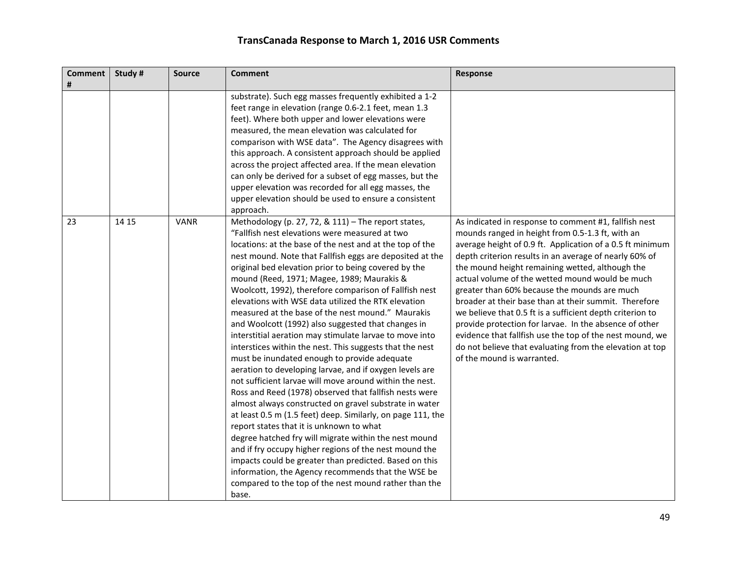| <b>Comment</b><br># | Study # | <b>Source</b> | <b>Comment</b>                                                                                                                                                                                                                                                                                                                                                                                                                                                                                                                                                                                                                                                                                                                                                                                                                                                                                                                                                                                                                                                                                                                                                                                                                                                                                                                                                                                   | Response                                                                                                                                                                                                                                                                                                                                                                                                                                                                                                                                                                                                                                                                                                                     |
|---------------------|---------|---------------|--------------------------------------------------------------------------------------------------------------------------------------------------------------------------------------------------------------------------------------------------------------------------------------------------------------------------------------------------------------------------------------------------------------------------------------------------------------------------------------------------------------------------------------------------------------------------------------------------------------------------------------------------------------------------------------------------------------------------------------------------------------------------------------------------------------------------------------------------------------------------------------------------------------------------------------------------------------------------------------------------------------------------------------------------------------------------------------------------------------------------------------------------------------------------------------------------------------------------------------------------------------------------------------------------------------------------------------------------------------------------------------------------|------------------------------------------------------------------------------------------------------------------------------------------------------------------------------------------------------------------------------------------------------------------------------------------------------------------------------------------------------------------------------------------------------------------------------------------------------------------------------------------------------------------------------------------------------------------------------------------------------------------------------------------------------------------------------------------------------------------------------|
|                     |         |               | substrate). Such egg masses frequently exhibited a 1-2<br>feet range in elevation (range 0.6-2.1 feet, mean 1.3<br>feet). Where both upper and lower elevations were<br>measured, the mean elevation was calculated for<br>comparison with WSE data". The Agency disagrees with<br>this approach. A consistent approach should be applied<br>across the project affected area. If the mean elevation<br>can only be derived for a subset of egg masses, but the<br>upper elevation was recorded for all egg masses, the<br>upper elevation should be used to ensure a consistent<br>approach.                                                                                                                                                                                                                                                                                                                                                                                                                                                                                                                                                                                                                                                                                                                                                                                                    |                                                                                                                                                                                                                                                                                                                                                                                                                                                                                                                                                                                                                                                                                                                              |
| 23                  | 14 15   | <b>VANR</b>   | Methodology (p. 27, 72, & 111) - The report states,<br>"Fallfish nest elevations were measured at two<br>locations: at the base of the nest and at the top of the<br>nest mound. Note that Fallfish eggs are deposited at the<br>original bed elevation prior to being covered by the<br>mound (Reed, 1971; Magee, 1989; Maurakis &<br>Woolcott, 1992), therefore comparison of Fallfish nest<br>elevations with WSE data utilized the RTK elevation<br>measured at the base of the nest mound." Maurakis<br>and Woolcott (1992) also suggested that changes in<br>interstitial aeration may stimulate larvae to move into<br>interstices within the nest. This suggests that the nest<br>must be inundated enough to provide adequate<br>aeration to developing larvae, and if oxygen levels are<br>not sufficient larvae will move around within the nest.<br>Ross and Reed (1978) observed that fallfish nests were<br>almost always constructed on gravel substrate in water<br>at least 0.5 m (1.5 feet) deep. Similarly, on page 111, the<br>report states that it is unknown to what<br>degree hatched fry will migrate within the nest mound<br>and if fry occupy higher regions of the nest mound the<br>impacts could be greater than predicted. Based on this<br>information, the Agency recommends that the WSE be<br>compared to the top of the nest mound rather than the<br>base. | As indicated in response to comment #1, fallfish nest<br>mounds ranged in height from 0.5-1.3 ft, with an<br>average height of 0.9 ft. Application of a 0.5 ft minimum<br>depth criterion results in an average of nearly 60% of<br>the mound height remaining wetted, although the<br>actual volume of the wetted mound would be much<br>greater than 60% because the mounds are much<br>broader at their base than at their summit. Therefore<br>we believe that 0.5 ft is a sufficient depth criterion to<br>provide protection for larvae. In the absence of other<br>evidence that fallfish use the top of the nest mound, we<br>do not believe that evaluating from the elevation at top<br>of the mound is warranted. |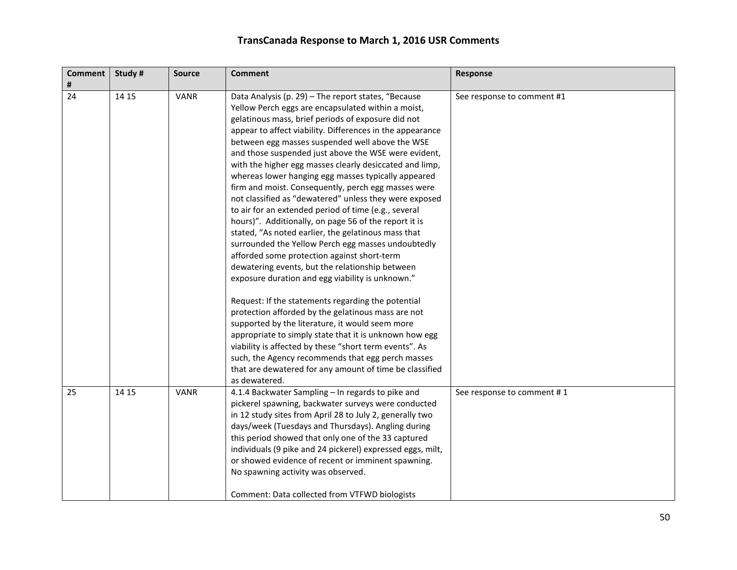| Comment  <br># | Study # | <b>Source</b> | <b>Comment</b>                                                                                                                                                                                                                                                                                                                                                                                                                                                                                                                                                                                                                                                                                                                                                                                                                                                                                                                                                                                                                                                                                                                                                                                                                                                                                                                                                                     | Response                   |
|----------------|---------|---------------|------------------------------------------------------------------------------------------------------------------------------------------------------------------------------------------------------------------------------------------------------------------------------------------------------------------------------------------------------------------------------------------------------------------------------------------------------------------------------------------------------------------------------------------------------------------------------------------------------------------------------------------------------------------------------------------------------------------------------------------------------------------------------------------------------------------------------------------------------------------------------------------------------------------------------------------------------------------------------------------------------------------------------------------------------------------------------------------------------------------------------------------------------------------------------------------------------------------------------------------------------------------------------------------------------------------------------------------------------------------------------------|----------------------------|
| 24             | 14 15   | <b>VANR</b>   | Data Analysis (p. 29) - The report states, "Because<br>Yellow Perch eggs are encapsulated within a moist,<br>gelatinous mass, brief periods of exposure did not<br>appear to affect viability. Differences in the appearance<br>between egg masses suspended well above the WSE<br>and those suspended just above the WSE were evident,<br>with the higher egg masses clearly desiccated and limp,<br>whereas lower hanging egg masses typically appeared<br>firm and moist. Consequently, perch egg masses were<br>not classified as "dewatered" unless they were exposed<br>to air for an extended period of time (e.g., several<br>hours)". Additionally, on page 56 of the report it is<br>stated, "As noted earlier, the gelatinous mass that<br>surrounded the Yellow Perch egg masses undoubtedly<br>afforded some protection against short-term<br>dewatering events, but the relationship between<br>exposure duration and egg viability is unknown."<br>Request: If the statements regarding the potential<br>protection afforded by the gelatinous mass are not<br>supported by the literature, it would seem more<br>appropriate to simply state that it is unknown how egg<br>viability is affected by these "short term events". As<br>such, the Agency recommends that egg perch masses<br>that are dewatered for any amount of time be classified<br>as dewatered. | See response to comment #1 |
| 25             | 14 15   | <b>VANR</b>   | 4.1.4 Backwater Sampling - In regards to pike and<br>pickerel spawning, backwater surveys were conducted<br>in 12 study sites from April 28 to July 2, generally two<br>days/week (Tuesdays and Thursdays). Angling during<br>this period showed that only one of the 33 captured<br>individuals (9 pike and 24 pickerel) expressed eggs, milt,<br>or showed evidence of recent or imminent spawning.<br>No spawning activity was observed.<br>Comment: Data collected from VTFWD biologists                                                                                                                                                                                                                                                                                                                                                                                                                                                                                                                                                                                                                                                                                                                                                                                                                                                                                       | See response to comment #1 |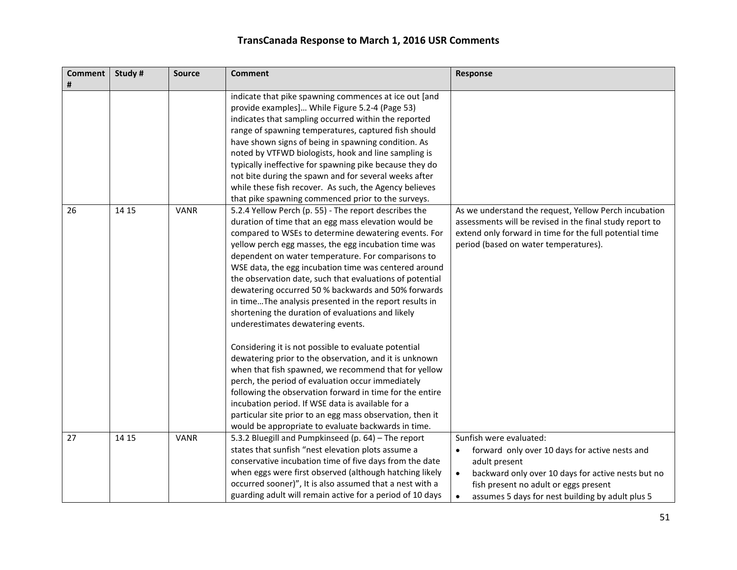| <b>Comment</b><br># | Study # | <b>Source</b> | <b>Comment</b>                                                                                                                                                                                                                                                                                                                                                                                                                                                                                                                                                                                                                                                              | Response                                                                                                                                                                                                                                                                     |
|---------------------|---------|---------------|-----------------------------------------------------------------------------------------------------------------------------------------------------------------------------------------------------------------------------------------------------------------------------------------------------------------------------------------------------------------------------------------------------------------------------------------------------------------------------------------------------------------------------------------------------------------------------------------------------------------------------------------------------------------------------|------------------------------------------------------------------------------------------------------------------------------------------------------------------------------------------------------------------------------------------------------------------------------|
|                     |         |               | indicate that pike spawning commences at ice out [and<br>provide examples] While Figure 5.2-4 (Page 53)<br>indicates that sampling occurred within the reported<br>range of spawning temperatures, captured fish should<br>have shown signs of being in spawning condition. As<br>noted by VTFWD biologists, hook and line sampling is<br>typically ineffective for spawning pike because they do<br>not bite during the spawn and for several weeks after<br>while these fish recover. As such, the Agency believes<br>that pike spawning commenced prior to the surveys.                                                                                                  |                                                                                                                                                                                                                                                                              |
| 26                  | 14 15   | <b>VANR</b>   | 5.2.4 Yellow Perch (p. 55) - The report describes the<br>duration of time that an egg mass elevation would be<br>compared to WSEs to determine dewatering events. For<br>yellow perch egg masses, the egg incubation time was<br>dependent on water temperature. For comparisons to<br>WSE data, the egg incubation time was centered around<br>the observation date, such that evaluations of potential<br>dewatering occurred 50 % backwards and 50% forwards<br>in timeThe analysis presented in the report results in<br>shortening the duration of evaluations and likely<br>underestimates dewatering events.<br>Considering it is not possible to evaluate potential | As we understand the request, Yellow Perch incubation<br>assessments will be revised in the final study report to<br>extend only forward in time for the full potential time<br>period (based on water temperatures).                                                        |
|                     |         |               | dewatering prior to the observation, and it is unknown<br>when that fish spawned, we recommend that for yellow<br>perch, the period of evaluation occur immediately<br>following the observation forward in time for the entire<br>incubation period. If WSE data is available for a<br>particular site prior to an egg mass observation, then it<br>would be appropriate to evaluate backwards in time.                                                                                                                                                                                                                                                                    |                                                                                                                                                                                                                                                                              |
| 27                  | 14 15   | <b>VANR</b>   | 5.3.2 Bluegill and Pumpkinseed (p. 64) - The report<br>states that sunfish "nest elevation plots assume a<br>conservative incubation time of five days from the date<br>when eggs were first observed (although hatching likely<br>occurred sooner)", It is also assumed that a nest with a<br>guarding adult will remain active for a period of 10 days                                                                                                                                                                                                                                                                                                                    | Sunfish were evaluated:<br>forward only over 10 days for active nests and<br>٠<br>adult present<br>backward only over 10 days for active nests but no<br>$\bullet$<br>fish present no adult or eggs present<br>assumes 5 days for nest building by adult plus 5<br>$\bullet$ |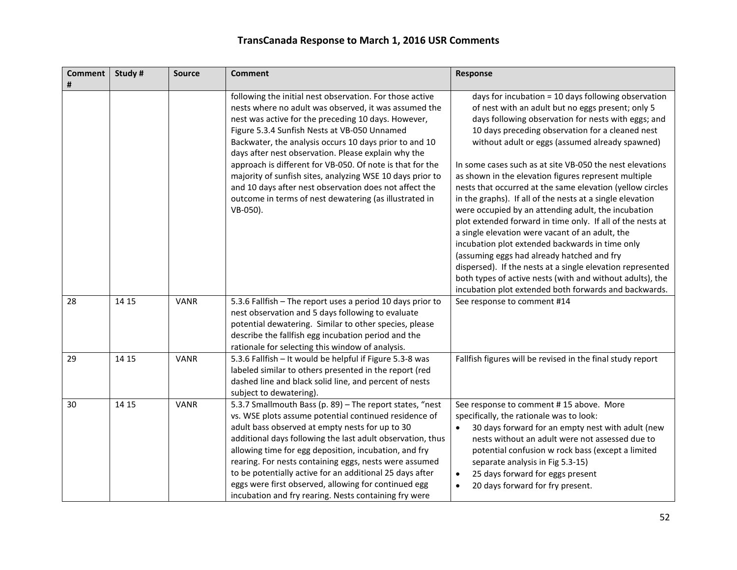| <b>Comment</b><br># | Study # | <b>Source</b> | <b>Comment</b>                                                                                                                                                                                                                                                                                                                                                                                                                                                                                                                                                                                      | Response                                                                                                                                                                                                                                                                                                                                                                                                                                                                                                                                                                                                                                                                                                                                                                                                                                                                                                                                                                          |
|---------------------|---------|---------------|-----------------------------------------------------------------------------------------------------------------------------------------------------------------------------------------------------------------------------------------------------------------------------------------------------------------------------------------------------------------------------------------------------------------------------------------------------------------------------------------------------------------------------------------------------------------------------------------------------|-----------------------------------------------------------------------------------------------------------------------------------------------------------------------------------------------------------------------------------------------------------------------------------------------------------------------------------------------------------------------------------------------------------------------------------------------------------------------------------------------------------------------------------------------------------------------------------------------------------------------------------------------------------------------------------------------------------------------------------------------------------------------------------------------------------------------------------------------------------------------------------------------------------------------------------------------------------------------------------|
|                     |         |               | following the initial nest observation. For those active<br>nests where no adult was observed, it was assumed the<br>nest was active for the preceding 10 days. However,<br>Figure 5.3.4 Sunfish Nests at VB-050 Unnamed<br>Backwater, the analysis occurs 10 days prior to and 10<br>days after nest observation. Please explain why the<br>approach is different for VB-050. Of note is that for the<br>majority of sunfish sites, analyzing WSE 10 days prior to<br>and 10 days after nest observation does not affect the<br>outcome in terms of nest dewatering (as illustrated in<br>VB-050). | days for incubation = 10 days following observation<br>of nest with an adult but no eggs present; only 5<br>days following observation for nests with eggs; and<br>10 days preceding observation for a cleaned nest<br>without adult or eggs (assumed already spawned)<br>In some cases such as at site VB-050 the nest elevations<br>as shown in the elevation figures represent multiple<br>nests that occurred at the same elevation (yellow circles<br>in the graphs). If all of the nests at a single elevation<br>were occupied by an attending adult, the incubation<br>plot extended forward in time only. If all of the nests at<br>a single elevation were vacant of an adult, the<br>incubation plot extended backwards in time only<br>(assuming eggs had already hatched and fry<br>dispersed). If the nests at a single elevation represented<br>both types of active nests (with and without adults), the<br>incubation plot extended both forwards and backwards. |
| 28                  | 14 15   | <b>VANR</b>   | 5.3.6 Fallfish - The report uses a period 10 days prior to<br>nest observation and 5 days following to evaluate<br>potential dewatering. Similar to other species, please<br>describe the fallfish egg incubation period and the<br>rationale for selecting this window of analysis.                                                                                                                                                                                                                                                                                                                | See response to comment #14                                                                                                                                                                                                                                                                                                                                                                                                                                                                                                                                                                                                                                                                                                                                                                                                                                                                                                                                                       |
| 29                  | 14 15   | VANR          | 5.3.6 Fallfish - It would be helpful if Figure 5.3-8 was<br>labeled similar to others presented in the report (red<br>dashed line and black solid line, and percent of nests<br>subject to dewatering).                                                                                                                                                                                                                                                                                                                                                                                             | Fallfish figures will be revised in the final study report                                                                                                                                                                                                                                                                                                                                                                                                                                                                                                                                                                                                                                                                                                                                                                                                                                                                                                                        |
| 30                  | 14 15   | <b>VANR</b>   | 5.3.7 Smallmouth Bass (p. 89) - The report states, "nest<br>vs. WSE plots assume potential continued residence of<br>adult bass observed at empty nests for up to 30<br>additional days following the last adult observation, thus<br>allowing time for egg deposition, incubation, and fry<br>rearing. For nests containing eggs, nests were assumed<br>to be potentially active for an additional 25 days after<br>eggs were first observed, allowing for continued egg<br>incubation and fry rearing. Nests containing fry were                                                                  | See response to comment #15 above. More<br>specifically, the rationale was to look:<br>30 days forward for an empty nest with adult (new<br>$\bullet$<br>nests without an adult were not assessed due to<br>potential confusion w rock bass (except a limited<br>separate analysis in Fig 5.3-15)<br>25 days forward for eggs present<br>$\bullet$<br>20 days forward for fry present.<br>$\bullet$                                                                                                                                                                                                                                                                                                                                                                                                                                                                                                                                                                               |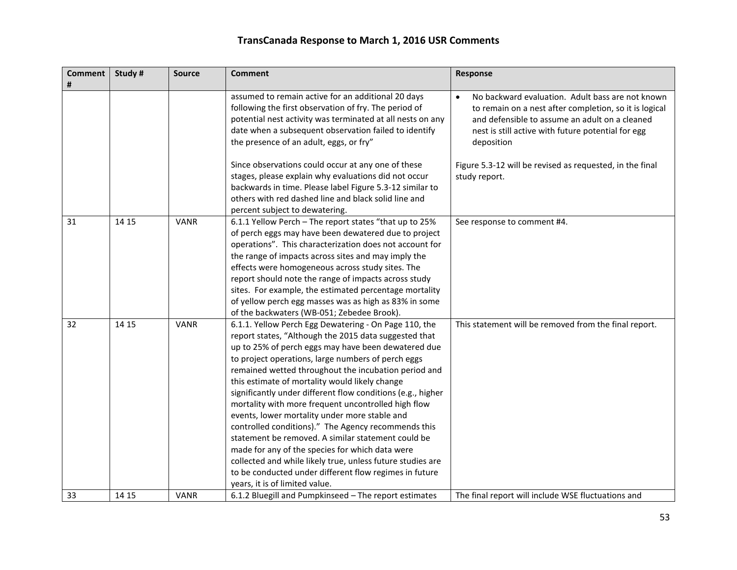| <b>Comment</b><br># | Study# | <b>Source</b> | <b>Comment</b>                                                                                                                                                                                                                                                                                                                                                                                                                                                                                                                                                                                                                                                                                                                                                                                                                         | Response                                                                                                                                                                                                                                      |
|---------------------|--------|---------------|----------------------------------------------------------------------------------------------------------------------------------------------------------------------------------------------------------------------------------------------------------------------------------------------------------------------------------------------------------------------------------------------------------------------------------------------------------------------------------------------------------------------------------------------------------------------------------------------------------------------------------------------------------------------------------------------------------------------------------------------------------------------------------------------------------------------------------------|-----------------------------------------------------------------------------------------------------------------------------------------------------------------------------------------------------------------------------------------------|
|                     |        |               | assumed to remain active for an additional 20 days<br>following the first observation of fry. The period of<br>potential nest activity was terminated at all nests on any<br>date when a subsequent observation failed to identify<br>the presence of an adult, eggs, or fry"                                                                                                                                                                                                                                                                                                                                                                                                                                                                                                                                                          | No backward evaluation. Adult bass are not known<br>$\bullet$<br>to remain on a nest after completion, so it is logical<br>and defensible to assume an adult on a cleaned<br>nest is still active with future potential for egg<br>deposition |
|                     |        |               | Since observations could occur at any one of these<br>stages, please explain why evaluations did not occur<br>backwards in time. Please label Figure 5.3-12 similar to<br>others with red dashed line and black solid line and<br>percent subject to dewatering.                                                                                                                                                                                                                                                                                                                                                                                                                                                                                                                                                                       | Figure 5.3-12 will be revised as requested, in the final<br>study report.                                                                                                                                                                     |
| 31                  | 14 15  | <b>VANR</b>   | 6.1.1 Yellow Perch - The report states "that up to 25%<br>of perch eggs may have been dewatered due to project<br>operations". This characterization does not account for<br>the range of impacts across sites and may imply the<br>effects were homogeneous across study sites. The<br>report should note the range of impacts across study<br>sites. For example, the estimated percentage mortality<br>of yellow perch egg masses was as high as 83% in some<br>of the backwaters (WB-051; Zebedee Brook).                                                                                                                                                                                                                                                                                                                          | See response to comment #4.                                                                                                                                                                                                                   |
| 32                  | 14 15  | <b>VANR</b>   | 6.1.1. Yellow Perch Egg Dewatering - On Page 110, the<br>report states, "Although the 2015 data suggested that<br>up to 25% of perch eggs may have been dewatered due<br>to project operations, large numbers of perch eggs<br>remained wetted throughout the incubation period and<br>this estimate of mortality would likely change<br>significantly under different flow conditions (e.g., higher<br>mortality with more frequent uncontrolled high flow<br>events, lower mortality under more stable and<br>controlled conditions)." The Agency recommends this<br>statement be removed. A similar statement could be<br>made for any of the species for which data were<br>collected and while likely true, unless future studies are<br>to be conducted under different flow regimes in future<br>years, it is of limited value. | This statement will be removed from the final report.                                                                                                                                                                                         |
| 33                  | 14 15  | <b>VANR</b>   | 6.1.2 Bluegill and Pumpkinseed - The report estimates                                                                                                                                                                                                                                                                                                                                                                                                                                                                                                                                                                                                                                                                                                                                                                                  | The final report will include WSE fluctuations and                                                                                                                                                                                            |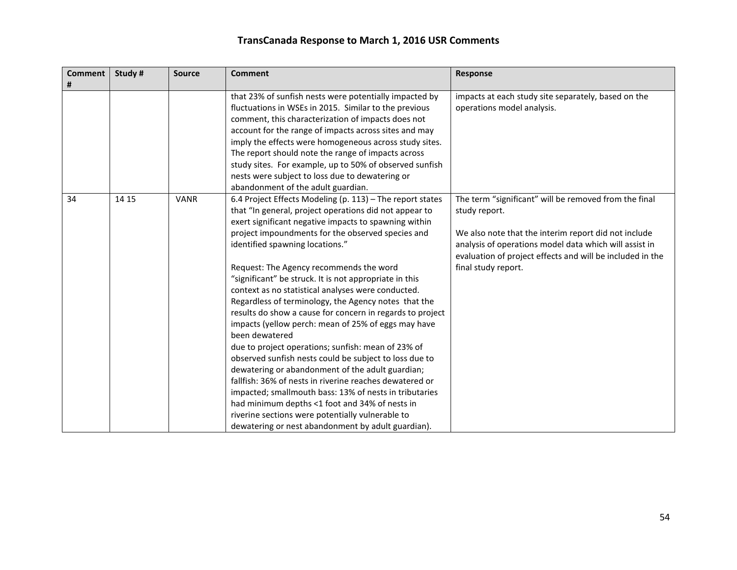| <b>Comment</b> | Study# | <b>Source</b> | <b>Comment</b>                                            | Response                                                  |
|----------------|--------|---------------|-----------------------------------------------------------|-----------------------------------------------------------|
| #              |        |               |                                                           |                                                           |
|                |        |               | that 23% of sunfish nests were potentially impacted by    | impacts at each study site separately, based on the       |
|                |        |               | fluctuations in WSEs in 2015. Similar to the previous     | operations model analysis.                                |
|                |        |               | comment, this characterization of impacts does not        |                                                           |
|                |        |               | account for the range of impacts across sites and may     |                                                           |
|                |        |               | imply the effects were homogeneous across study sites.    |                                                           |
|                |        |               | The report should note the range of impacts across        |                                                           |
|                |        |               | study sites. For example, up to 50% of observed sunfish   |                                                           |
|                |        |               | nests were subject to loss due to dewatering or           |                                                           |
|                |        |               | abandonment of the adult guardian.                        |                                                           |
| 34             | 14 15  | <b>VANR</b>   | 6.4 Project Effects Modeling (p. 113) - The report states | The term "significant" will be removed from the final     |
|                |        |               | that "In general, project operations did not appear to    | study report.                                             |
|                |        |               | exert significant negative impacts to spawning within     |                                                           |
|                |        |               | project impoundments for the observed species and         | We also note that the interim report did not include      |
|                |        |               | identified spawning locations."                           | analysis of operations model data which will assist in    |
|                |        |               |                                                           | evaluation of project effects and will be included in the |
|                |        |               | Request: The Agency recommends the word                   | final study report.                                       |
|                |        |               | "significant" be struck. It is not appropriate in this    |                                                           |
|                |        |               | context as no statistical analyses were conducted.        |                                                           |
|                |        |               | Regardless of terminology, the Agency notes that the      |                                                           |
|                |        |               | results do show a cause for concern in regards to project |                                                           |
|                |        |               | impacts (yellow perch: mean of 25% of eggs may have       |                                                           |
|                |        |               | been dewatered                                            |                                                           |
|                |        |               | due to project operations; sunfish: mean of 23% of        |                                                           |
|                |        |               | observed sunfish nests could be subject to loss due to    |                                                           |
|                |        |               | dewatering or abandonment of the adult guardian;          |                                                           |
|                |        |               | fallfish: 36% of nests in riverine reaches dewatered or   |                                                           |
|                |        |               | impacted; smallmouth bass: 13% of nests in tributaries    |                                                           |
|                |        |               | had minimum depths <1 foot and 34% of nests in            |                                                           |
|                |        |               | riverine sections were potentially vulnerable to          |                                                           |
|                |        |               | dewatering or nest abandonment by adult guardian).        |                                                           |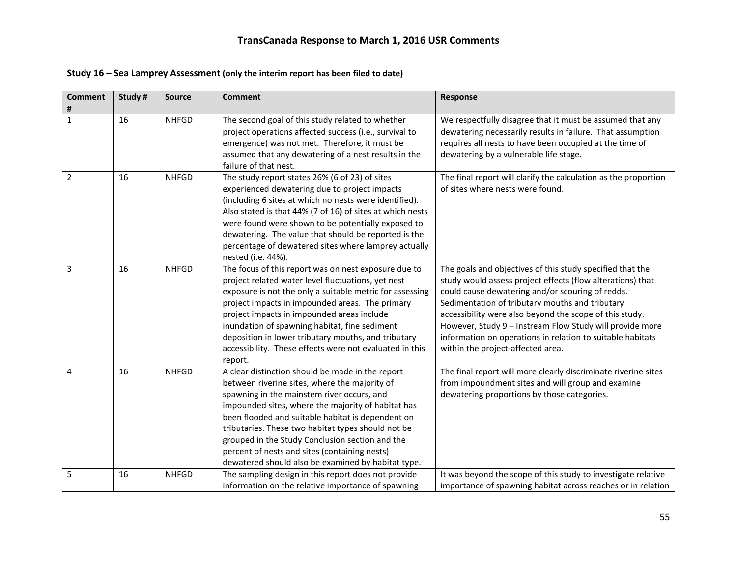| Study 16 - Sea Lamprey Assessment (only the interim report has been filed to date) |  |
|------------------------------------------------------------------------------------|--|
|------------------------------------------------------------------------------------|--|

| <b>Comment</b><br># | Study # | <b>Source</b> | <b>Comment</b>                                                                                                                                                                                                                                                                                                                                                                                                                                                             | <b>Response</b>                                                                                                                                                                                                                                                                                                                                                                                                                                          |
|---------------------|---------|---------------|----------------------------------------------------------------------------------------------------------------------------------------------------------------------------------------------------------------------------------------------------------------------------------------------------------------------------------------------------------------------------------------------------------------------------------------------------------------------------|----------------------------------------------------------------------------------------------------------------------------------------------------------------------------------------------------------------------------------------------------------------------------------------------------------------------------------------------------------------------------------------------------------------------------------------------------------|
| $\mathbf{1}$        | 16      | <b>NHFGD</b>  | The second goal of this study related to whether<br>project operations affected success (i.e., survival to<br>emergence) was not met. Therefore, it must be<br>assumed that any dewatering of a nest results in the<br>failure of that nest.                                                                                                                                                                                                                               | We respectfully disagree that it must be assumed that any<br>dewatering necessarily results in failure. That assumption<br>requires all nests to have been occupied at the time of<br>dewatering by a vulnerable life stage.                                                                                                                                                                                                                             |
| $\overline{2}$      | 16      | <b>NHFGD</b>  | The study report states 26% (6 of 23) of sites<br>experienced dewatering due to project impacts<br>(including 6 sites at which no nests were identified).<br>Also stated is that 44% (7 of 16) of sites at which nests<br>were found were shown to be potentially exposed to<br>dewatering. The value that should be reported is the<br>percentage of dewatered sites where lamprey actually<br>nested (i.e. 44%).                                                         | The final report will clarify the calculation as the proportion<br>of sites where nests were found.                                                                                                                                                                                                                                                                                                                                                      |
| $\overline{3}$      | 16      | <b>NHFGD</b>  | The focus of this report was on nest exposure due to<br>project related water level fluctuations, yet nest<br>exposure is not the only a suitable metric for assessing<br>project impacts in impounded areas. The primary<br>project impacts in impounded areas include<br>inundation of spawning habitat, fine sediment<br>deposition in lower tributary mouths, and tributary<br>accessibility. These effects were not evaluated in this<br>report.                      | The goals and objectives of this study specified that the<br>study would assess project effects (flow alterations) that<br>could cause dewatering and/or scouring of redds.<br>Sedimentation of tributary mouths and tributary<br>accessibility were also beyond the scope of this study.<br>However, Study 9 - Instream Flow Study will provide more<br>information on operations in relation to suitable habitats<br>within the project-affected area. |
| $\overline{4}$      | 16      | <b>NHFGD</b>  | A clear distinction should be made in the report<br>between riverine sites, where the majority of<br>spawning in the mainstem river occurs, and<br>impounded sites, where the majority of habitat has<br>been flooded and suitable habitat is dependent on<br>tributaries. These two habitat types should not be<br>grouped in the Study Conclusion section and the<br>percent of nests and sites (containing nests)<br>dewatered should also be examined by habitat type. | The final report will more clearly discriminate riverine sites<br>from impoundment sites and will group and examine<br>dewatering proportions by those categories.                                                                                                                                                                                                                                                                                       |
| 5                   | 16      | <b>NHFGD</b>  | The sampling design in this report does not provide<br>information on the relative importance of spawning                                                                                                                                                                                                                                                                                                                                                                  | It was beyond the scope of this study to investigate relative<br>importance of spawning habitat across reaches or in relation                                                                                                                                                                                                                                                                                                                            |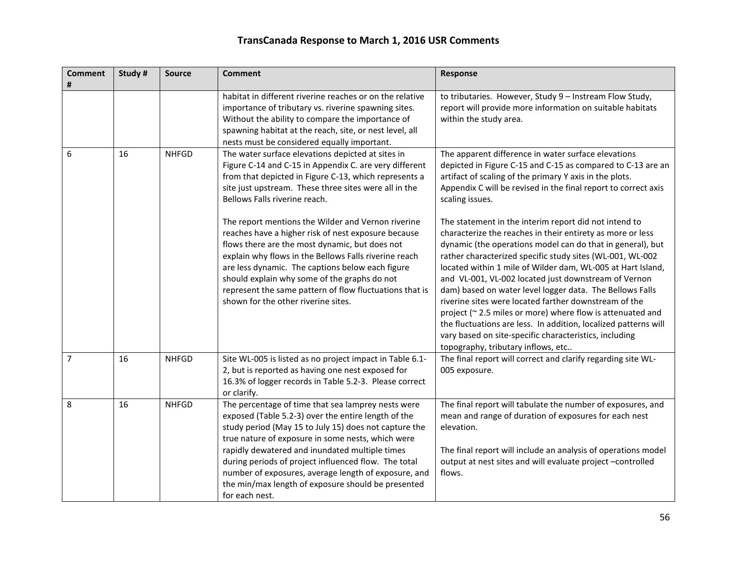| <b>Comment</b><br># | Study # | <b>Source</b> | <b>Comment</b>                                                                                                                                                                                                                                                                                                                                                                                                                                                    | Response                                                                                                                                                                                                                                                                                                                                                                                                                                                                                                                                                                                                                                                          |
|---------------------|---------|---------------|-------------------------------------------------------------------------------------------------------------------------------------------------------------------------------------------------------------------------------------------------------------------------------------------------------------------------------------------------------------------------------------------------------------------------------------------------------------------|-------------------------------------------------------------------------------------------------------------------------------------------------------------------------------------------------------------------------------------------------------------------------------------------------------------------------------------------------------------------------------------------------------------------------------------------------------------------------------------------------------------------------------------------------------------------------------------------------------------------------------------------------------------------|
|                     |         |               | habitat in different riverine reaches or on the relative<br>importance of tributary vs. riverine spawning sites.<br>Without the ability to compare the importance of<br>spawning habitat at the reach, site, or nest level, all<br>nests must be considered equally important.                                                                                                                                                                                    | to tributaries. However, Study 9 - Instream Flow Study,<br>report will provide more information on suitable habitats<br>within the study area.                                                                                                                                                                                                                                                                                                                                                                                                                                                                                                                    |
| 6                   | 16      | <b>NHFGD</b>  | The water surface elevations depicted at sites in<br>Figure C-14 and C-15 in Appendix C. are very different<br>from that depicted in Figure C-13, which represents a<br>site just upstream. These three sites were all in the<br>Bellows Falls riverine reach.<br>The report mentions the Wilder and Vernon riverine                                                                                                                                              | The apparent difference in water surface elevations<br>depicted in Figure C-15 and C-15 as compared to C-13 are an<br>artifact of scaling of the primary Y axis in the plots.<br>Appendix C will be revised in the final report to correct axis<br>scaling issues.<br>The statement in the interim report did not intend to                                                                                                                                                                                                                                                                                                                                       |
|                     |         |               | reaches have a higher risk of nest exposure because<br>flows there are the most dynamic, but does not<br>explain why flows in the Bellows Falls riverine reach<br>are less dynamic. The captions below each figure<br>should explain why some of the graphs do not<br>represent the same pattern of flow fluctuations that is<br>shown for the other riverine sites.                                                                                              | characterize the reaches in their entirety as more or less<br>dynamic (the operations model can do that in general), but<br>rather characterized specific study sites (WL-001, WL-002<br>located within 1 mile of Wilder dam, WL-005 at Hart Island,<br>and VL-001, VL-002 located just downstream of Vernon<br>dam) based on water level logger data. The Bellows Falls<br>riverine sites were located farther downstream of the<br>project (~2.5 miles or more) where flow is attenuated and<br>the fluctuations are less. In addition, localized patterns will<br>vary based on site-specific characteristics, including<br>topography, tributary inflows, etc |
| $\overline{7}$      | 16      | <b>NHFGD</b>  | Site WL-005 is listed as no project impact in Table 6.1-<br>2, but is reported as having one nest exposed for<br>16.3% of logger records in Table 5.2-3. Please correct<br>or clarify.                                                                                                                                                                                                                                                                            | The final report will correct and clarify regarding site WL-<br>005 exposure.                                                                                                                                                                                                                                                                                                                                                                                                                                                                                                                                                                                     |
| 8                   | 16      | <b>NHFGD</b>  | The percentage of time that sea lamprey nests were<br>exposed (Table 5.2-3) over the entire length of the<br>study period (May 15 to July 15) does not capture the<br>true nature of exposure in some nests, which were<br>rapidly dewatered and inundated multiple times<br>during periods of project influenced flow. The total<br>number of exposures, average length of exposure, and<br>the min/max length of exposure should be presented<br>for each nest. | The final report will tabulate the number of exposures, and<br>mean and range of duration of exposures for each nest<br>elevation.<br>The final report will include an analysis of operations model<br>output at nest sites and will evaluate project -controlled<br>flows.                                                                                                                                                                                                                                                                                                                                                                                       |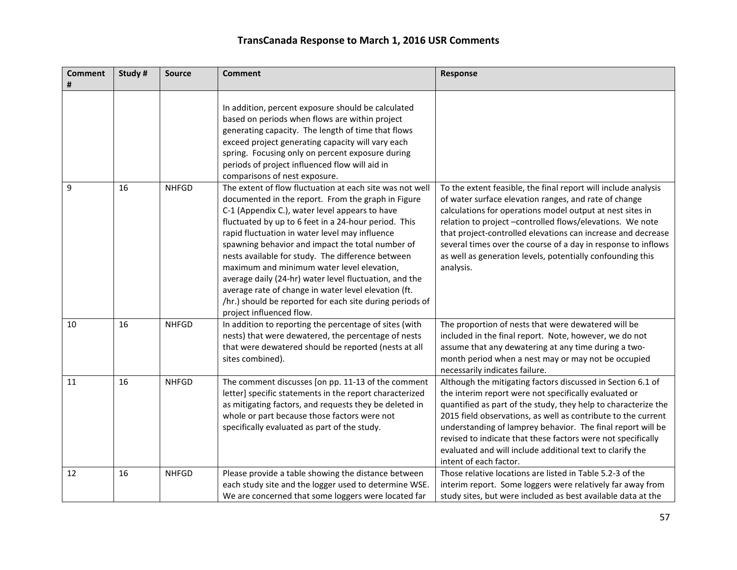| <b>Comment</b><br># | Study# | <b>Source</b> | <b>Comment</b>                                                                                                                                                                                                                                                                                                                                                                                                                                                                                                                                                                                                                              | Response                                                                                                                                                                                                                                                                                                                                                                                                                                                                      |
|---------------------|--------|---------------|---------------------------------------------------------------------------------------------------------------------------------------------------------------------------------------------------------------------------------------------------------------------------------------------------------------------------------------------------------------------------------------------------------------------------------------------------------------------------------------------------------------------------------------------------------------------------------------------------------------------------------------------|-------------------------------------------------------------------------------------------------------------------------------------------------------------------------------------------------------------------------------------------------------------------------------------------------------------------------------------------------------------------------------------------------------------------------------------------------------------------------------|
|                     |        |               | In addition, percent exposure should be calculated<br>based on periods when flows are within project<br>generating capacity. The length of time that flows<br>exceed project generating capacity will vary each<br>spring. Focusing only on percent exposure during<br>periods of project influenced flow will aid in<br>comparisons of nest exposure.                                                                                                                                                                                                                                                                                      |                                                                                                                                                                                                                                                                                                                                                                                                                                                                               |
| 9                   | 16     | <b>NHFGD</b>  | The extent of flow fluctuation at each site was not well<br>documented in the report. From the graph in Figure<br>C-1 (Appendix C.), water level appears to have<br>fluctuated by up to 6 feet in a 24-hour period. This<br>rapid fluctuation in water level may influence<br>spawning behavior and impact the total number of<br>nests available for study. The difference between<br>maximum and minimum water level elevation,<br>average daily (24-hr) water level fluctuation, and the<br>average rate of change in water level elevation (ft.<br>/hr.) should be reported for each site during periods of<br>project influenced flow. | To the extent feasible, the final report will include analysis<br>of water surface elevation ranges, and rate of change<br>calculations for operations model output at nest sites in<br>relation to project -controlled flows/elevations. We note<br>that project-controlled elevations can increase and decrease<br>several times over the course of a day in response to inflows<br>as well as generation levels, potentially confounding this<br>analysis.                 |
| 10                  | 16     | <b>NHFGD</b>  | In addition to reporting the percentage of sites (with<br>nests) that were dewatered, the percentage of nests<br>that were dewatered should be reported (nests at all<br>sites combined).                                                                                                                                                                                                                                                                                                                                                                                                                                                   | The proportion of nests that were dewatered will be<br>included in the final report. Note, however, we do not<br>assume that any dewatering at any time during a two-<br>month period when a nest may or may not be occupied<br>necessarily indicates failure.                                                                                                                                                                                                                |
| 11                  | 16     | <b>NHFGD</b>  | The comment discusses [on pp. 11-13 of the comment<br>letter] specific statements in the report characterized<br>as mitigating factors, and requests they be deleted in<br>whole or part because those factors were not<br>specifically evaluated as part of the study.                                                                                                                                                                                                                                                                                                                                                                     | Although the mitigating factors discussed in Section 6.1 of<br>the interim report were not specifically evaluated or<br>quantified as part of the study, they help to characterize the<br>2015 field observations, as well as contribute to the current<br>understanding of lamprey behavior. The final report will be<br>revised to indicate that these factors were not specifically<br>evaluated and will include additional text to clarify the<br>intent of each factor. |
| 12                  | 16     | <b>NHFGD</b>  | Please provide a table showing the distance between<br>each study site and the logger used to determine WSE.<br>We are concerned that some loggers were located far                                                                                                                                                                                                                                                                                                                                                                                                                                                                         | Those relative locations are listed in Table 5.2-3 of the<br>interim report. Some loggers were relatively far away from<br>study sites, but were included as best available data at the                                                                                                                                                                                                                                                                                       |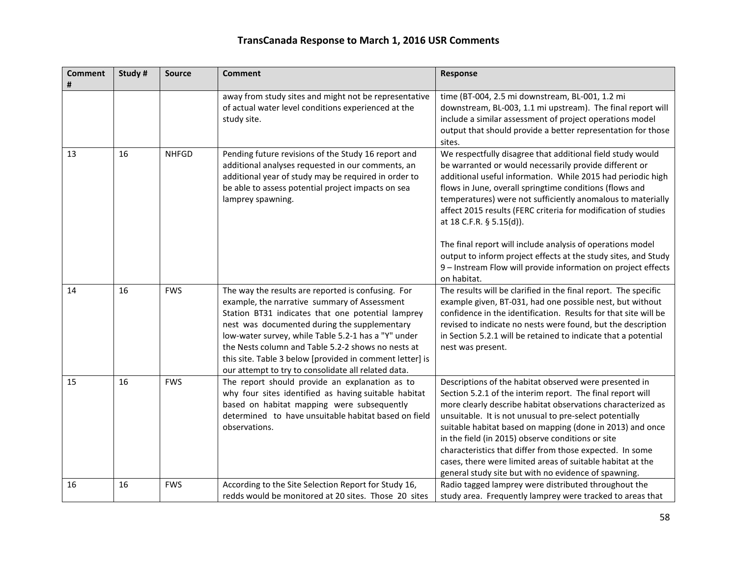| <b>Comment</b> | Study # | <b>Source</b> | <b>Comment</b>                                                                                                                                                                                                                                                                                                                                                                                                                          | Response                                                                                                                                                                                                                                                                                                                                                                                                                                                                                                                                                                                                                    |
|----------------|---------|---------------|-----------------------------------------------------------------------------------------------------------------------------------------------------------------------------------------------------------------------------------------------------------------------------------------------------------------------------------------------------------------------------------------------------------------------------------------|-----------------------------------------------------------------------------------------------------------------------------------------------------------------------------------------------------------------------------------------------------------------------------------------------------------------------------------------------------------------------------------------------------------------------------------------------------------------------------------------------------------------------------------------------------------------------------------------------------------------------------|
|                |         |               | away from study sites and might not be representative<br>of actual water level conditions experienced at the<br>study site.                                                                                                                                                                                                                                                                                                             | time (BT-004, 2.5 mi downstream, BL-001, 1.2 mi<br>downstream, BL-003, 1.1 mi upstream). The final report will<br>include a similar assessment of project operations model<br>output that should provide a better representation for those<br>sites.                                                                                                                                                                                                                                                                                                                                                                        |
| 13             | 16      | <b>NHFGD</b>  | Pending future revisions of the Study 16 report and<br>additional analyses requested in our comments, an<br>additional year of study may be required in order to<br>be able to assess potential project impacts on sea<br>lamprey spawning.                                                                                                                                                                                             | We respectfully disagree that additional field study would<br>be warranted or would necessarily provide different or<br>additional useful information. While 2015 had periodic high<br>flows in June, overall springtime conditions (flows and<br>temperatures) were not sufficiently anomalous to materially<br>affect 2015 results (FERC criteria for modification of studies<br>at 18 C.F.R. § 5.15(d)).<br>The final report will include analysis of operations model<br>output to inform project effects at the study sites, and Study<br>9 - Instream Flow will provide information on project effects<br>on habitat. |
| 14             | 16      | <b>FWS</b>    | The way the results are reported is confusing. For<br>example, the narrative summary of Assessment<br>Station BT31 indicates that one potential lamprey<br>nest was documented during the supplementary<br>low-water survey, while Table 5.2-1 has a "Y" under<br>the Nests column and Table 5.2-2 shows no nests at<br>this site. Table 3 below [provided in comment letter] is<br>our attempt to try to consolidate all related data. | The results will be clarified in the final report. The specific<br>example given, BT-031, had one possible nest, but without<br>confidence in the identification. Results for that site will be<br>revised to indicate no nests were found, but the description<br>in Section 5.2.1 will be retained to indicate that a potential<br>nest was present.                                                                                                                                                                                                                                                                      |
| 15             | 16      | <b>FWS</b>    | The report should provide an explanation as to<br>why four sites identified as having suitable habitat<br>based on habitat mapping were subsequently<br>determined to have unsuitable habitat based on field<br>observations.                                                                                                                                                                                                           | Descriptions of the habitat observed were presented in<br>Section 5.2.1 of the interim report. The final report will<br>more clearly describe habitat observations characterized as<br>unsuitable. It is not unusual to pre-select potentially<br>suitable habitat based on mapping (done in 2013) and once<br>in the field (in 2015) observe conditions or site<br>characteristics that differ from those expected. In some<br>cases, there were limited areas of suitable habitat at the<br>general study site but with no evidence of spawning.                                                                          |
| 16             | 16      | <b>FWS</b>    | According to the Site Selection Report for Study 16,<br>redds would be monitored at 20 sites. Those 20 sites                                                                                                                                                                                                                                                                                                                            | Radio tagged lamprey were distributed throughout the<br>study area. Frequently lamprey were tracked to areas that                                                                                                                                                                                                                                                                                                                                                                                                                                                                                                           |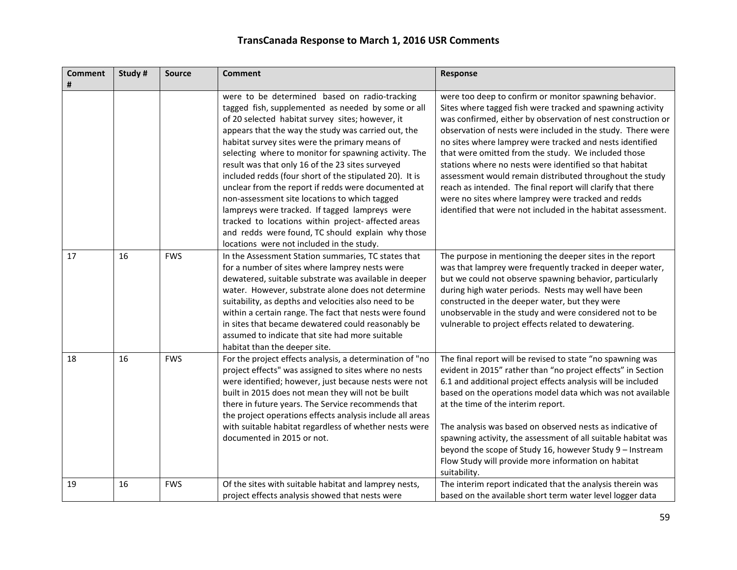| <b>Comment</b><br># | Study# | <b>Source</b> | <b>Comment</b>                                                                                                                                                                                                                                                                                                                                                                                                                                                                                                                                                                                                                                                                                                                                             | Response                                                                                                                                                                                                                                                                                                                                                                                                                                                                                                                                                                                                                                                                           |
|---------------------|--------|---------------|------------------------------------------------------------------------------------------------------------------------------------------------------------------------------------------------------------------------------------------------------------------------------------------------------------------------------------------------------------------------------------------------------------------------------------------------------------------------------------------------------------------------------------------------------------------------------------------------------------------------------------------------------------------------------------------------------------------------------------------------------------|------------------------------------------------------------------------------------------------------------------------------------------------------------------------------------------------------------------------------------------------------------------------------------------------------------------------------------------------------------------------------------------------------------------------------------------------------------------------------------------------------------------------------------------------------------------------------------------------------------------------------------------------------------------------------------|
|                     |        |               | were to be determined based on radio-tracking<br>tagged fish, supplemented as needed by some or all<br>of 20 selected habitat survey sites; however, it<br>appears that the way the study was carried out, the<br>habitat survey sites were the primary means of<br>selecting where to monitor for spawning activity. The<br>result was that only 16 of the 23 sites surveyed<br>included redds (four short of the stipulated 20). It is<br>unclear from the report if redds were documented at<br>non-assessment site locations to which tagged<br>lampreys were tracked. If tagged lampreys were<br>tracked to locations within project-affected areas<br>and redds were found, TC should explain why those<br>locations were not included in the study. | were too deep to confirm or monitor spawning behavior.<br>Sites where tagged fish were tracked and spawning activity<br>was confirmed, either by observation of nest construction or<br>observation of nests were included in the study. There were<br>no sites where lamprey were tracked and nests identified<br>that were omitted from the study. We included those<br>stations where no nests were identified so that habitat<br>assessment would remain distributed throughout the study<br>reach as intended. The final report will clarify that there<br>were no sites where lamprey were tracked and redds<br>identified that were not included in the habitat assessment. |
| 17                  | 16     | <b>FWS</b>    | In the Assessment Station summaries, TC states that<br>for a number of sites where lamprey nests were<br>dewatered, suitable substrate was available in deeper<br>water. However, substrate alone does not determine<br>suitability, as depths and velocities also need to be<br>within a certain range. The fact that nests were found<br>in sites that became dewatered could reasonably be<br>assumed to indicate that site had more suitable<br>habitat than the deeper site.                                                                                                                                                                                                                                                                          | The purpose in mentioning the deeper sites in the report<br>was that lamprey were frequently tracked in deeper water,<br>but we could not observe spawning behavior, particularly<br>during high water periods. Nests may well have been<br>constructed in the deeper water, but they were<br>unobservable in the study and were considered not to be<br>vulnerable to project effects related to dewatering.                                                                                                                                                                                                                                                                      |
| 18                  | 16     | <b>FWS</b>    | For the project effects analysis, a determination of "no<br>project effects" was assigned to sites where no nests<br>were identified; however, just because nests were not<br>built in 2015 does not mean they will not be built<br>there in future years. The Service recommends that<br>the project operations effects analysis include all areas<br>with suitable habitat regardless of whether nests were<br>documented in 2015 or not.                                                                                                                                                                                                                                                                                                                | The final report will be revised to state "no spawning was<br>evident in 2015" rather than "no project effects" in Section<br>6.1 and additional project effects analysis will be included<br>based on the operations model data which was not available<br>at the time of the interim report.<br>The analysis was based on observed nests as indicative of<br>spawning activity, the assessment of all suitable habitat was<br>beyond the scope of Study 16, however Study 9 - Instream<br>Flow Study will provide more information on habitat<br>suitability.                                                                                                                    |
| 19                  | 16     | <b>FWS</b>    | Of the sites with suitable habitat and lamprey nests,<br>project effects analysis showed that nests were                                                                                                                                                                                                                                                                                                                                                                                                                                                                                                                                                                                                                                                   | The interim report indicated that the analysis therein was<br>based on the available short term water level logger data                                                                                                                                                                                                                                                                                                                                                                                                                                                                                                                                                            |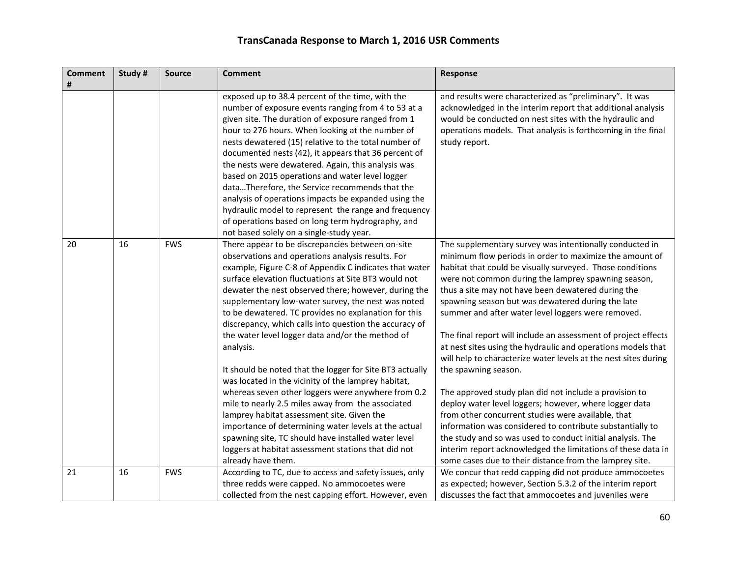| <b>Comment</b> | Study # | <b>Source</b> | <b>Comment</b>                                                                                                                                                                                                                                                                                                                                                                                                                                                                                                                                                                                                                                                                                                                                                                                                                                                                                                                                                                                   | Response                                                                                                                                                                                                                                                                                                                                                                                                                                                                                                                                                                                                                                                                                                                                                                                                                                                                                                                                                                                                                                                             |
|----------------|---------|---------------|--------------------------------------------------------------------------------------------------------------------------------------------------------------------------------------------------------------------------------------------------------------------------------------------------------------------------------------------------------------------------------------------------------------------------------------------------------------------------------------------------------------------------------------------------------------------------------------------------------------------------------------------------------------------------------------------------------------------------------------------------------------------------------------------------------------------------------------------------------------------------------------------------------------------------------------------------------------------------------------------------|----------------------------------------------------------------------------------------------------------------------------------------------------------------------------------------------------------------------------------------------------------------------------------------------------------------------------------------------------------------------------------------------------------------------------------------------------------------------------------------------------------------------------------------------------------------------------------------------------------------------------------------------------------------------------------------------------------------------------------------------------------------------------------------------------------------------------------------------------------------------------------------------------------------------------------------------------------------------------------------------------------------------------------------------------------------------|
|                |         |               | exposed up to 38.4 percent of the time, with the<br>number of exposure events ranging from 4 to 53 at a<br>given site. The duration of exposure ranged from 1<br>hour to 276 hours. When looking at the number of<br>nests dewatered (15) relative to the total number of<br>documented nests (42), it appears that 36 percent of<br>the nests were dewatered. Again, this analysis was<br>based on 2015 operations and water level logger<br>dataTherefore, the Service recommends that the<br>analysis of operations impacts be expanded using the<br>hydraulic model to represent the range and frequency<br>of operations based on long term hydrography, and<br>not based solely on a single-study year.                                                                                                                                                                                                                                                                                    | and results were characterized as "preliminary". It was<br>acknowledged in the interim report that additional analysis<br>would be conducted on nest sites with the hydraulic and<br>operations models. That analysis is forthcoming in the final<br>study report.                                                                                                                                                                                                                                                                                                                                                                                                                                                                                                                                                                                                                                                                                                                                                                                                   |
| 20             | 16      | <b>FWS</b>    | There appear to be discrepancies between on-site<br>observations and operations analysis results. For<br>example, Figure C-8 of Appendix C indicates that water<br>surface elevation fluctuations at Site BT3 would not<br>dewater the nest observed there; however, during the<br>supplementary low-water survey, the nest was noted<br>to be dewatered. TC provides no explanation for this<br>discrepancy, which calls into question the accuracy of<br>the water level logger data and/or the method of<br>analysis.<br>It should be noted that the logger for Site BT3 actually<br>was located in the vicinity of the lamprey habitat,<br>whereas seven other loggers were anywhere from 0.2<br>mile to nearly 2.5 miles away from the associated<br>lamprey habitat assessment site. Given the<br>importance of determining water levels at the actual<br>spawning site, TC should have installed water level<br>loggers at habitat assessment stations that did not<br>already have them. | The supplementary survey was intentionally conducted in<br>minimum flow periods in order to maximize the amount of<br>habitat that could be visually surveyed. Those conditions<br>were not common during the lamprey spawning season,<br>thus a site may not have been dewatered during the<br>spawning season but was dewatered during the late<br>summer and after water level loggers were removed.<br>The final report will include an assessment of project effects<br>at nest sites using the hydraulic and operations models that<br>will help to characterize water levels at the nest sites during<br>the spawning season.<br>The approved study plan did not include a provision to<br>deploy water level loggers; however, where logger data<br>from other concurrent studies were available, that<br>information was considered to contribute substantially to<br>the study and so was used to conduct initial analysis. The<br>interim report acknowledged the limitations of these data in<br>some cases due to their distance from the lamprey site. |
| 21             | 16      | <b>FWS</b>    | According to TC, due to access and safety issues, only<br>three redds were capped. No ammocoetes were<br>collected from the nest capping effort. However, even                                                                                                                                                                                                                                                                                                                                                                                                                                                                                                                                                                                                                                                                                                                                                                                                                                   | We concur that redd capping did not produce ammocoetes<br>as expected; however, Section 5.3.2 of the interim report<br>discusses the fact that ammocoetes and juveniles were                                                                                                                                                                                                                                                                                                                                                                                                                                                                                                                                                                                                                                                                                                                                                                                                                                                                                         |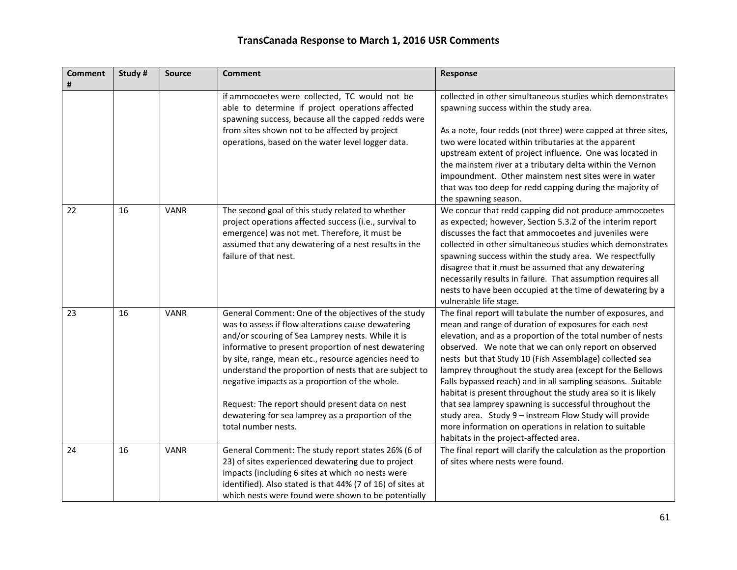| <b>Comment</b><br># | Study # | <b>Source</b> | <b>Comment</b>                                                                                                                                                                                                                                                                                                                                                                                                                                                                                                            | Response                                                                                                                                                                                                                                                                                                                                                                                                                                                                                                                                                                                                                                                                                                                    |
|---------------------|---------|---------------|---------------------------------------------------------------------------------------------------------------------------------------------------------------------------------------------------------------------------------------------------------------------------------------------------------------------------------------------------------------------------------------------------------------------------------------------------------------------------------------------------------------------------|-----------------------------------------------------------------------------------------------------------------------------------------------------------------------------------------------------------------------------------------------------------------------------------------------------------------------------------------------------------------------------------------------------------------------------------------------------------------------------------------------------------------------------------------------------------------------------------------------------------------------------------------------------------------------------------------------------------------------------|
|                     |         |               | if ammocoetes were collected, TC would not be<br>able to determine if project operations affected<br>spawning success, because all the capped redds were<br>from sites shown not to be affected by project<br>operations, based on the water level logger data.                                                                                                                                                                                                                                                           | collected in other simultaneous studies which demonstrates<br>spawning success within the study area.<br>As a note, four redds (not three) were capped at three sites,<br>two were located within tributaries at the apparent<br>upstream extent of project influence. One was located in<br>the mainstem river at a tributary delta within the Vernon<br>impoundment. Other mainstem nest sites were in water<br>that was too deep for redd capping during the majority of<br>the spawning season.                                                                                                                                                                                                                         |
| 22                  | 16      | <b>VANR</b>   | The second goal of this study related to whether<br>project operations affected success (i.e., survival to<br>emergence) was not met. Therefore, it must be<br>assumed that any dewatering of a nest results in the<br>failure of that nest.                                                                                                                                                                                                                                                                              | We concur that redd capping did not produce ammocoetes<br>as expected; however, Section 5.3.2 of the interim report<br>discusses the fact that ammocoetes and juveniles were<br>collected in other simultaneous studies which demonstrates<br>spawning success within the study area. We respectfully<br>disagree that it must be assumed that any dewatering<br>necessarily results in failure. That assumption requires all<br>nests to have been occupied at the time of dewatering by a<br>vulnerable life stage.                                                                                                                                                                                                       |
| 23                  | 16      | <b>VANR</b>   | General Comment: One of the objectives of the study<br>was to assess if flow alterations cause dewatering<br>and/or scouring of Sea Lamprey nests. While it is<br>informative to present proportion of nest dewatering<br>by site, range, mean etc., resource agencies need to<br>understand the proportion of nests that are subject to<br>negative impacts as a proportion of the whole.<br>Request: The report should present data on nest<br>dewatering for sea lamprey as a proportion of the<br>total number nests. | The final report will tabulate the number of exposures, and<br>mean and range of duration of exposures for each nest<br>elevation, and as a proportion of the total number of nests<br>observed. We note that we can only report on observed<br>nests but that Study 10 (Fish Assemblage) collected sea<br>lamprey throughout the study area (except for the Bellows<br>Falls bypassed reach) and in all sampling seasons. Suitable<br>habitat is present throughout the study area so it is likely<br>that sea lamprey spawning is successful throughout the<br>study area. Study 9 - Instream Flow Study will provide<br>more information on operations in relation to suitable<br>habitats in the project-affected area. |
| 24                  | 16      | <b>VANR</b>   | General Comment: The study report states 26% (6 of<br>23) of sites experienced dewatering due to project<br>impacts (including 6 sites at which no nests were<br>identified). Also stated is that 44% (7 of 16) of sites at<br>which nests were found were shown to be potentially                                                                                                                                                                                                                                        | The final report will clarify the calculation as the proportion<br>of sites where nests were found.                                                                                                                                                                                                                                                                                                                                                                                                                                                                                                                                                                                                                         |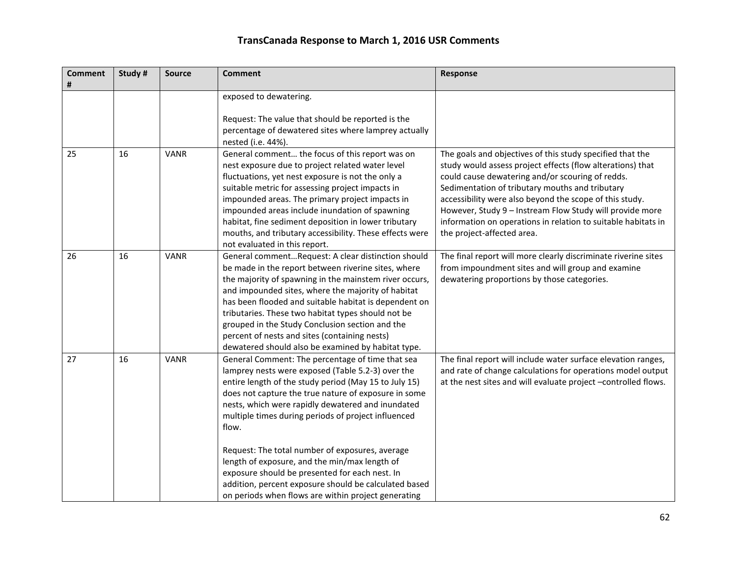| <b>Comment</b><br># | Study# | <b>Source</b> | <b>Comment</b>                                                                                                                                                                                                                                                                                                                                                                                                                                                                                                                                                                                                    | Response                                                                                                                                                                                                                                                                                                                                                                                                                                             |
|---------------------|--------|---------------|-------------------------------------------------------------------------------------------------------------------------------------------------------------------------------------------------------------------------------------------------------------------------------------------------------------------------------------------------------------------------------------------------------------------------------------------------------------------------------------------------------------------------------------------------------------------------------------------------------------------|------------------------------------------------------------------------------------------------------------------------------------------------------------------------------------------------------------------------------------------------------------------------------------------------------------------------------------------------------------------------------------------------------------------------------------------------------|
|                     |        |               | exposed to dewatering.<br>Request: The value that should be reported is the<br>percentage of dewatered sites where lamprey actually<br>nested (i.e. 44%).                                                                                                                                                                                                                                                                                                                                                                                                                                                         |                                                                                                                                                                                                                                                                                                                                                                                                                                                      |
| 25                  | 16     | <b>VANR</b>   | General comment the focus of this report was on<br>nest exposure due to project related water level<br>fluctuations, yet nest exposure is not the only a<br>suitable metric for assessing project impacts in<br>impounded areas. The primary project impacts in<br>impounded areas include inundation of spawning<br>habitat, fine sediment deposition in lower tributary<br>mouths, and tributary accessibility. These effects were<br>not evaluated in this report.                                                                                                                                             | The goals and objectives of this study specified that the<br>study would assess project effects (flow alterations) that<br>could cause dewatering and/or scouring of redds.<br>Sedimentation of tributary mouths and tributary<br>accessibility were also beyond the scope of this study.<br>However, Study 9 - Instream Flow Study will provide more<br>information on operations in relation to suitable habitats in<br>the project-affected area. |
| 26                  | 16     | <b>VANR</b>   | General commentRequest: A clear distinction should<br>be made in the report between riverine sites, where<br>the majority of spawning in the mainstem river occurs,<br>and impounded sites, where the majority of habitat<br>has been flooded and suitable habitat is dependent on<br>tributaries. These two habitat types should not be<br>grouped in the Study Conclusion section and the<br>percent of nests and sites (containing nests)<br>dewatered should also be examined by habitat type.                                                                                                                | The final report will more clearly discriminate riverine sites<br>from impoundment sites and will group and examine<br>dewatering proportions by those categories.                                                                                                                                                                                                                                                                                   |
| 27                  | 16     | <b>VANR</b>   | General Comment: The percentage of time that sea<br>lamprey nests were exposed (Table 5.2-3) over the<br>entire length of the study period (May 15 to July 15)<br>does not capture the true nature of exposure in some<br>nests, which were rapidly dewatered and inundated<br>multiple times during periods of project influenced<br>flow.<br>Request: The total number of exposures, average<br>length of exposure, and the min/max length of<br>exposure should be presented for each nest. In<br>addition, percent exposure should be calculated based<br>on periods when flows are within project generating | The final report will include water surface elevation ranges,<br>and rate of change calculations for operations model output<br>at the nest sites and will evaluate project -controlled flows.                                                                                                                                                                                                                                                       |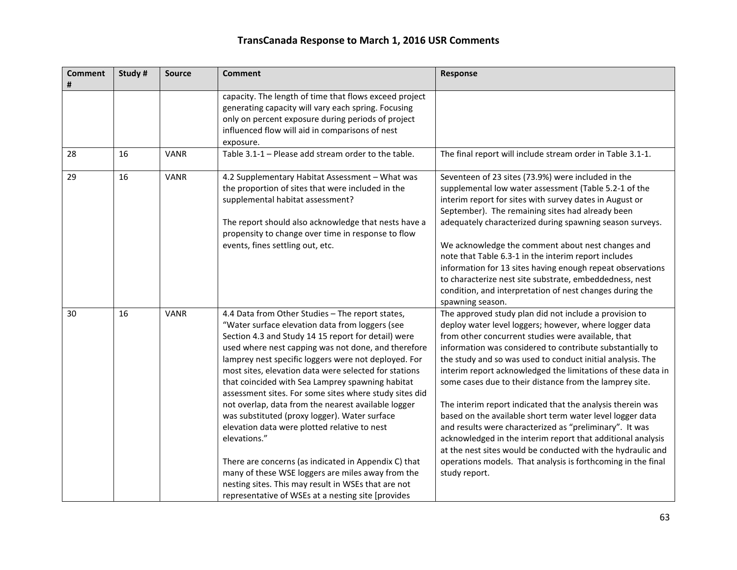| <b>Comment</b><br># | Study # | <b>Source</b> | <b>Comment</b>                                                                                                                                                                                                                                                                                                                                                                                                                                                                                                                                                                                                                                                                                                                                                                                                                                     | Response                                                                                                                                                                                                                                                                                                                                                                                                                                                                                                                                                                                                                                                                                                                                                                                                                          |
|---------------------|---------|---------------|----------------------------------------------------------------------------------------------------------------------------------------------------------------------------------------------------------------------------------------------------------------------------------------------------------------------------------------------------------------------------------------------------------------------------------------------------------------------------------------------------------------------------------------------------------------------------------------------------------------------------------------------------------------------------------------------------------------------------------------------------------------------------------------------------------------------------------------------------|-----------------------------------------------------------------------------------------------------------------------------------------------------------------------------------------------------------------------------------------------------------------------------------------------------------------------------------------------------------------------------------------------------------------------------------------------------------------------------------------------------------------------------------------------------------------------------------------------------------------------------------------------------------------------------------------------------------------------------------------------------------------------------------------------------------------------------------|
|                     |         |               | capacity. The length of time that flows exceed project<br>generating capacity will vary each spring. Focusing<br>only on percent exposure during periods of project<br>influenced flow will aid in comparisons of nest<br>exposure.                                                                                                                                                                                                                                                                                                                                                                                                                                                                                                                                                                                                                |                                                                                                                                                                                                                                                                                                                                                                                                                                                                                                                                                                                                                                                                                                                                                                                                                                   |
| 28                  | 16      | <b>VANR</b>   | Table 3.1-1 - Please add stream order to the table.                                                                                                                                                                                                                                                                                                                                                                                                                                                                                                                                                                                                                                                                                                                                                                                                | The final report will include stream order in Table 3.1-1.                                                                                                                                                                                                                                                                                                                                                                                                                                                                                                                                                                                                                                                                                                                                                                        |
| 29                  | 16      | <b>VANR</b>   | 4.2 Supplementary Habitat Assessment - What was<br>the proportion of sites that were included in the<br>supplemental habitat assessment?<br>The report should also acknowledge that nests have a<br>propensity to change over time in response to flow<br>events, fines settling out, etc.                                                                                                                                                                                                                                                                                                                                                                                                                                                                                                                                                         | Seventeen of 23 sites (73.9%) were included in the<br>supplemental low water assessment (Table 5.2-1 of the<br>interim report for sites with survey dates in August or<br>September). The remaining sites had already been<br>adequately characterized during spawning season surveys.<br>We acknowledge the comment about nest changes and<br>note that Table 6.3-1 in the interim report includes<br>information for 13 sites having enough repeat observations<br>to characterize nest site substrate, embeddedness, nest<br>condition, and interpretation of nest changes during the<br>spawning season.                                                                                                                                                                                                                      |
| 30                  | 16      | <b>VANR</b>   | 4.4 Data from Other Studies - The report states,<br>"Water surface elevation data from loggers (see<br>Section 4.3 and Study 14 15 report for detail) were<br>used where nest capping was not done, and therefore<br>lamprey nest specific loggers were not deployed. For<br>most sites, elevation data were selected for stations<br>that coincided with Sea Lamprey spawning habitat<br>assessment sites. For some sites where study sites did<br>not overlap, data from the nearest available logger<br>was substituted (proxy logger). Water surface<br>elevation data were plotted relative to nest<br>elevations."<br>There are concerns (as indicated in Appendix C) that<br>many of these WSE loggers are miles away from the<br>nesting sites. This may result in WSEs that are not<br>representative of WSEs at a nesting site [provides | The approved study plan did not include a provision to<br>deploy water level loggers; however, where logger data<br>from other concurrent studies were available, that<br>information was considered to contribute substantially to<br>the study and so was used to conduct initial analysis. The<br>interim report acknowledged the limitations of these data in<br>some cases due to their distance from the lamprey site.<br>The interim report indicated that the analysis therein was<br>based on the available short term water level logger data<br>and results were characterized as "preliminary". It was<br>acknowledged in the interim report that additional analysis<br>at the nest sites would be conducted with the hydraulic and<br>operations models. That analysis is forthcoming in the final<br>study report. |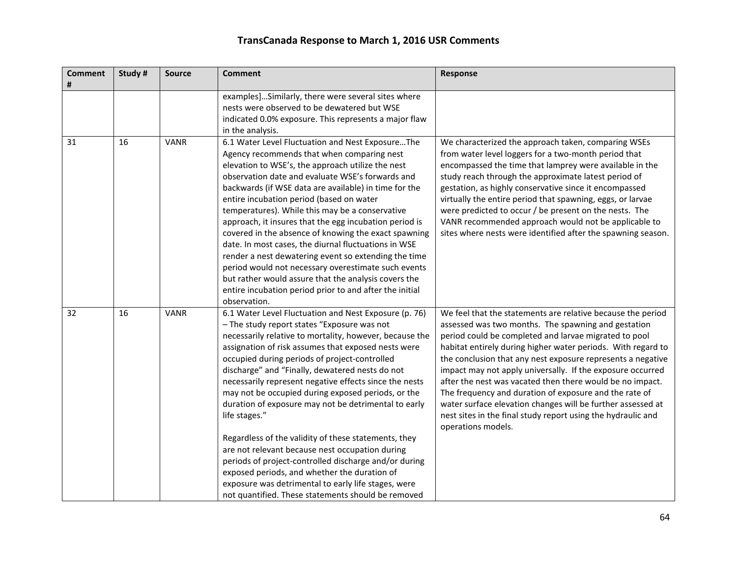| <b>Comment</b><br># | Study # | <b>Source</b> | <b>Comment</b>                                                                                                                                                                                                                                                                                                                                                                                                                                                                                                                                                                                                                                                                                                                                                                                                                                       | Response                                                                                                                                                                                                                                                                                                                                                                                                                                                                                                                                                                                                                                             |
|---------------------|---------|---------------|------------------------------------------------------------------------------------------------------------------------------------------------------------------------------------------------------------------------------------------------------------------------------------------------------------------------------------------------------------------------------------------------------------------------------------------------------------------------------------------------------------------------------------------------------------------------------------------------------------------------------------------------------------------------------------------------------------------------------------------------------------------------------------------------------------------------------------------------------|------------------------------------------------------------------------------------------------------------------------------------------------------------------------------------------------------------------------------------------------------------------------------------------------------------------------------------------------------------------------------------------------------------------------------------------------------------------------------------------------------------------------------------------------------------------------------------------------------------------------------------------------------|
|                     |         |               | examples]Similarly, there were several sites where<br>nests were observed to be dewatered but WSE<br>indicated 0.0% exposure. This represents a major flaw<br>in the analysis.                                                                                                                                                                                                                                                                                                                                                                                                                                                                                                                                                                                                                                                                       |                                                                                                                                                                                                                                                                                                                                                                                                                                                                                                                                                                                                                                                      |
| 31                  | 16      | <b>VANR</b>   | 6.1 Water Level Fluctuation and Nest ExposureThe<br>Agency recommends that when comparing nest<br>elevation to WSE's, the approach utilize the nest<br>observation date and evaluate WSE's forwards and<br>backwards (if WSE data are available) in time for the<br>entire incubation period (based on water<br>temperatures). While this may be a conservative<br>approach, it insures that the egg incubation period is<br>covered in the absence of knowing the exact spawning<br>date. In most cases, the diurnal fluctuations in WSE<br>render a nest dewatering event so extending the time<br>period would not necessary overestimate such events<br>but rather would assure that the analysis covers the<br>entire incubation period prior to and after the initial<br>observation.                                                          | We characterized the approach taken, comparing WSEs<br>from water level loggers for a two-month period that<br>encompassed the time that lamprey were available in the<br>study reach through the approximate latest period of<br>gestation, as highly conservative since it encompassed<br>virtually the entire period that spawning, eggs, or larvae<br>were predicted to occur / be present on the nests. The<br>VANR recommended approach would not be applicable to<br>sites where nests were identified after the spawning season.                                                                                                             |
| 32                  | 16      | <b>VANR</b>   | 6.1 Water Level Fluctuation and Nest Exposure (p. 76)<br>- The study report states "Exposure was not<br>necessarily relative to mortality, however, because the<br>assignation of risk assumes that exposed nests were<br>occupied during periods of project-controlled<br>discharge" and "Finally, dewatered nests do not<br>necessarily represent negative effects since the nests<br>may not be occupied during exposed periods, or the<br>duration of exposure may not be detrimental to early<br>life stages."<br>Regardless of the validity of these statements, they<br>are not relevant because nest occupation during<br>periods of project-controlled discharge and/or during<br>exposed periods, and whether the duration of<br>exposure was detrimental to early life stages, were<br>not quantified. These statements should be removed | We feel that the statements are relative because the period<br>assessed was two months. The spawning and gestation<br>period could be completed and larvae migrated to pool<br>habitat entirely during higher water periods. With regard to<br>the conclusion that any nest exposure represents a negative<br>impact may not apply universally. If the exposure occurred<br>after the nest was vacated then there would be no impact.<br>The frequency and duration of exposure and the rate of<br>water surface elevation changes will be further assessed at<br>nest sites in the final study report using the hydraulic and<br>operations models. |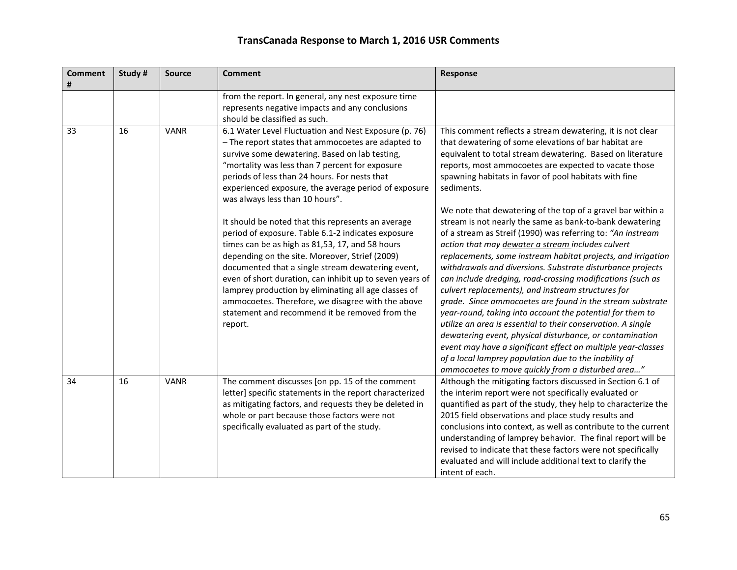| <b>Comment</b><br># | Study # | <b>Source</b> | <b>Comment</b>                                                                                                                                                                                                                                                                                                                                                                                                                                                                                           | Response                                                                                                                                                                                                                                                                                                                                                                                                                                                                                                                                                                                                                                                                                                                                                                                                                                                                                                                          |
|---------------------|---------|---------------|----------------------------------------------------------------------------------------------------------------------------------------------------------------------------------------------------------------------------------------------------------------------------------------------------------------------------------------------------------------------------------------------------------------------------------------------------------------------------------------------------------|-----------------------------------------------------------------------------------------------------------------------------------------------------------------------------------------------------------------------------------------------------------------------------------------------------------------------------------------------------------------------------------------------------------------------------------------------------------------------------------------------------------------------------------------------------------------------------------------------------------------------------------------------------------------------------------------------------------------------------------------------------------------------------------------------------------------------------------------------------------------------------------------------------------------------------------|
|                     |         |               | from the report. In general, any nest exposure time<br>represents negative impacts and any conclusions<br>should be classified as such.                                                                                                                                                                                                                                                                                                                                                                  |                                                                                                                                                                                                                                                                                                                                                                                                                                                                                                                                                                                                                                                                                                                                                                                                                                                                                                                                   |
| 33                  | 16      | <b>VANR</b>   | 6.1 Water Level Fluctuation and Nest Exposure (p. 76)<br>- The report states that ammocoetes are adapted to<br>survive some dewatering. Based on lab testing,<br>"mortality was less than 7 percent for exposure<br>periods of less than 24 hours. For nests that<br>experienced exposure, the average period of exposure<br>was always less than 10 hours".                                                                                                                                             | This comment reflects a stream dewatering, it is not clear<br>that dewatering of some elevations of bar habitat are<br>equivalent to total stream dewatering. Based on literature<br>reports, most ammocoetes are expected to vacate those<br>spawning habitats in favor of pool habitats with fine<br>sediments.                                                                                                                                                                                                                                                                                                                                                                                                                                                                                                                                                                                                                 |
|                     |         |               | It should be noted that this represents an average<br>period of exposure. Table 6.1-2 indicates exposure<br>times can be as high as 81,53, 17, and 58 hours<br>depending on the site. Moreover, Strief (2009)<br>documented that a single stream dewatering event,<br>even of short duration, can inhibit up to seven years of<br>lamprey production by eliminating all age classes of<br>ammocoetes. Therefore, we disagree with the above<br>statement and recommend it be removed from the<br>report. | We note that dewatering of the top of a gravel bar within a<br>stream is not nearly the same as bank-to-bank dewatering<br>of a stream as Streif (1990) was referring to: "An instream<br>action that may dewater a stream includes culvert<br>replacements, some instream habitat projects, and irrigation<br>withdrawals and diversions. Substrate disturbance projects<br>can include dredging, road-crossing modifications (such as<br>culvert replacements), and instream structures for<br>grade. Since ammocoetes are found in the stream substrate<br>year-round, taking into account the potential for them to<br>utilize an area is essential to their conservation. A single<br>dewatering event, physical disturbance, or contamination<br>event may have a significant effect on multiple year-classes<br>of a local lamprey population due to the inability of<br>ammocoetes to move quickly from a disturbed area" |
| 34                  | 16      | <b>VANR</b>   | The comment discusses [on pp. 15 of the comment<br>letter] specific statements in the report characterized<br>as mitigating factors, and requests they be deleted in<br>whole or part because those factors were not<br>specifically evaluated as part of the study.                                                                                                                                                                                                                                     | Although the mitigating factors discussed in Section 6.1 of<br>the interim report were not specifically evaluated or<br>quantified as part of the study, they help to characterize the<br>2015 field observations and place study results and<br>conclusions into context, as well as contribute to the current<br>understanding of lamprey behavior. The final report will be<br>revised to indicate that these factors were not specifically<br>evaluated and will include additional text to clarify the<br>intent of each.                                                                                                                                                                                                                                                                                                                                                                                                    |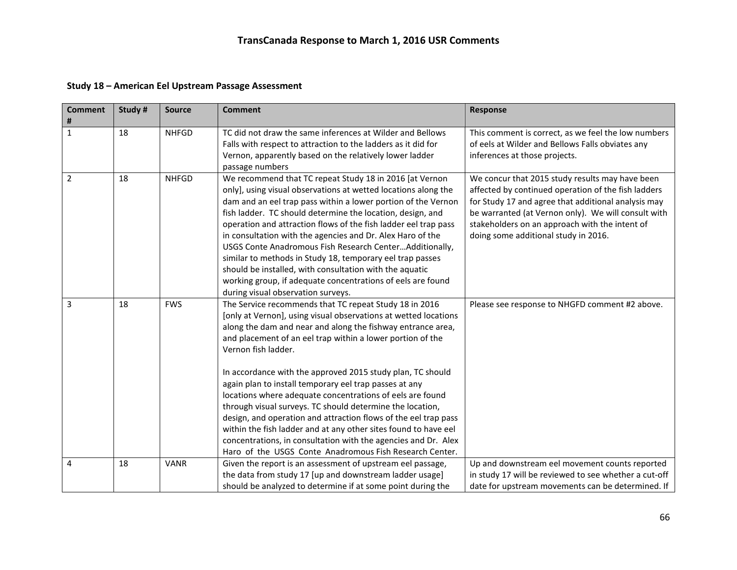#### **Study 18 – American Eel Upstream Passage Assessment**

| <b>Comment</b><br># | Study# | <b>Source</b> | <b>Comment</b>                                                                                                                                                                                                                                                                                                                                                                                                                                                                                                                                                                                                                                                                                                                                                                                     | <b>Response</b>                                                                                                                                                                                                                                                                                                |
|---------------------|--------|---------------|----------------------------------------------------------------------------------------------------------------------------------------------------------------------------------------------------------------------------------------------------------------------------------------------------------------------------------------------------------------------------------------------------------------------------------------------------------------------------------------------------------------------------------------------------------------------------------------------------------------------------------------------------------------------------------------------------------------------------------------------------------------------------------------------------|----------------------------------------------------------------------------------------------------------------------------------------------------------------------------------------------------------------------------------------------------------------------------------------------------------------|
| $\mathbf{1}$        | 18     | <b>NHFGD</b>  | TC did not draw the same inferences at Wilder and Bellows<br>Falls with respect to attraction to the ladders as it did for<br>Vernon, apparently based on the relatively lower ladder<br>passage numbers                                                                                                                                                                                                                                                                                                                                                                                                                                                                                                                                                                                           | This comment is correct, as we feel the low numbers<br>of eels at Wilder and Bellows Falls obviates any<br>inferences at those projects.                                                                                                                                                                       |
| $\overline{2}$      | 18     | <b>NHFGD</b>  | We recommend that TC repeat Study 18 in 2016 [at Vernon<br>only], using visual observations at wetted locations along the<br>dam and an eel trap pass within a lower portion of the Vernon<br>fish ladder. TC should determine the location, design, and<br>operation and attraction flows of the fish ladder eel trap pass<br>in consultation with the agencies and Dr. Alex Haro of the<br>USGS Conte Anadromous Fish Research CenterAdditionally,<br>similar to methods in Study 18, temporary eel trap passes<br>should be installed, with consultation with the aquatic<br>working group, if adequate concentrations of eels are found<br>during visual observation surveys.                                                                                                                  | We concur that 2015 study results may have been<br>affected by continued operation of the fish ladders<br>for Study 17 and agree that additional analysis may<br>be warranted (at Vernon only). We will consult with<br>stakeholders on an approach with the intent of<br>doing some additional study in 2016. |
| 3                   | 18     | <b>FWS</b>    | The Service recommends that TC repeat Study 18 in 2016<br>[only at Vernon], using visual observations at wetted locations<br>along the dam and near and along the fishway entrance area,<br>and placement of an eel trap within a lower portion of the<br>Vernon fish ladder.<br>In accordance with the approved 2015 study plan, TC should<br>again plan to install temporary eel trap passes at any<br>locations where adequate concentrations of eels are found<br>through visual surveys. TC should determine the location,<br>design, and operation and attraction flows of the eel trap pass<br>within the fish ladder and at any other sites found to have eel<br>concentrations, in consultation with the agencies and Dr. Alex<br>Haro of the USGS Conte Anadromous Fish Research Center. | Please see response to NHGFD comment #2 above.                                                                                                                                                                                                                                                                 |
| 4                   | 18     | <b>VANR</b>   | Given the report is an assessment of upstream eel passage,<br>the data from study 17 [up and downstream ladder usage]<br>should be analyzed to determine if at some point during the                                                                                                                                                                                                                                                                                                                                                                                                                                                                                                                                                                                                               | Up and downstream eel movement counts reported<br>in study 17 will be reviewed to see whether a cut-off<br>date for upstream movements can be determined. If                                                                                                                                                   |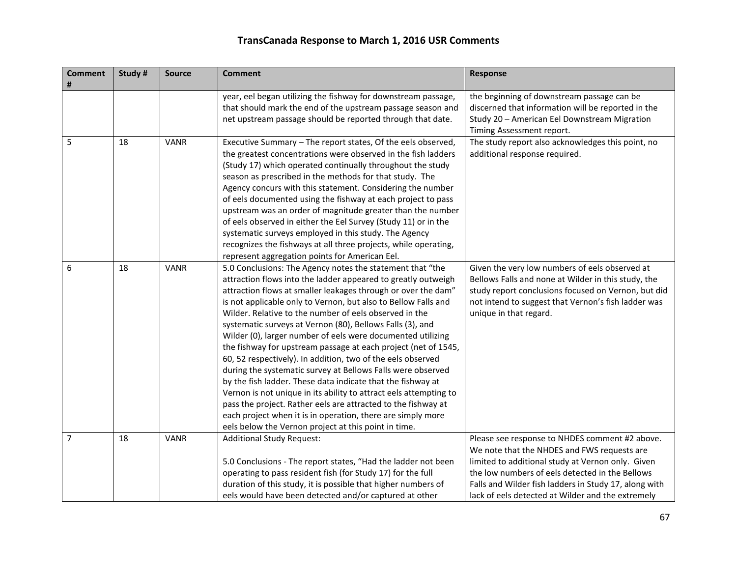| <b>Comment</b><br># | Study # | <b>Source</b> | <b>Comment</b>                                                                                                                                                                                                                                                                                                                                                                                                                                                                                                                                                                                                                                                                                                                                                                                                                                                                                                                                                                  | <b>Response</b>                                                                                                                                                                                                                                                                                                     |
|---------------------|---------|---------------|---------------------------------------------------------------------------------------------------------------------------------------------------------------------------------------------------------------------------------------------------------------------------------------------------------------------------------------------------------------------------------------------------------------------------------------------------------------------------------------------------------------------------------------------------------------------------------------------------------------------------------------------------------------------------------------------------------------------------------------------------------------------------------------------------------------------------------------------------------------------------------------------------------------------------------------------------------------------------------|---------------------------------------------------------------------------------------------------------------------------------------------------------------------------------------------------------------------------------------------------------------------------------------------------------------------|
|                     |         |               | year, eel began utilizing the fishway for downstream passage,<br>that should mark the end of the upstream passage season and<br>net upstream passage should be reported through that date.                                                                                                                                                                                                                                                                                                                                                                                                                                                                                                                                                                                                                                                                                                                                                                                      | the beginning of downstream passage can be<br>discerned that information will be reported in the<br>Study 20 - American Eel Downstream Migration<br>Timing Assessment report.                                                                                                                                       |
| 5                   | 18      | <b>VANR</b>   | Executive Summary - The report states, Of the eels observed,<br>the greatest concentrations were observed in the fish ladders<br>(Study 17) which operated continually throughout the study<br>season as prescribed in the methods for that study. The<br>Agency concurs with this statement. Considering the number<br>of eels documented using the fishway at each project to pass<br>upstream was an order of magnitude greater than the number<br>of eels observed in either the Eel Survey (Study 11) or in the<br>systematic surveys employed in this study. The Agency<br>recognizes the fishways at all three projects, while operating,<br>represent aggregation points for American Eel.                                                                                                                                                                                                                                                                              | The study report also acknowledges this point, no<br>additional response required.                                                                                                                                                                                                                                  |
| 6                   | 18      | <b>VANR</b>   | 5.0 Conclusions: The Agency notes the statement that "the<br>attraction flows into the ladder appeared to greatly outweigh<br>attraction flows at smaller leakages through or over the dam"<br>is not applicable only to Vernon, but also to Bellow Falls and<br>Wilder. Relative to the number of eels observed in the<br>systematic surveys at Vernon (80), Bellows Falls (3), and<br>Wilder (0), larger number of eels were documented utilizing<br>the fishway for upstream passage at each project (net of 1545,<br>60, 52 respectively). In addition, two of the eels observed<br>during the systematic survey at Bellows Falls were observed<br>by the fish ladder. These data indicate that the fishway at<br>Vernon is not unique in its ability to attract eels attempting to<br>pass the project. Rather eels are attracted to the fishway at<br>each project when it is in operation, there are simply more<br>eels below the Vernon project at this point in time. | Given the very low numbers of eels observed at<br>Bellows Falls and none at Wilder in this study, the<br>study report conclusions focused on Vernon, but did<br>not intend to suggest that Vernon's fish ladder was<br>unique in that regard.                                                                       |
| 7                   | 18      | <b>VANR</b>   | <b>Additional Study Request:</b><br>5.0 Conclusions - The report states, "Had the ladder not been<br>operating to pass resident fish (for Study 17) for the full<br>duration of this study, it is possible that higher numbers of<br>eels would have been detected and/or captured at other                                                                                                                                                                                                                                                                                                                                                                                                                                                                                                                                                                                                                                                                                     | Please see response to NHDES comment #2 above.<br>We note that the NHDES and FWS requests are<br>limited to additional study at Vernon only. Given<br>the low numbers of eels detected in the Bellows<br>Falls and Wilder fish ladders in Study 17, along with<br>lack of eels detected at Wilder and the extremely |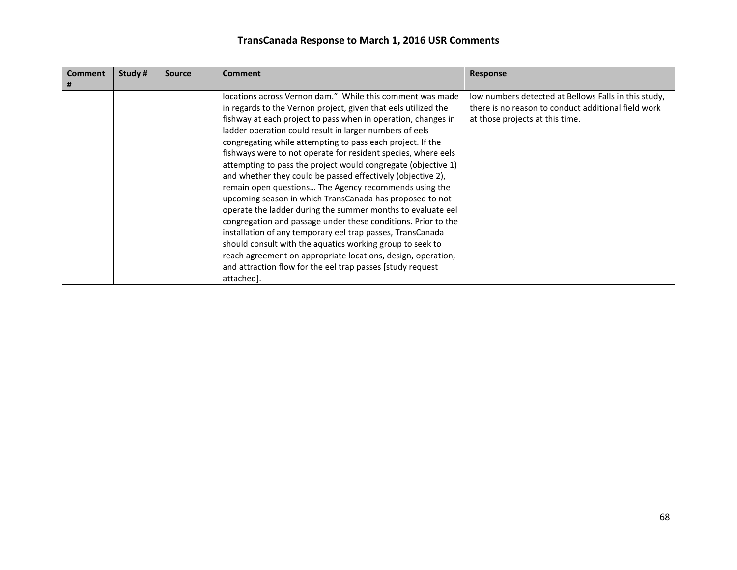| <b>Comment</b><br># | Study # | <b>Source</b> | <b>Comment</b>                                                                                                                                                                                                                                                                                                                                                                                                                                                                                                                                                                                                                                                                                                                                                                                                                                                                                                                                                                                                                                      | <b>Response</b>                                                                                                                                |
|---------------------|---------|---------------|-----------------------------------------------------------------------------------------------------------------------------------------------------------------------------------------------------------------------------------------------------------------------------------------------------------------------------------------------------------------------------------------------------------------------------------------------------------------------------------------------------------------------------------------------------------------------------------------------------------------------------------------------------------------------------------------------------------------------------------------------------------------------------------------------------------------------------------------------------------------------------------------------------------------------------------------------------------------------------------------------------------------------------------------------------|------------------------------------------------------------------------------------------------------------------------------------------------|
|                     |         |               | locations across Vernon dam." While this comment was made<br>in regards to the Vernon project, given that eels utilized the<br>fishway at each project to pass when in operation, changes in<br>ladder operation could result in larger numbers of eels<br>congregating while attempting to pass each project. If the<br>fishways were to not operate for resident species, where eels<br>attempting to pass the project would congregate (objective 1)<br>and whether they could be passed effectively (objective 2),<br>remain open questions The Agency recommends using the<br>upcoming season in which TransCanada has proposed to not<br>operate the ladder during the summer months to evaluate eel<br>congregation and passage under these conditions. Prior to the<br>installation of any temporary eel trap passes, TransCanada<br>should consult with the aquatics working group to seek to<br>reach agreement on appropriate locations, design, operation,<br>and attraction flow for the eel trap passes [study request]<br>attached]. | low numbers detected at Bellows Falls in this study,<br>there is no reason to conduct additional field work<br>at those projects at this time. |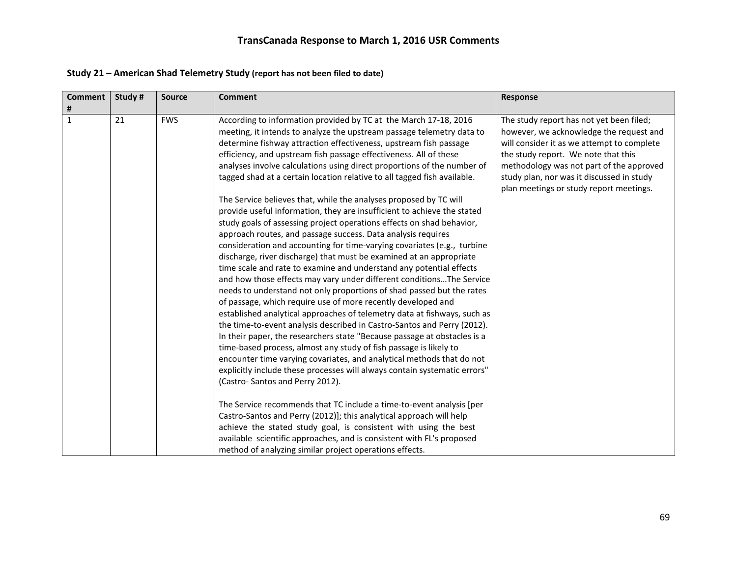| Study #<br><b>Comment</b><br><b>Source</b> | <b>Comment</b>                                                                                                                                                                                                                                                                                                                                                                                                                                                                                                                                                                                                                                                                                                                                                                                                                                                                                                                                                                                                                                                                                                                                                                                                                                                                                                                                                                                                                                                                                                                | Response                                                                                                                                                                                                                                                                                                     |
|--------------------------------------------|-------------------------------------------------------------------------------------------------------------------------------------------------------------------------------------------------------------------------------------------------------------------------------------------------------------------------------------------------------------------------------------------------------------------------------------------------------------------------------------------------------------------------------------------------------------------------------------------------------------------------------------------------------------------------------------------------------------------------------------------------------------------------------------------------------------------------------------------------------------------------------------------------------------------------------------------------------------------------------------------------------------------------------------------------------------------------------------------------------------------------------------------------------------------------------------------------------------------------------------------------------------------------------------------------------------------------------------------------------------------------------------------------------------------------------------------------------------------------------------------------------------------------------|--------------------------------------------------------------------------------------------------------------------------------------------------------------------------------------------------------------------------------------------------------------------------------------------------------------|
| #                                          |                                                                                                                                                                                                                                                                                                                                                                                                                                                                                                                                                                                                                                                                                                                                                                                                                                                                                                                                                                                                                                                                                                                                                                                                                                                                                                                                                                                                                                                                                                                               |                                                                                                                                                                                                                                                                                                              |
| $\mathbf{1}$<br>21<br><b>FWS</b>           | According to information provided by TC at the March 17-18, 2016<br>meeting, it intends to analyze the upstream passage telemetry data to<br>determine fishway attraction effectiveness, upstream fish passage<br>efficiency, and upstream fish passage effectiveness. All of these<br>analyses involve calculations using direct proportions of the number of<br>tagged shad at a certain location relative to all tagged fish available.                                                                                                                                                                                                                                                                                                                                                                                                                                                                                                                                                                                                                                                                                                                                                                                                                                                                                                                                                                                                                                                                                    | The study report has not yet been filed;<br>however, we acknowledge the request and<br>will consider it as we attempt to complete<br>the study report. We note that this<br>methodology was not part of the approved<br>study plan, nor was it discussed in study<br>plan meetings or study report meetings. |
|                                            | The Service believes that, while the analyses proposed by TC will<br>provide useful information, they are insufficient to achieve the stated<br>study goals of assessing project operations effects on shad behavior,<br>approach routes, and passage success. Data analysis requires<br>consideration and accounting for time-varying covariates (e.g., turbine<br>discharge, river discharge) that must be examined at an appropriate<br>time scale and rate to examine and understand any potential effects<br>and how those effects may vary under different conditions The Service<br>needs to understand not only proportions of shad passed but the rates<br>of passage, which require use of more recently developed and<br>established analytical approaches of telemetry data at fishways, such as<br>the time-to-event analysis described in Castro-Santos and Perry (2012).<br>In their paper, the researchers state "Because passage at obstacles is a<br>time-based process, almost any study of fish passage is likely to<br>encounter time varying covariates, and analytical methods that do not<br>explicitly include these processes will always contain systematic errors"<br>(Castro-Santos and Perry 2012).<br>The Service recommends that TC include a time-to-event analysis [per<br>Castro-Santos and Perry (2012)]; this analytical approach will help<br>achieve the stated study goal, is consistent with using the best<br>available scientific approaches, and is consistent with FL's proposed |                                                                                                                                                                                                                                                                                                              |

### **Study 21 – American Shad Telemetry Study (report has not been filed to date)**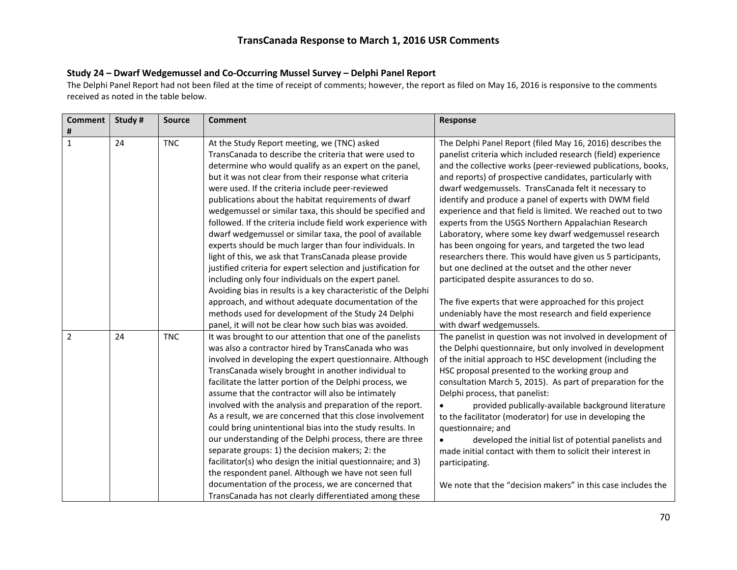#### **Study 24 – Dwarf Wedgemussel and Co-Occurring Mussel Survey – Delphi Panel Report**

The Delphi Panel Report had not been filed at the time of receipt of comments; however, the report as filed on May 16, 2016 is responsive to the comments received as noted in the table below.

| Comment        | Study # | <b>Source</b> | <b>Comment</b>                                                 | <b>Response</b>                                              |
|----------------|---------|---------------|----------------------------------------------------------------|--------------------------------------------------------------|
| #              |         |               |                                                                |                                                              |
| $\mathbf{1}$   | 24      | <b>TNC</b>    | At the Study Report meeting, we (TNC) asked                    | The Delphi Panel Report (filed May 16, 2016) describes the   |
|                |         |               | TransCanada to describe the criteria that were used to         | panelist criteria which included research (field) experience |
|                |         |               | determine who would qualify as an expert on the panel,         | and the collective works (peer-reviewed publications, books, |
|                |         |               | but it was not clear from their response what criteria         | and reports) of prospective candidates, particularly with    |
|                |         |               | were used. If the criteria include peer-reviewed               | dwarf wedgemussels. TransCanada felt it necessary to         |
|                |         |               | publications about the habitat requirements of dwarf           | identify and produce a panel of experts with DWM field       |
|                |         |               | wedgemussel or similar taxa, this should be specified and      | experience and that field is limited. We reached out to two  |
|                |         |               | followed. If the criteria include field work experience with   | experts from the USGS Northern Appalachian Research          |
|                |         |               | dwarf wedgemussel or similar taxa, the pool of available       | Laboratory, where some key dwarf wedgemussel research        |
|                |         |               | experts should be much larger than four individuals. In        | has been ongoing for years, and targeted the two lead        |
|                |         |               | light of this, we ask that TransCanada please provide          | researchers there. This would have given us 5 participants,  |
|                |         |               | justified criteria for expert selection and justification for  | but one declined at the outset and the other never           |
|                |         |               | including only four individuals on the expert panel.           | participated despite assurances to do so.                    |
|                |         |               | Avoiding bias in results is a key characteristic of the Delphi |                                                              |
|                |         |               | approach, and without adequate documentation of the            | The five experts that were approached for this project       |
|                |         |               | methods used for development of the Study 24 Delphi            | undeniably have the most research and field experience       |
|                |         |               | panel, it will not be clear how such bias was avoided.         | with dwarf wedgemussels.                                     |
| $\overline{2}$ | 24      | <b>TNC</b>    | It was brought to our attention that one of the panelists      | The panelist in question was not involved in development of  |
|                |         |               | was also a contractor hired by TransCanada who was             | the Delphi questionnaire, but only involved in development   |
|                |         |               | involved in developing the expert questionnaire. Although      | of the initial approach to HSC development (including the    |
|                |         |               | TransCanada wisely brought in another individual to            | HSC proposal presented to the working group and              |
|                |         |               | facilitate the latter portion of the Delphi process, we        | consultation March 5, 2015). As part of preparation for the  |
|                |         |               | assume that the contractor will also be intimately             | Delphi process, that panelist:                               |
|                |         |               | involved with the analysis and preparation of the report.      | provided publically-available background literature          |
|                |         |               | As a result, we are concerned that this close involvement      | to the facilitator (moderator) for use in developing the     |
|                |         |               | could bring unintentional bias into the study results. In      | questionnaire; and                                           |
|                |         |               | our understanding of the Delphi process, there are three       | developed the initial list of potential panelists and        |
|                |         |               | separate groups: 1) the decision makers; 2: the                | made initial contact with them to solicit their interest in  |
|                |         |               | facilitator(s) who design the initial questionnaire; and 3)    | participating.                                               |
|                |         |               | the respondent panel. Although we have not seen full           |                                                              |
|                |         |               | documentation of the process, we are concerned that            | We note that the "decision makers" in this case includes the |
|                |         |               | TransCanada has not clearly differentiated among these         |                                                              |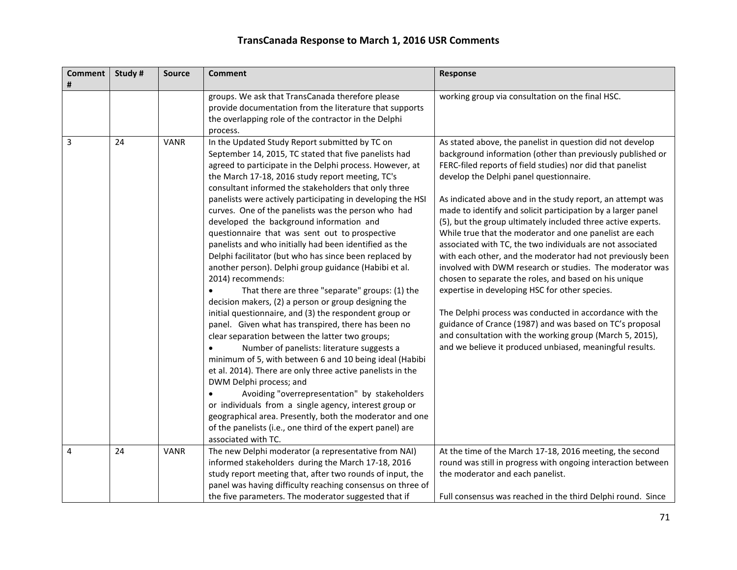| <b>Comment</b><br># | Study # | <b>Source</b> | <b>Comment</b>                                                                                                                                                                                                                                                                                                                                                                                                                                                                                                                                                                                                                                                                                                                                                                                                                                                                                                                                                                                                                                                                                                                                                                                                                                                                                                                                                                                                                                     | Response                                                                                                                                                                                                                                                                                                                                                                                                                                                                                                                                                                                                                                                                                                                                                                                                                                                                                                                                                                                                                                    |
|---------------------|---------|---------------|----------------------------------------------------------------------------------------------------------------------------------------------------------------------------------------------------------------------------------------------------------------------------------------------------------------------------------------------------------------------------------------------------------------------------------------------------------------------------------------------------------------------------------------------------------------------------------------------------------------------------------------------------------------------------------------------------------------------------------------------------------------------------------------------------------------------------------------------------------------------------------------------------------------------------------------------------------------------------------------------------------------------------------------------------------------------------------------------------------------------------------------------------------------------------------------------------------------------------------------------------------------------------------------------------------------------------------------------------------------------------------------------------------------------------------------------------|---------------------------------------------------------------------------------------------------------------------------------------------------------------------------------------------------------------------------------------------------------------------------------------------------------------------------------------------------------------------------------------------------------------------------------------------------------------------------------------------------------------------------------------------------------------------------------------------------------------------------------------------------------------------------------------------------------------------------------------------------------------------------------------------------------------------------------------------------------------------------------------------------------------------------------------------------------------------------------------------------------------------------------------------|
|                     |         |               | groups. We ask that TransCanada therefore please<br>provide documentation from the literature that supports<br>the overlapping role of the contractor in the Delphi<br>process.                                                                                                                                                                                                                                                                                                                                                                                                                                                                                                                                                                                                                                                                                                                                                                                                                                                                                                                                                                                                                                                                                                                                                                                                                                                                    | working group via consultation on the final HSC.                                                                                                                                                                                                                                                                                                                                                                                                                                                                                                                                                                                                                                                                                                                                                                                                                                                                                                                                                                                            |
| 3                   | 24      | <b>VANR</b>   | In the Updated Study Report submitted by TC on<br>September 14, 2015, TC stated that five panelists had<br>agreed to participate in the Delphi process. However, at<br>the March 17-18, 2016 study report meeting, TC's<br>consultant informed the stakeholders that only three<br>panelists were actively participating in developing the HSI<br>curves. One of the panelists was the person who had<br>developed the background information and<br>questionnaire that was sent out to prospective<br>panelists and who initially had been identified as the<br>Delphi facilitator (but who has since been replaced by<br>another person). Delphi group guidance (Habibi et al.<br>2014) recommends:<br>That there are three "separate" groups: (1) the<br>decision makers, (2) a person or group designing the<br>initial questionnaire, and (3) the respondent group or<br>panel. Given what has transpired, there has been no<br>clear separation between the latter two groups;<br>Number of panelists: literature suggests a<br>minimum of 5, with between 6 and 10 being ideal (Habibi<br>et al. 2014). There are only three active panelists in the<br>DWM Delphi process; and<br>Avoiding "overrepresentation" by stakeholders<br>or individuals from a single agency, interest group or<br>geographical area. Presently, both the moderator and one<br>of the panelists (i.e., one third of the expert panel) are<br>associated with TC. | As stated above, the panelist in question did not develop<br>background information (other than previously published or<br>FERC-filed reports of field studies) nor did that panelist<br>develop the Delphi panel questionnaire.<br>As indicated above and in the study report, an attempt was<br>made to identify and solicit participation by a larger panel<br>(5), but the group ultimately included three active experts.<br>While true that the moderator and one panelist are each<br>associated with TC, the two individuals are not associated<br>with each other, and the moderator had not previously been<br>involved with DWM research or studies. The moderator was<br>chosen to separate the roles, and based on his unique<br>expertise in developing HSC for other species.<br>The Delphi process was conducted in accordance with the<br>guidance of Crance (1987) and was based on TC's proposal<br>and consultation with the working group (March 5, 2015),<br>and we believe it produced unbiased, meaningful results. |
| 4                   | 24      | <b>VANR</b>   | The new Delphi moderator (a representative from NAI)<br>informed stakeholders during the March 17-18, 2016<br>study report meeting that, after two rounds of input, the<br>panel was having difficulty reaching consensus on three of<br>the five parameters. The moderator suggested that if                                                                                                                                                                                                                                                                                                                                                                                                                                                                                                                                                                                                                                                                                                                                                                                                                                                                                                                                                                                                                                                                                                                                                      | At the time of the March 17-18, 2016 meeting, the second<br>round was still in progress with ongoing interaction between<br>the moderator and each panelist.<br>Full consensus was reached in the third Delphi round. Since                                                                                                                                                                                                                                                                                                                                                                                                                                                                                                                                                                                                                                                                                                                                                                                                                 |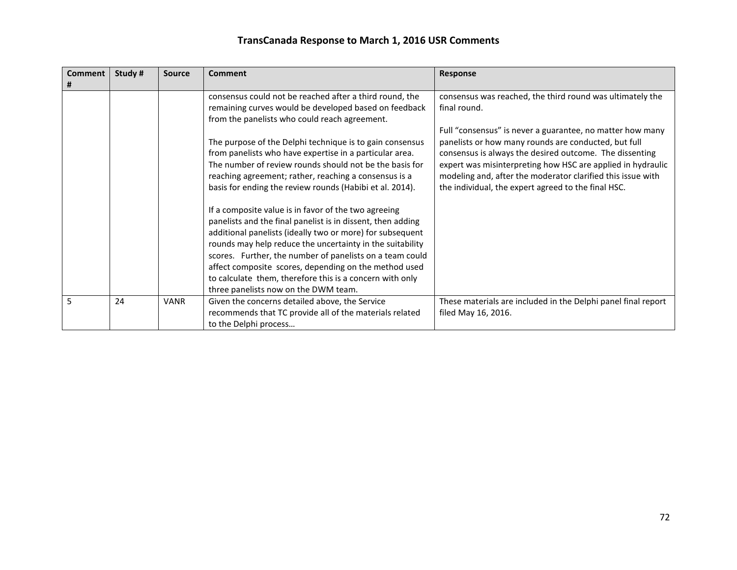| <b>Comment</b> | Study # | <b>Source</b> | Comment                                                                                                                                                                                                                                                                                                                                                                                                                                                                | Response                                                                                                                                                                                                                                                                                                                                                          |
|----------------|---------|---------------|------------------------------------------------------------------------------------------------------------------------------------------------------------------------------------------------------------------------------------------------------------------------------------------------------------------------------------------------------------------------------------------------------------------------------------------------------------------------|-------------------------------------------------------------------------------------------------------------------------------------------------------------------------------------------------------------------------------------------------------------------------------------------------------------------------------------------------------------------|
|                |         |               | consensus could not be reached after a third round, the<br>remaining curves would be developed based on feedback<br>from the panelists who could reach agreement.                                                                                                                                                                                                                                                                                                      | consensus was reached, the third round was ultimately the<br>final round.                                                                                                                                                                                                                                                                                         |
|                |         |               | The purpose of the Delphi technique is to gain consensus<br>from panelists who have expertise in a particular area.<br>The number of review rounds should not be the basis for<br>reaching agreement; rather, reaching a consensus is a<br>basis for ending the review rounds (Habibi et al. 2014).                                                                                                                                                                    | Full "consensus" is never a guarantee, no matter how many<br>panelists or how many rounds are conducted, but full<br>consensus is always the desired outcome. The dissenting<br>expert was misinterpreting how HSC are applied in hydraulic<br>modeling and, after the moderator clarified this issue with<br>the individual, the expert agreed to the final HSC. |
|                |         |               | If a composite value is in favor of the two agreeing<br>panelists and the final panelist is in dissent, then adding<br>additional panelists (ideally two or more) for subsequent<br>rounds may help reduce the uncertainty in the suitability<br>scores. Further, the number of panelists on a team could<br>affect composite scores, depending on the method used<br>to calculate them, therefore this is a concern with only<br>three panelists now on the DWM team. |                                                                                                                                                                                                                                                                                                                                                                   |
| 5              | 24      | <b>VANR</b>   | Given the concerns detailed above, the Service<br>recommends that TC provide all of the materials related<br>to the Delphi process                                                                                                                                                                                                                                                                                                                                     | These materials are included in the Delphi panel final report<br>filed May 16, 2016.                                                                                                                                                                                                                                                                              |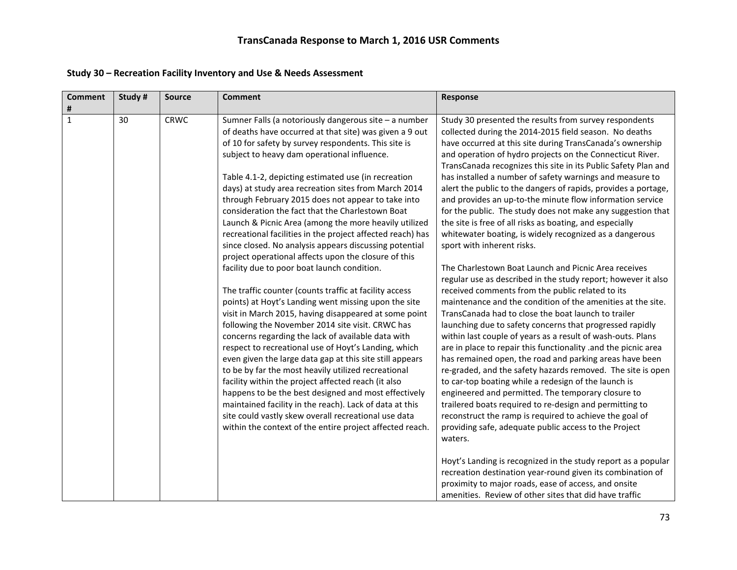| <b>Comment</b><br># | Study # | <b>Source</b> | <b>Comment</b>                                                                                                                                                                                                                                                                                                                                                                                                                                                                                                                                                                                                                                                                                 | Response                                                                                                                                                                                                                                                                                                                                                                                                                                                                                                                                                                                                                                                                                                                          |
|---------------------|---------|---------------|------------------------------------------------------------------------------------------------------------------------------------------------------------------------------------------------------------------------------------------------------------------------------------------------------------------------------------------------------------------------------------------------------------------------------------------------------------------------------------------------------------------------------------------------------------------------------------------------------------------------------------------------------------------------------------------------|-----------------------------------------------------------------------------------------------------------------------------------------------------------------------------------------------------------------------------------------------------------------------------------------------------------------------------------------------------------------------------------------------------------------------------------------------------------------------------------------------------------------------------------------------------------------------------------------------------------------------------------------------------------------------------------------------------------------------------------|
| $\mathbf{1}$        | 30      | <b>CRWC</b>   | Sumner Falls (a notoriously dangerous site - a number<br>of deaths have occurred at that site) was given a 9 out<br>of 10 for safety by survey respondents. This site is<br>subject to heavy dam operational influence.                                                                                                                                                                                                                                                                                                                                                                                                                                                                        | Study 30 presented the results from survey respondents<br>collected during the 2014-2015 field season. No deaths<br>have occurred at this site during TransCanada's ownership<br>and operation of hydro projects on the Connecticut River.<br>TransCanada recognizes this site in its Public Safety Plan and                                                                                                                                                                                                                                                                                                                                                                                                                      |
|                     |         |               | Table 4.1-2, depicting estimated use (in recreation<br>days) at study area recreation sites from March 2014<br>through February 2015 does not appear to take into<br>consideration the fact that the Charlestown Boat<br>Launch & Picnic Area (among the more heavily utilized<br>recreational facilities in the project affected reach) has<br>since closed. No analysis appears discussing potential                                                                                                                                                                                                                                                                                         | has installed a number of safety warnings and measure to<br>alert the public to the dangers of rapids, provides a portage,<br>and provides an up-to-the minute flow information service<br>for the public. The study does not make any suggestion that<br>the site is free of all risks as boating, and especially<br>whitewater boating, is widely recognized as a dangerous<br>sport with inherent risks.                                                                                                                                                                                                                                                                                                                       |
|                     |         |               | project operational affects upon the closure of this<br>facility due to poor boat launch condition.                                                                                                                                                                                                                                                                                                                                                                                                                                                                                                                                                                                            | The Charlestown Boat Launch and Picnic Area receives<br>regular use as described in the study report; however it also                                                                                                                                                                                                                                                                                                                                                                                                                                                                                                                                                                                                             |
|                     |         |               | The traffic counter (counts traffic at facility access<br>points) at Hoyt's Landing went missing upon the site<br>visit in March 2015, having disappeared at some point<br>following the November 2014 site visit. CRWC has<br>concerns regarding the lack of available data with<br>respect to recreational use of Hoyt's Landing, which<br>even given the large data gap at this site still appears<br>to be by far the most heavily utilized recreational<br>facility within the project affected reach (it also<br>happens to be the best designed and most effectively<br>maintained facility in the reach). Lack of data at this<br>site could vastly skew overall recreational use data | received comments from the public related to its<br>maintenance and the condition of the amenities at the site.<br>TransCanada had to close the boat launch to trailer<br>launching due to safety concerns that progressed rapidly<br>within last couple of years as a result of wash-outs. Plans<br>are in place to repair this functionality .and the picnic area<br>has remained open, the road and parking areas have been<br>re-graded, and the safety hazards removed. The site is open<br>to car-top boating while a redesign of the launch is<br>engineered and permitted. The temporary closure to<br>trailered boats required to re-design and permitting to<br>reconstruct the ramp is required to achieve the goal of |
|                     |         |               | within the context of the entire project affected reach.                                                                                                                                                                                                                                                                                                                                                                                                                                                                                                                                                                                                                                       | providing safe, adequate public access to the Project<br>waters.<br>Hoyt's Landing is recognized in the study report as a popular<br>recreation destination year-round given its combination of<br>proximity to major roads, ease of access, and onsite<br>amenities. Review of other sites that did have traffic                                                                                                                                                                                                                                                                                                                                                                                                                 |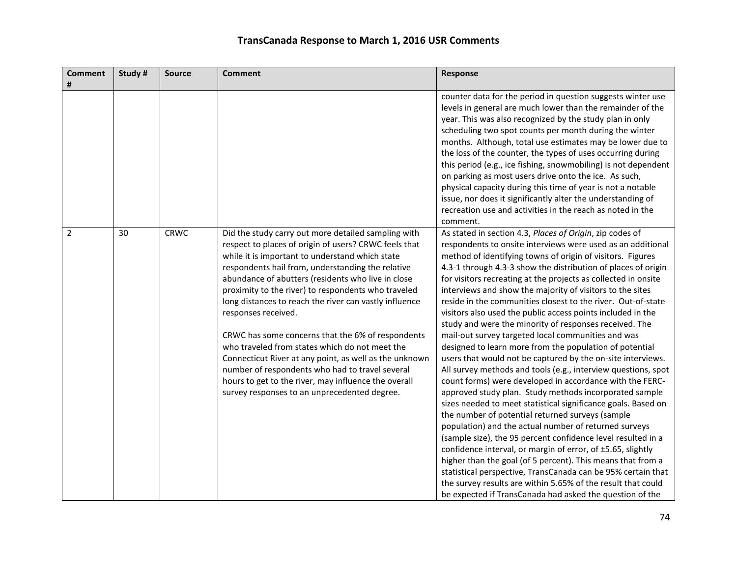| <b>Comment</b> | Study # | <b>Source</b> | <b>Comment</b>                                                                                            | Response                                                                                                                     |
|----------------|---------|---------------|-----------------------------------------------------------------------------------------------------------|------------------------------------------------------------------------------------------------------------------------------|
| #              |         |               |                                                                                                           |                                                                                                                              |
|                |         |               |                                                                                                           | counter data for the period in question suggests winter use<br>levels in general are much lower than the remainder of the    |
|                |         |               |                                                                                                           | year. This was also recognized by the study plan in only                                                                     |
|                |         |               |                                                                                                           | scheduling two spot counts per month during the winter                                                                       |
|                |         |               |                                                                                                           | months. Although, total use estimates may be lower due to                                                                    |
|                |         |               |                                                                                                           | the loss of the counter, the types of uses occurring during                                                                  |
|                |         |               |                                                                                                           | this period (e.g., ice fishing, snowmobiling) is not dependent                                                               |
|                |         |               |                                                                                                           | on parking as most users drive onto the ice. As such,                                                                        |
|                |         |               |                                                                                                           | physical capacity during this time of year is not a notable                                                                  |
|                |         |               |                                                                                                           | issue, nor does it significantly alter the understanding of                                                                  |
|                |         |               |                                                                                                           | recreation use and activities in the reach as noted in the                                                                   |
|                |         |               |                                                                                                           | comment.                                                                                                                     |
| $\overline{2}$ | 30      | <b>CRWC</b>   | Did the study carry out more detailed sampling with                                                       | As stated in section 4.3, Places of Origin, zip codes of                                                                     |
|                |         |               | respect to places of origin of users? CRWC feels that                                                     | respondents to onsite interviews were used as an additional                                                                  |
|                |         |               | while it is important to understand which state                                                           | method of identifying towns of origin of visitors. Figures                                                                   |
|                |         |               | respondents hail from, understanding the relative                                                         | 4.3-1 through 4.3-3 show the distribution of places of origin                                                                |
|                |         |               | abundance of abutters (residents who live in close                                                        | for visitors recreating at the projects as collected in onsite                                                               |
|                |         |               | proximity to the river) to respondents who traveled                                                       | interviews and show the majority of visitors to the sites                                                                    |
|                |         |               | long distances to reach the river can vastly influence                                                    | reside in the communities closest to the river. Out-of-state                                                                 |
|                |         |               | responses received.                                                                                       | visitors also used the public access points included in the                                                                  |
|                |         |               |                                                                                                           | study and were the minority of responses received. The                                                                       |
|                |         |               | CRWC has some concerns that the 6% of respondents                                                         | mail-out survey targeted local communities and was                                                                           |
|                |         |               | who traveled from states which do not meet the                                                            | designed to learn more from the population of potential                                                                      |
|                |         |               | Connecticut River at any point, as well as the unknown<br>number of respondents who had to travel several | users that would not be captured by the on-site interviews.<br>All survey methods and tools (e.g., interview questions, spot |
|                |         |               | hours to get to the river, may influence the overall                                                      | count forms) were developed in accordance with the FERC-                                                                     |
|                |         |               | survey responses to an unprecedented degree.                                                              | approved study plan. Study methods incorporated sample                                                                       |
|                |         |               |                                                                                                           | sizes needed to meet statistical significance goals. Based on                                                                |
|                |         |               |                                                                                                           | the number of potential returned surveys (sample                                                                             |
|                |         |               |                                                                                                           | population) and the actual number of returned surveys                                                                        |
|                |         |               |                                                                                                           | (sample size), the 95 percent confidence level resulted in a                                                                 |
|                |         |               |                                                                                                           | confidence interval, or margin of error, of ±5.65, slightly                                                                  |
|                |         |               |                                                                                                           | higher than the goal (of 5 percent). This means that from a                                                                  |
|                |         |               |                                                                                                           | statistical perspective, TransCanada can be 95% certain that                                                                 |
|                |         |               |                                                                                                           | the survey results are within 5.65% of the result that could                                                                 |
|                |         |               |                                                                                                           | be expected if TransCanada had asked the question of the                                                                     |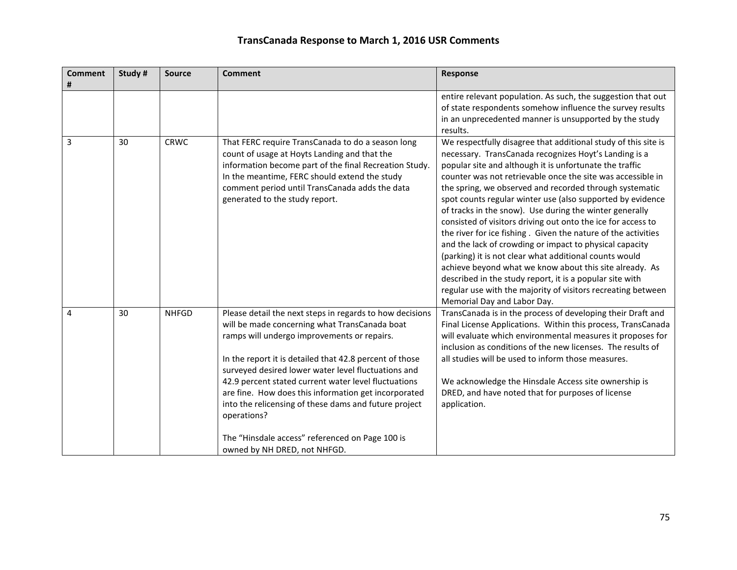| <b>Comment</b><br># | Study# | <b>Source</b> | <b>Comment</b>                                                                                                                                                                                                                                                                                                                                                                                                                                                                                                                                        | Response                                                                                                                                                                                                                                                                                                                                                                                                                                                                                                                                                                                                                                                                                                                                                                                                                                                                                                          |
|---------------------|--------|---------------|-------------------------------------------------------------------------------------------------------------------------------------------------------------------------------------------------------------------------------------------------------------------------------------------------------------------------------------------------------------------------------------------------------------------------------------------------------------------------------------------------------------------------------------------------------|-------------------------------------------------------------------------------------------------------------------------------------------------------------------------------------------------------------------------------------------------------------------------------------------------------------------------------------------------------------------------------------------------------------------------------------------------------------------------------------------------------------------------------------------------------------------------------------------------------------------------------------------------------------------------------------------------------------------------------------------------------------------------------------------------------------------------------------------------------------------------------------------------------------------|
|                     |        |               |                                                                                                                                                                                                                                                                                                                                                                                                                                                                                                                                                       | entire relevant population. As such, the suggestion that out<br>of state respondents somehow influence the survey results<br>in an unprecedented manner is unsupported by the study<br>results.                                                                                                                                                                                                                                                                                                                                                                                                                                                                                                                                                                                                                                                                                                                   |
| 3                   | 30     | <b>CRWC</b>   | That FERC require TransCanada to do a season long<br>count of usage at Hoyts Landing and that the<br>information become part of the final Recreation Study.<br>In the meantime, FERC should extend the study<br>comment period until TransCanada adds the data<br>generated to the study report.                                                                                                                                                                                                                                                      | We respectfully disagree that additional study of this site is<br>necessary. TransCanada recognizes Hoyt's Landing is a<br>popular site and although it is unfortunate the traffic<br>counter was not retrievable once the site was accessible in<br>the spring, we observed and recorded through systematic<br>spot counts regular winter use (also supported by evidence<br>of tracks in the snow). Use during the winter generally<br>consisted of visitors driving out onto the ice for access to<br>the river for ice fishing. Given the nature of the activities<br>and the lack of crowding or impact to physical capacity<br>(parking) it is not clear what additional counts would<br>achieve beyond what we know about this site already. As<br>described in the study report, it is a popular site with<br>regular use with the majority of visitors recreating between<br>Memorial Day and Labor Day. |
| 4                   | 30     | <b>NHFGD</b>  | Please detail the next steps in regards to how decisions<br>will be made concerning what TransCanada boat<br>ramps will undergo improvements or repairs.<br>In the report it is detailed that 42.8 percent of those<br>surveyed desired lower water level fluctuations and<br>42.9 percent stated current water level fluctuations<br>are fine. How does this information get incorporated<br>into the relicensing of these dams and future project<br>operations?<br>The "Hinsdale access" referenced on Page 100 is<br>owned by NH DRED, not NHFGD. | TransCanada is in the process of developing their Draft and<br>Final License Applications. Within this process, TransCanada<br>will evaluate which environmental measures it proposes for<br>inclusion as conditions of the new licenses. The results of<br>all studies will be used to inform those measures.<br>We acknowledge the Hinsdale Access site ownership is<br>DRED, and have noted that for purposes of license<br>application.                                                                                                                                                                                                                                                                                                                                                                                                                                                                       |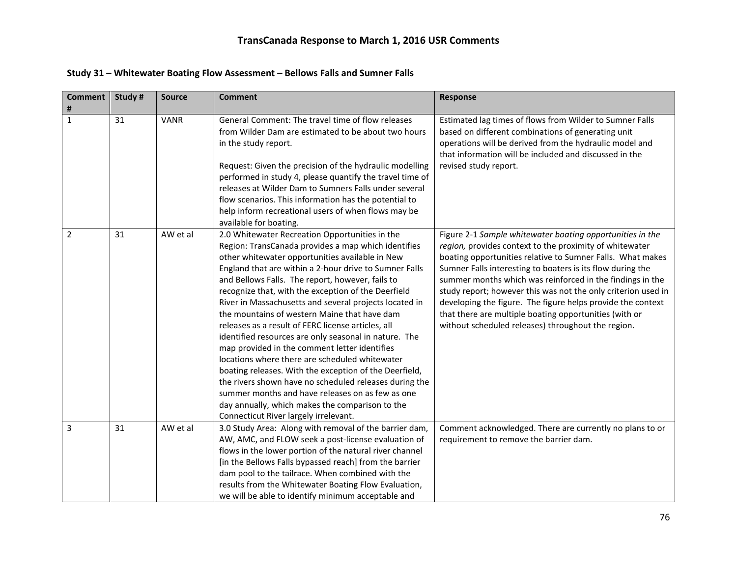| <b>Comment</b> | Study # | <b>Source</b> | <b>Comment</b>                                                                                                    | Response                                                                                                      |
|----------------|---------|---------------|-------------------------------------------------------------------------------------------------------------------|---------------------------------------------------------------------------------------------------------------|
| #              |         |               |                                                                                                                   |                                                                                                               |
| $\mathbf{1}$   | 31      | <b>VANR</b>   | General Comment: The travel time of flow releases<br>from Wilder Dam are estimated to be about two hours          | Estimated lag times of flows from Wilder to Sumner Falls                                                      |
|                |         |               |                                                                                                                   | based on different combinations of generating unit<br>operations will be derived from the hydraulic model and |
|                |         |               | in the study report.                                                                                              | that information will be included and discussed in the                                                        |
|                |         |               | Request: Given the precision of the hydraulic modelling                                                           | revised study report.                                                                                         |
|                |         |               | performed in study 4, please quantify the travel time of                                                          |                                                                                                               |
|                |         |               | releases at Wilder Dam to Sumners Falls under several                                                             |                                                                                                               |
|                |         |               | flow scenarios. This information has the potential to                                                             |                                                                                                               |
|                |         |               | help inform recreational users of when flows may be                                                               |                                                                                                               |
|                |         |               | available for boating.                                                                                            |                                                                                                               |
| $\overline{2}$ | 31      | AW et al      | 2.0 Whitewater Recreation Opportunities in the                                                                    | Figure 2-1 Sample whitewater boating opportunities in the                                                     |
|                |         |               | Region: TransCanada provides a map which identifies                                                               | region, provides context to the proximity of whitewater                                                       |
|                |         |               | other whitewater opportunities available in New                                                                   | boating opportunities relative to Sumner Falls. What makes                                                    |
|                |         |               | England that are within a 2-hour drive to Sumner Falls                                                            | Sumner Falls interesting to boaters is its flow during the                                                    |
|                |         |               | and Bellows Falls. The report, however, fails to                                                                  | summer months which was reinforced in the findings in the                                                     |
|                |         |               | recognize that, with the exception of the Deerfield                                                               | study report; however this was not the only criterion used in                                                 |
|                |         |               | River in Massachusetts and several projects located in                                                            | developing the figure. The figure helps provide the context                                                   |
|                |         |               | the mountains of western Maine that have dam                                                                      | that there are multiple boating opportunities (with or                                                        |
|                |         |               | releases as a result of FERC license articles, all                                                                | without scheduled releases) throughout the region.                                                            |
|                |         |               | identified resources are only seasonal in nature. The                                                             |                                                                                                               |
|                |         |               | map provided in the comment letter identifies                                                                     |                                                                                                               |
|                |         |               | locations where there are scheduled whitewater                                                                    |                                                                                                               |
|                |         |               | boating releases. With the exception of the Deerfield,                                                            |                                                                                                               |
|                |         |               | the rivers shown have no scheduled releases during the                                                            |                                                                                                               |
|                |         |               | summer months and have releases on as few as one                                                                  |                                                                                                               |
|                |         |               | day annually, which makes the comparison to the                                                                   |                                                                                                               |
|                |         |               | Connecticut River largely irrelevant.                                                                             |                                                                                                               |
| 3              | 31      | AW et al      | 3.0 Study Area: Along with removal of the barrier dam,                                                            | Comment acknowledged. There are currently no plans to or                                                      |
|                |         |               | AW, AMC, and FLOW seek a post-license evaluation of                                                               | requirement to remove the barrier dam.                                                                        |
|                |         |               | flows in the lower portion of the natural river channel<br>[in the Bellows Falls bypassed reach] from the barrier |                                                                                                               |
|                |         |               | dam pool to the tailrace. When combined with the                                                                  |                                                                                                               |
|                |         |               | results from the Whitewater Boating Flow Evaluation,                                                              |                                                                                                               |
|                |         |               | we will be able to identify minimum acceptable and                                                                |                                                                                                               |
|                |         |               |                                                                                                                   |                                                                                                               |

#### **Study 31 – Whitewater Boating Flow Assessment – Bellows Falls and Sumner Falls**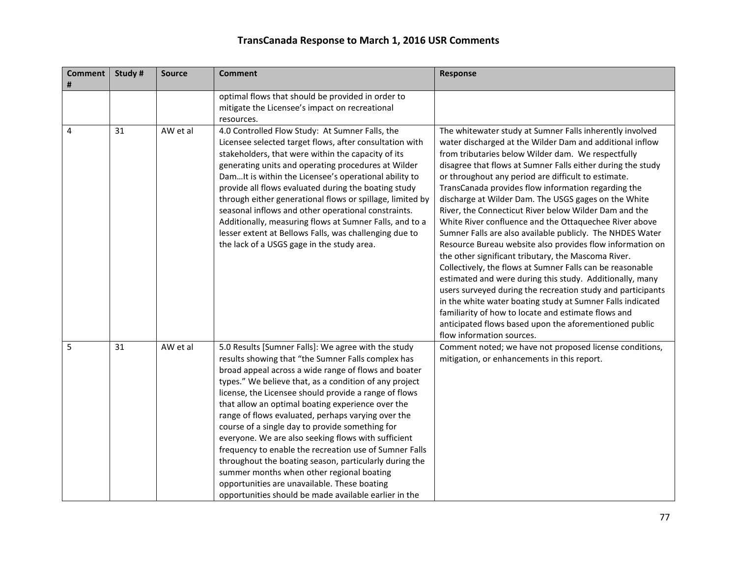| <b>Comment</b><br># | Study # | <b>Source</b> | <b>Comment</b>                                                                                                                                                                                                                                                                                                                                                                                                                                                                                                                                                                                                                                                                                                                                                                      | <b>Response</b>                                                                                                                                                                                                                                                                                                                                                                                                                                                                                                                                                                                                                                                                                                                                                                                                                                                                                                                                                                                                                                                                                                         |
|---------------------|---------|---------------|-------------------------------------------------------------------------------------------------------------------------------------------------------------------------------------------------------------------------------------------------------------------------------------------------------------------------------------------------------------------------------------------------------------------------------------------------------------------------------------------------------------------------------------------------------------------------------------------------------------------------------------------------------------------------------------------------------------------------------------------------------------------------------------|-------------------------------------------------------------------------------------------------------------------------------------------------------------------------------------------------------------------------------------------------------------------------------------------------------------------------------------------------------------------------------------------------------------------------------------------------------------------------------------------------------------------------------------------------------------------------------------------------------------------------------------------------------------------------------------------------------------------------------------------------------------------------------------------------------------------------------------------------------------------------------------------------------------------------------------------------------------------------------------------------------------------------------------------------------------------------------------------------------------------------|
|                     |         |               | optimal flows that should be provided in order to<br>mitigate the Licensee's impact on recreational<br>resources.                                                                                                                                                                                                                                                                                                                                                                                                                                                                                                                                                                                                                                                                   |                                                                                                                                                                                                                                                                                                                                                                                                                                                                                                                                                                                                                                                                                                                                                                                                                                                                                                                                                                                                                                                                                                                         |
| 4                   | 31      | AW et al      | 4.0 Controlled Flow Study: At Sumner Falls, the<br>Licensee selected target flows, after consultation with<br>stakeholders, that were within the capacity of its<br>generating units and operating procedures at Wilder<br>DamIt is within the Licensee's operational ability to<br>provide all flows evaluated during the boating study<br>through either generational flows or spillage, limited by<br>seasonal inflows and other operational constraints.<br>Additionally, measuring flows at Sumner Falls, and to a<br>lesser extent at Bellows Falls, was challenging due to<br>the lack of a USGS gage in the study area.                                                                                                                                                     | The whitewater study at Sumner Falls inherently involved<br>water discharged at the Wilder Dam and additional inflow<br>from tributaries below Wilder dam. We respectfully<br>disagree that flows at Sumner Falls either during the study<br>or throughout any period are difficult to estimate.<br>TransCanada provides flow information regarding the<br>discharge at Wilder Dam. The USGS gages on the White<br>River, the Connecticut River below Wilder Dam and the<br>White River confluence and the Ottaquechee River above<br>Sumner Falls are also available publicly. The NHDES Water<br>Resource Bureau website also provides flow information on<br>the other significant tributary, the Mascoma River.<br>Collectively, the flows at Sumner Falls can be reasonable<br>estimated and were during this study. Additionally, many<br>users surveyed during the recreation study and participants<br>in the white water boating study at Sumner Falls indicated<br>familiarity of how to locate and estimate flows and<br>anticipated flows based upon the aforementioned public<br>flow information sources. |
| 5                   | 31      | AW et al      | 5.0 Results [Sumner Falls]: We agree with the study<br>results showing that "the Sumner Falls complex has<br>broad appeal across a wide range of flows and boater<br>types." We believe that, as a condition of any project<br>license, the Licensee should provide a range of flows<br>that allow an optimal boating experience over the<br>range of flows evaluated, perhaps varying over the<br>course of a single day to provide something for<br>everyone. We are also seeking flows with sufficient<br>frequency to enable the recreation use of Sumner Falls<br>throughout the boating season, particularly during the<br>summer months when other regional boating<br>opportunities are unavailable. These boating<br>opportunities should be made available earlier in the | Comment noted; we have not proposed license conditions,<br>mitigation, or enhancements in this report.                                                                                                                                                                                                                                                                                                                                                                                                                                                                                                                                                                                                                                                                                                                                                                                                                                                                                                                                                                                                                  |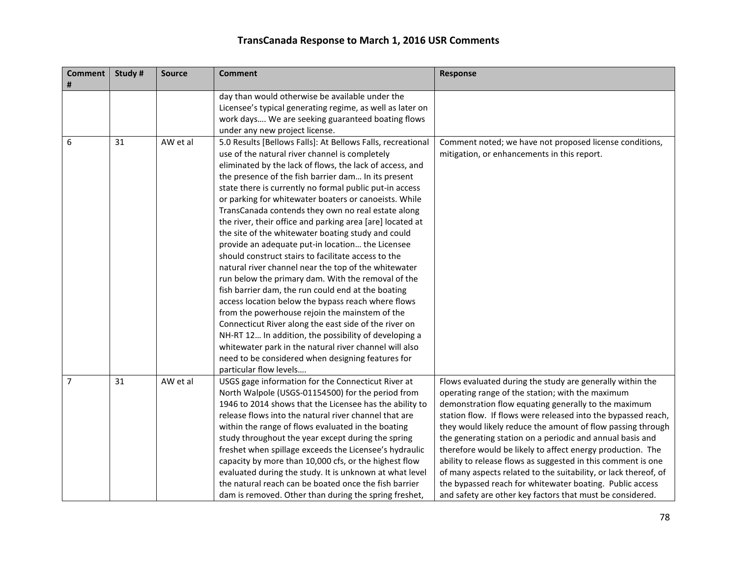| <b>Comment</b><br># | Study # | <b>Source</b> | <b>Comment</b>                                                                                               | <b>Response</b>                                                                                                       |
|---------------------|---------|---------------|--------------------------------------------------------------------------------------------------------------|-----------------------------------------------------------------------------------------------------------------------|
|                     |         |               | day than would otherwise be available under the<br>Licensee's typical generating regime, as well as later on |                                                                                                                       |
|                     |         |               | work days We are seeking guaranteed boating flows                                                            |                                                                                                                       |
|                     |         |               | under any new project license.                                                                               |                                                                                                                       |
| 6                   | 31      | AW et al      | 5.0 Results [Bellows Falls]: At Bellows Falls, recreational                                                  | Comment noted; we have not proposed license conditions,                                                               |
|                     |         |               | use of the natural river channel is completely                                                               | mitigation, or enhancements in this report.                                                                           |
|                     |         |               | eliminated by the lack of flows, the lack of access, and                                                     |                                                                                                                       |
|                     |         |               | the presence of the fish barrier dam In its present                                                          |                                                                                                                       |
|                     |         |               | state there is currently no formal public put-in access                                                      |                                                                                                                       |
|                     |         |               | or parking for whitewater boaters or canoeists. While                                                        |                                                                                                                       |
|                     |         |               | TransCanada contends they own no real estate along                                                           |                                                                                                                       |
|                     |         |               | the river, their office and parking area [are] located at                                                    |                                                                                                                       |
|                     |         |               | the site of the whitewater boating study and could                                                           |                                                                                                                       |
|                     |         |               | provide an adequate put-in location the Licensee                                                             |                                                                                                                       |
|                     |         |               | should construct stairs to facilitate access to the                                                          |                                                                                                                       |
|                     |         |               | natural river channel near the top of the whitewater                                                         |                                                                                                                       |
|                     |         |               | run below the primary dam. With the removal of the                                                           |                                                                                                                       |
|                     |         |               | fish barrier dam, the run could end at the boating                                                           |                                                                                                                       |
|                     |         |               | access location below the bypass reach where flows                                                           |                                                                                                                       |
|                     |         |               | from the powerhouse rejoin the mainstem of the                                                               |                                                                                                                       |
|                     |         |               | Connecticut River along the east side of the river on                                                        |                                                                                                                       |
|                     |         |               | NH-RT 12 In addition, the possibility of developing a                                                        |                                                                                                                       |
|                     |         |               | whitewater park in the natural river channel will also                                                       |                                                                                                                       |
|                     |         |               | need to be considered when designing features for                                                            |                                                                                                                       |
|                     |         |               | particular flow levels                                                                                       |                                                                                                                       |
| $\overline{7}$      | 31      | AW et al      | USGS gage information for the Connecticut River at                                                           | Flows evaluated during the study are generally within the                                                             |
|                     |         |               | North Walpole (USGS-01154500) for the period from<br>1946 to 2014 shows that the Licensee has the ability to | operating range of the station; with the maximum                                                                      |
|                     |         |               | release flows into the natural river channel that are                                                        | demonstration flow equating generally to the maximum<br>station flow. If flows were released into the bypassed reach, |
|                     |         |               | within the range of flows evaluated in the boating                                                           | they would likely reduce the amount of flow passing through                                                           |
|                     |         |               | study throughout the year except during the spring                                                           | the generating station on a periodic and annual basis and                                                             |
|                     |         |               | freshet when spillage exceeds the Licensee's hydraulic                                                       | therefore would be likely to affect energy production. The                                                            |
|                     |         |               | capacity by more than 10,000 cfs, or the highest flow                                                        | ability to release flows as suggested in this comment is one                                                          |
|                     |         |               | evaluated during the study. It is unknown at what level                                                      | of many aspects related to the suitability, or lack thereof, of                                                       |
|                     |         |               | the natural reach can be boated once the fish barrier                                                        | the bypassed reach for whitewater boating. Public access                                                              |
|                     |         |               | dam is removed. Other than during the spring freshet,                                                        | and safety are other key factors that must be considered.                                                             |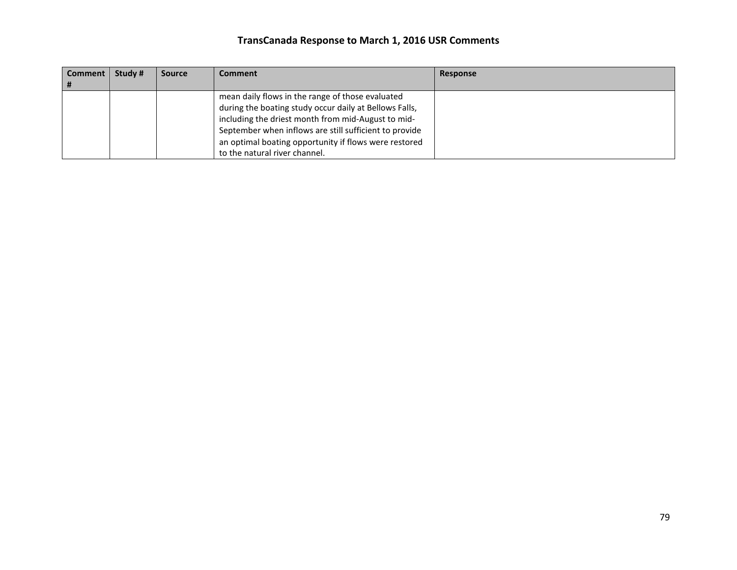| Comment | Study # | <b>Source</b> | <b>Comment</b>                                         | Response |
|---------|---------|---------------|--------------------------------------------------------|----------|
|         |         |               |                                                        |          |
|         |         |               | mean daily flows in the range of those evaluated       |          |
|         |         |               | during the boating study occur daily at Bellows Falls, |          |
|         |         |               | including the driest month from mid-August to mid-     |          |
|         |         |               | September when inflows are still sufficient to provide |          |
|         |         |               | an optimal boating opportunity if flows were restored  |          |
|         |         |               | to the natural river channel.                          |          |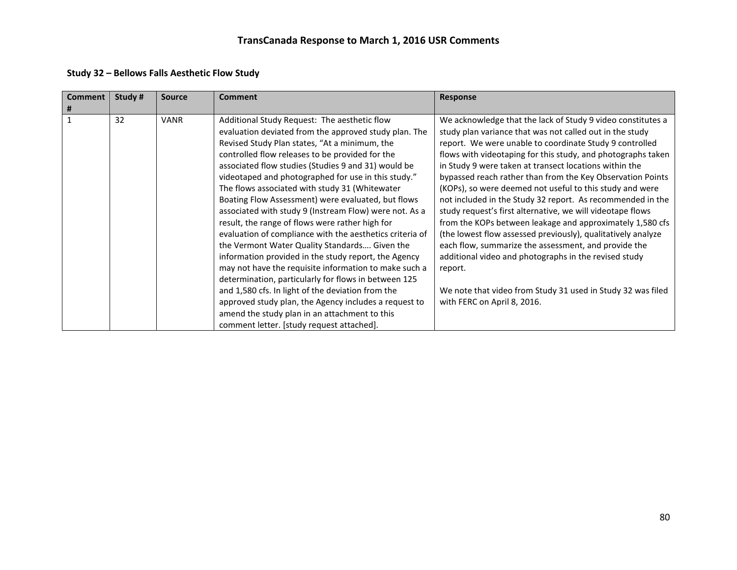| <b>Comment</b><br># | Study # | <b>Source</b> | Comment                                                                                                                                                                                                                                                                                                                                                                                                                                                                                                                                                                                                                                                                                                                                                                                                                                                                                                                                                                                                                                        | <b>Response</b>                                                                                                                                                                                                                                                                                                                                                                                                                                                                                                                                                                                                                                                                                                                                                                                                                                                                                                           |
|---------------------|---------|---------------|------------------------------------------------------------------------------------------------------------------------------------------------------------------------------------------------------------------------------------------------------------------------------------------------------------------------------------------------------------------------------------------------------------------------------------------------------------------------------------------------------------------------------------------------------------------------------------------------------------------------------------------------------------------------------------------------------------------------------------------------------------------------------------------------------------------------------------------------------------------------------------------------------------------------------------------------------------------------------------------------------------------------------------------------|---------------------------------------------------------------------------------------------------------------------------------------------------------------------------------------------------------------------------------------------------------------------------------------------------------------------------------------------------------------------------------------------------------------------------------------------------------------------------------------------------------------------------------------------------------------------------------------------------------------------------------------------------------------------------------------------------------------------------------------------------------------------------------------------------------------------------------------------------------------------------------------------------------------------------|
| $\mathbf{1}$        | 32      | <b>VANR</b>   | Additional Study Request: The aesthetic flow<br>evaluation deviated from the approved study plan. The<br>Revised Study Plan states, "At a minimum, the<br>controlled flow releases to be provided for the<br>associated flow studies (Studies 9 and 31) would be<br>videotaped and photographed for use in this study."<br>The flows associated with study 31 (Whitewater<br>Boating Flow Assessment) were evaluated, but flows<br>associated with study 9 (Instream Flow) were not. As a<br>result, the range of flows were rather high for<br>evaluation of compliance with the aesthetics criteria of<br>the Vermont Water Quality Standards Given the<br>information provided in the study report, the Agency<br>may not have the requisite information to make such a<br>determination, particularly for flows in between 125<br>and 1,580 cfs. In light of the deviation from the<br>approved study plan, the Agency includes a request to<br>amend the study plan in an attachment to this<br>comment letter. [study request attached]. | We acknowledge that the lack of Study 9 video constitutes a<br>study plan variance that was not called out in the study<br>report. We were unable to coordinate Study 9 controlled<br>flows with videotaping for this study, and photographs taken<br>in Study 9 were taken at transect locations within the<br>bypassed reach rather than from the Key Observation Points<br>(KOPs), so were deemed not useful to this study and were<br>not included in the Study 32 report. As recommended in the<br>study request's first alternative, we will videotape flows<br>from the KOPs between leakage and approximately 1,580 cfs<br>(the lowest flow assessed previously), qualitatively analyze<br>each flow, summarize the assessment, and provide the<br>additional video and photographs in the revised study<br>report.<br>We note that video from Study 31 used in Study 32 was filed<br>with FERC on April 8, 2016. |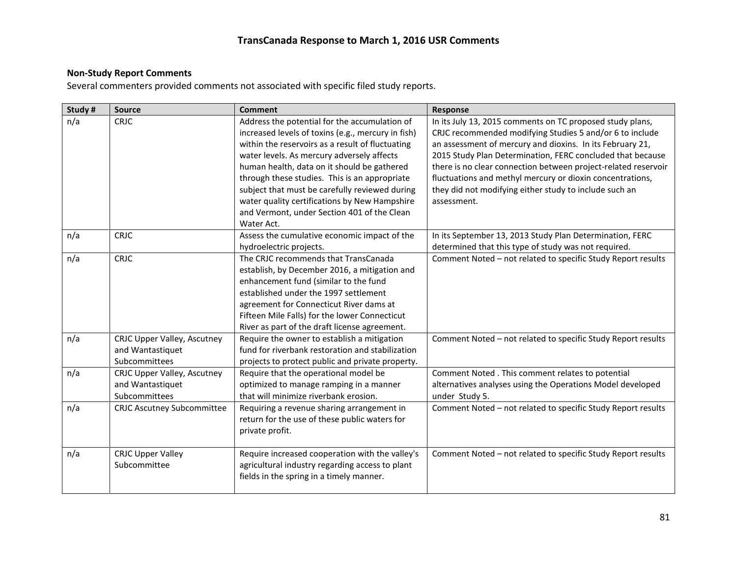#### **Non-Study Report Comments**

Several commenters provided comments not associated with specific filed study reports.

| Study # | <b>Source</b>                                                    | <b>Comment</b>                                                                                                                                                                                                                                                                                                                                                                                                                                                        | Response                                                                                                                                                                                                                                                                                                                                                                                                                                                 |
|---------|------------------------------------------------------------------|-----------------------------------------------------------------------------------------------------------------------------------------------------------------------------------------------------------------------------------------------------------------------------------------------------------------------------------------------------------------------------------------------------------------------------------------------------------------------|----------------------------------------------------------------------------------------------------------------------------------------------------------------------------------------------------------------------------------------------------------------------------------------------------------------------------------------------------------------------------------------------------------------------------------------------------------|
| n/a     | <b>CRJC</b>                                                      | Address the potential for the accumulation of<br>increased levels of toxins (e.g., mercury in fish)<br>within the reservoirs as a result of fluctuating<br>water levels. As mercury adversely affects<br>human health, data on it should be gathered<br>through these studies. This is an appropriate<br>subject that must be carefully reviewed during<br>water quality certifications by New Hampshire<br>and Vermont, under Section 401 of the Clean<br>Water Act. | In its July 13, 2015 comments on TC proposed study plans,<br>CRJC recommended modifying Studies 5 and/or 6 to include<br>an assessment of mercury and dioxins. In its February 21,<br>2015 Study Plan Determination, FERC concluded that because<br>there is no clear connection between project-related reservoir<br>fluctuations and methyl mercury or dioxin concentrations,<br>they did not modifying either study to include such an<br>assessment. |
| n/a     | <b>CRJC</b>                                                      | Assess the cumulative economic impact of the<br>hydroelectric projects.                                                                                                                                                                                                                                                                                                                                                                                               | In its September 13, 2013 Study Plan Determination, FERC<br>determined that this type of study was not required.                                                                                                                                                                                                                                                                                                                                         |
| n/a     | <b>CRJC</b>                                                      | The CRJC recommends that TransCanada<br>establish, by December 2016, a mitigation and<br>enhancement fund (similar to the fund<br>established under the 1997 settlement<br>agreement for Connecticut River dams at<br>Fifteen Mile Falls) for the lower Connecticut<br>River as part of the draft license agreement.                                                                                                                                                  | Comment Noted - not related to specific Study Report results                                                                                                                                                                                                                                                                                                                                                                                             |
| n/a     | CRJC Upper Valley, Ascutney<br>and Wantastiquet<br>Subcommittees | Require the owner to establish a mitigation<br>fund for riverbank restoration and stabilization<br>projects to protect public and private property.                                                                                                                                                                                                                                                                                                                   | Comment Noted - not related to specific Study Report results                                                                                                                                                                                                                                                                                                                                                                                             |
| n/a     | CRJC Upper Valley, Ascutney<br>and Wantastiquet<br>Subcommittees | Require that the operational model be<br>optimized to manage ramping in a manner<br>that will minimize riverbank erosion.                                                                                                                                                                                                                                                                                                                                             | Comment Noted . This comment relates to potential<br>alternatives analyses using the Operations Model developed<br>under Study 5.                                                                                                                                                                                                                                                                                                                        |
| n/a     | <b>CRJC Ascutney Subcommittee</b>                                | Requiring a revenue sharing arrangement in<br>return for the use of these public waters for<br>private profit.                                                                                                                                                                                                                                                                                                                                                        | Comment Noted - not related to specific Study Report results                                                                                                                                                                                                                                                                                                                                                                                             |
| n/a     | <b>CRJC Upper Valley</b><br>Subcommittee                         | Require increased cooperation with the valley's<br>agricultural industry regarding access to plant<br>fields in the spring in a timely manner.                                                                                                                                                                                                                                                                                                                        | Comment Noted - not related to specific Study Report results                                                                                                                                                                                                                                                                                                                                                                                             |